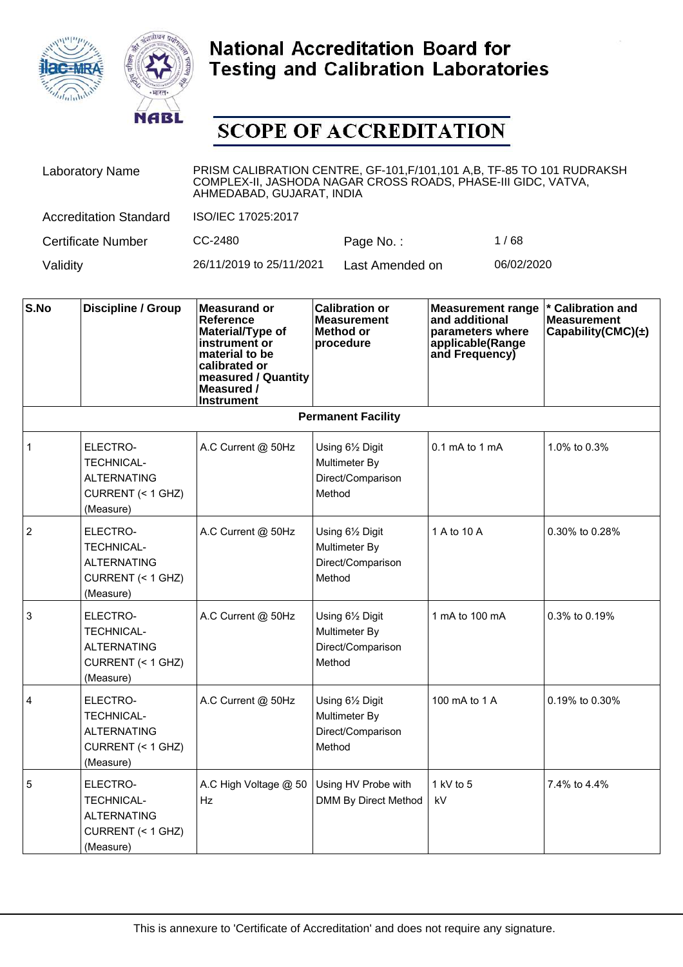



| <b>Laboratory Name</b>        | PRISM CALIBRATION CENTRE, GF-101, F/101, 101 A,B, TF-85 TO 101 RUDRAKSH<br>COMPLEX-II, JASHODA NAGAR CROSS ROADS, PHASE-III GIDC, VATVA,<br>AHMEDABAD, GUJARAT, INDIA |                 |            |  |  |
|-------------------------------|-----------------------------------------------------------------------------------------------------------------------------------------------------------------------|-----------------|------------|--|--|
| <b>Accreditation Standard</b> | ISO/IEC 17025:2017                                                                                                                                                    |                 |            |  |  |
| Certificate Number            | CC-2480                                                                                                                                                               | Page No.:       | 1/68       |  |  |
| Validity                      | 26/11/2019 to 25/11/2021                                                                                                                                              | Last Amended on | 06/02/2020 |  |  |

| S.No           | Discipline / Group                                                                    | <b>Measurand or</b><br><b>Reference</b><br>Material/Type of<br>instrument or<br>material to be<br>calibrated or<br>measured / Quantity<br>Measured /<br><b>Instrument</b> | <b>Calibration or</b><br><b>Measurement</b><br>Method or<br>procedure | <b>Measurement range</b><br>and additional<br>parameters where<br>applicable(Range<br>and Frequency) | * Calibration and<br><b>Measurement</b><br>Capability(CMC) $(\pm)$ |
|----------------|---------------------------------------------------------------------------------------|---------------------------------------------------------------------------------------------------------------------------------------------------------------------------|-----------------------------------------------------------------------|------------------------------------------------------------------------------------------------------|--------------------------------------------------------------------|
|                |                                                                                       |                                                                                                                                                                           | <b>Permanent Facility</b>                                             |                                                                                                      |                                                                    |
| $\mathbf{1}$   | ELECTRO-<br><b>TECHNICAL-</b><br><b>ALTERNATING</b><br>CURRENT (< 1 GHZ)<br>(Measure) | A.C Current @ 50Hz                                                                                                                                                        | Using 61/2 Digit<br>Multimeter By<br>Direct/Comparison<br>Method      | $0.1 \text{ mA}$ to 1 mA                                                                             | 1.0% to 0.3%                                                       |
| $\overline{2}$ | ELECTRO-<br><b>TECHNICAL-</b><br><b>ALTERNATING</b><br>CURRENT (< 1 GHZ)<br>(Measure) | A.C Current @ 50Hz                                                                                                                                                        | Using 61/2 Digit<br>Multimeter By<br>Direct/Comparison<br>Method      | 1 A to 10 A                                                                                          | 0.30% to 0.28%                                                     |
| 3              | ELECTRO-<br><b>TECHNICAL-</b><br><b>ALTERNATING</b><br>CURRENT (< 1 GHZ)<br>(Measure) | A.C Current @ 50Hz                                                                                                                                                        | Using 61/2 Digit<br>Multimeter By<br>Direct/Comparison<br>Method      | 1 mA to 100 mA                                                                                       | 0.3% to 0.19%                                                      |
| $\overline{4}$ | ELECTRO-<br><b>TECHNICAL-</b><br><b>ALTERNATING</b><br>CURRENT (< 1 GHZ)<br>(Measure) | A.C Current @ 50Hz                                                                                                                                                        | Using 61/2 Digit<br>Multimeter By<br>Direct/Comparison<br>Method      | 100 mA to 1 A                                                                                        | 0.19% to 0.30%                                                     |
| $\overline{5}$ | ELECTRO-<br><b>TECHNICAL-</b><br><b>ALTERNATING</b><br>CURRENT (< 1 GHZ)<br>(Measure) | A.C High Voltage @ 50<br>Hz                                                                                                                                               | Using HV Probe with<br>DMM By Direct Method                           | 1 kV to 5<br>kV                                                                                      | 7.4% to 4.4%                                                       |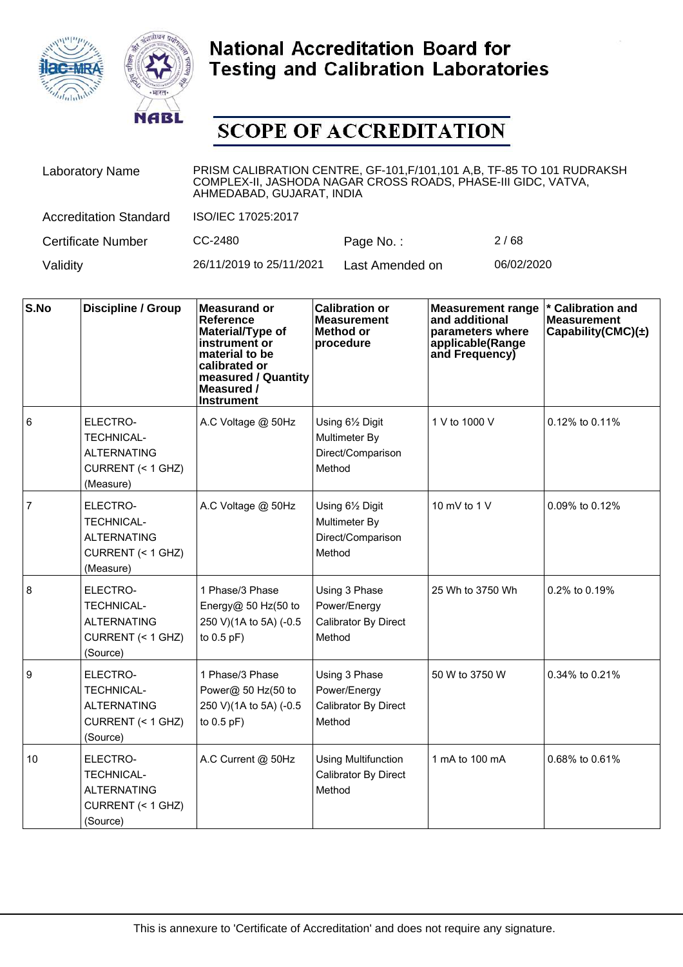



| <b>Laboratory Name</b>        | PRISM CALIBRATION CENTRE, GF-101, F/101, 101 A, B, TF-85 TO 101 RUDRAKSH<br>COMPLEX-II, JASHODA NAGAR CROSS ROADS, PHASE-III GIDC, VATVA,<br>AHMEDABAD, GUJARAT, INDIA |                 |            |  |  |
|-------------------------------|------------------------------------------------------------------------------------------------------------------------------------------------------------------------|-----------------|------------|--|--|
| <b>Accreditation Standard</b> | ISO/IEC 17025:2017                                                                                                                                                     |                 |            |  |  |
| <b>Certificate Number</b>     | CC-2480                                                                                                                                                                | Page No.:       | 2/68       |  |  |
| Validity                      | 26/11/2019 to 25/11/2021                                                                                                                                               | Last Amended on | 06/02/2020 |  |  |

| S.No           | <b>Discipline / Group</b>                                                             | <b>Measurand or</b><br><b>Reference</b><br>Material/Type of<br>instrument or<br>material to be<br>calibrated or<br>measured / Quantity<br>Measured /<br><b>Instrument</b> | <b>Calibration or</b><br><b>Measurement</b><br><b>Method or</b><br>procedure | <b>Measurement range</b><br>and additional<br>parameters where<br>applicable(Range<br>and Frequency) | * Calibration and<br><b>Measurement</b><br>Capability(CMC) $(\pm)$ |
|----------------|---------------------------------------------------------------------------------------|---------------------------------------------------------------------------------------------------------------------------------------------------------------------------|------------------------------------------------------------------------------|------------------------------------------------------------------------------------------------------|--------------------------------------------------------------------|
| 6              | ELECTRO-<br><b>TECHNICAL-</b><br><b>ALTERNATING</b><br>CURRENT (< 1 GHZ)<br>(Measure) | A.C Voltage @ 50Hz                                                                                                                                                        | Using 61/2 Digit<br>Multimeter By<br>Direct/Comparison<br>Method             | 1 V to 1000 V                                                                                        | 0.12% to 0.11%                                                     |
| $\overline{7}$ | ELECTRO-<br><b>TECHNICAL-</b><br><b>ALTERNATING</b><br>CURRENT (< 1 GHZ)<br>(Measure) | A.C Voltage @ 50Hz                                                                                                                                                        | Using 61/2 Digit<br>Multimeter By<br>Direct/Comparison<br>Method             | 10 mV to 1 $V$                                                                                       | 0.09% to 0.12%                                                     |
| 8              | ELECTRO-<br><b>TECHNICAL-</b><br><b>ALTERNATING</b><br>CURRENT (< 1 GHZ)<br>(Source)  | 1 Phase/3 Phase<br>Energy@ 50 Hz(50 to<br>250 V)(1A to 5A) (-0.5<br>to $0.5$ pF)                                                                                          | Using 3 Phase<br>Power/Energy<br>Calibrator By Direct<br>Method              | 25 Wh to 3750 Wh                                                                                     | 0.2% to 0.19%                                                      |
| 9              | ELECTRO-<br><b>TECHNICAL-</b><br><b>ALTERNATING</b><br>CURRENT (< 1 GHZ)<br>(Source)  | 1 Phase/3 Phase<br>Power@ 50 Hz(50 to<br>250 V)(1A to 5A) (-0.5<br>to $0.5$ pF)                                                                                           | Using 3 Phase<br>Power/Energy<br>Calibrator By Direct<br>Method              | 50 W to 3750 W                                                                                       | 0.34% to 0.21%                                                     |
| 10             | ELECTRO-<br><b>TECHNICAL-</b><br><b>ALTERNATING</b><br>CURRENT (< 1 GHZ)<br>(Source)  | A.C Current @ 50Hz                                                                                                                                                        | <b>Using Multifunction</b><br><b>Calibrator By Direct</b><br>Method          | 1 mA to 100 mA                                                                                       | 0.68% to 0.61%                                                     |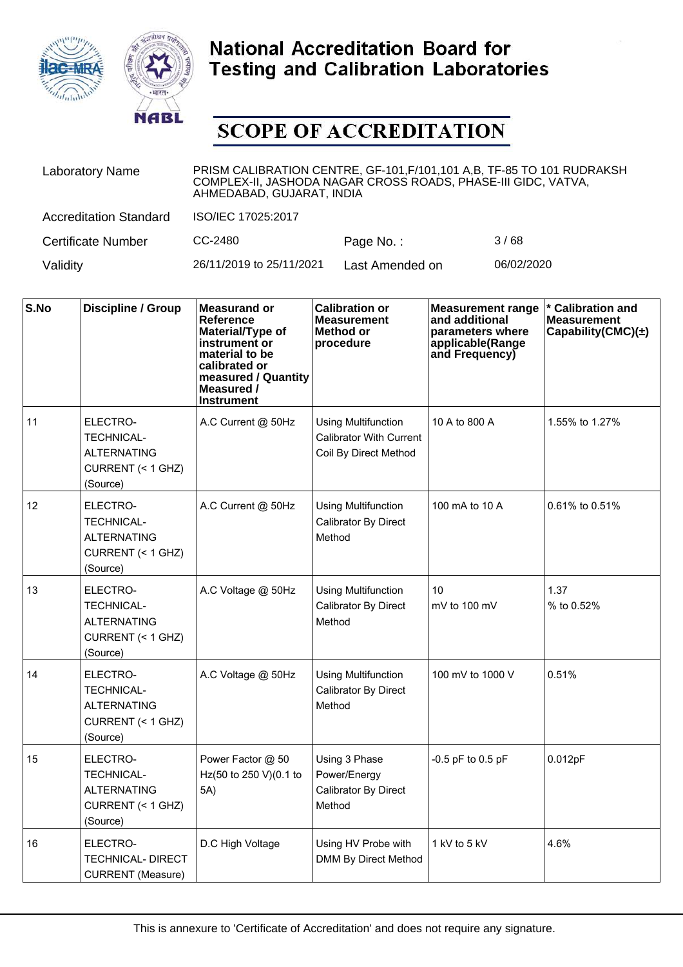



| <b>Laboratory Name</b>        | PRISM CALIBRATION CENTRE, GF-101, F/101, 101 A, B, TF-85 TO 101 RUDRAKSH<br>COMPLEX-II, JASHODA NAGAR CROSS ROADS, PHASE-III GIDC, VATVA,<br>AHMEDABAD, GUJARAT, INDIA |                 |            |  |  |
|-------------------------------|------------------------------------------------------------------------------------------------------------------------------------------------------------------------|-----------------|------------|--|--|
| <b>Accreditation Standard</b> | ISO/IEC 17025:2017                                                                                                                                                     |                 |            |  |  |
| <b>Certificate Number</b>     | CC-2480                                                                                                                                                                | Page No.:       | 3/68       |  |  |
| Validity                      | 26/11/2019 to 25/11/2021                                                                                                                                               | Last Amended on | 06/02/2020 |  |  |

| S.No | <b>Discipline / Group</b>                                                            | <b>Measurand or</b><br><b>Reference</b><br>Material/Type of<br>instrument or<br>material to be<br>calibrated or<br>measured / Quantity<br>Measured /<br><b>Instrument</b> | <b>Calibration or</b><br><b>Measurement</b><br>Method or<br>procedure                 | <b>Measurement range</b><br>and additional<br>parameters where<br>applicable(Range<br>and Frequency) | * Calibration and<br><b>Measurement</b><br>Capability(CMC) $(\pm)$ |
|------|--------------------------------------------------------------------------------------|---------------------------------------------------------------------------------------------------------------------------------------------------------------------------|---------------------------------------------------------------------------------------|------------------------------------------------------------------------------------------------------|--------------------------------------------------------------------|
| 11   | ELECTRO-<br><b>TECHNICAL-</b><br>ALTERNATING<br>CURRENT (< 1 GHZ)<br>(Source)        | A.C Current @ 50Hz                                                                                                                                                        | <b>Using Multifunction</b><br><b>Calibrator With Current</b><br>Coil By Direct Method | 10 A to 800 A                                                                                        | 1.55% to 1.27%                                                     |
| 12   | ELECTRO-<br><b>TECHNICAL-</b><br><b>ALTERNATING</b><br>CURRENT (< 1 GHZ)<br>(Source) | A.C Current @ 50Hz                                                                                                                                                        | <b>Using Multifunction</b><br>Calibrator By Direct<br>Method                          | 100 mA to 10 A                                                                                       | 0.61% to 0.51%                                                     |
| 13   | ELECTRO-<br><b>TECHNICAL-</b><br><b>ALTERNATING</b><br>CURRENT (< 1 GHZ)<br>(Source) | A.C Voltage @ 50Hz                                                                                                                                                        | <b>Using Multifunction</b><br>Calibrator By Direct<br>Method                          | 10<br>mV to 100 mV                                                                                   | 1.37<br>% to 0.52%                                                 |
| 14   | ELECTRO-<br><b>TECHNICAL-</b><br>ALTERNATING<br>CURRENT (< 1 GHZ)<br>(Source)        | A.C Voltage @ 50Hz                                                                                                                                                        | <b>Using Multifunction</b><br>Calibrator By Direct<br>Method                          | 100 mV to 1000 V                                                                                     | 0.51%                                                              |
| 15   | ELECTRO-<br><b>TECHNICAL-</b><br><b>ALTERNATING</b><br>CURRENT (< 1 GHZ)<br>(Source) | Power Factor @ 50<br>Hz(50 to 250 V)(0.1 to<br>5A)                                                                                                                        | Using 3 Phase<br>Power/Energy<br>Calibrator By Direct<br>Method                       | $-0.5$ pF to $0.5$ pF                                                                                | 0.012pF                                                            |
| 16   | ELECTRO-<br>TECHNICAL- DIRECT<br><b>CURRENT</b> (Measure)                            | D.C High Voltage                                                                                                                                                          | Using HV Probe with<br>DMM By Direct Method                                           | 1 kV to 5 kV                                                                                         | 4.6%                                                               |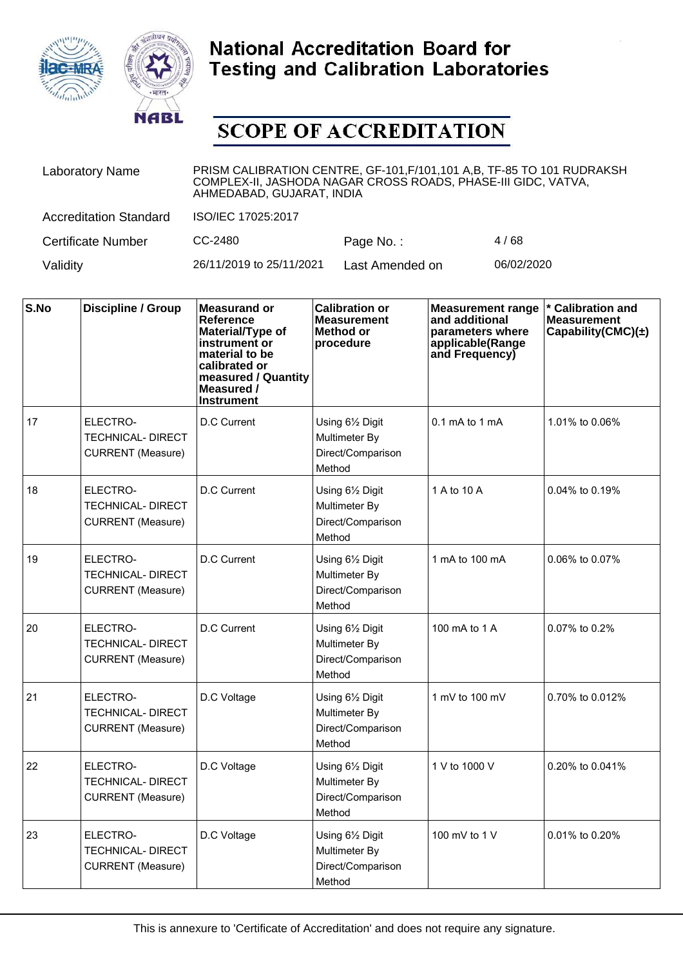



| <b>Laboratory Name</b>        | PRISM CALIBRATION CENTRE, GF-101, F/101, 101 A, B, TF-85 TO 101 RUDRAKSH<br>COMPLEX-II, JASHODA NAGAR CROSS ROADS, PHASE-III GIDC, VATVA,<br>AHMEDABAD, GUJARAT, INDIA |                 |            |  |  |
|-------------------------------|------------------------------------------------------------------------------------------------------------------------------------------------------------------------|-----------------|------------|--|--|
| <b>Accreditation Standard</b> | ISO/IEC 17025:2017                                                                                                                                                     |                 |            |  |  |
| <b>Certificate Number</b>     | CC-2480                                                                                                                                                                | Page No.:       | 4/68       |  |  |
| Validity                      | 26/11/2019 to 25/11/2021                                                                                                                                               | Last Amended on | 06/02/2020 |  |  |

| S.No | <b>Discipline / Group</b>                                        | <b>Measurand or</b><br><b>Reference</b><br>Material/Type of<br>instrument or<br>material to be<br>calibrated or<br>measured / Quantity<br>Measured /<br><b>Instrument</b> | <b>Calibration or</b><br><b>Measurement</b><br>Method or<br>procedure | <b>Measurement range</b><br>and additional<br>parameters where<br>applicable(Range<br>and Frequency) | * Calibration and<br><b>Measurement</b><br>Capability(CMC) $(\pm)$ |
|------|------------------------------------------------------------------|---------------------------------------------------------------------------------------------------------------------------------------------------------------------------|-----------------------------------------------------------------------|------------------------------------------------------------------------------------------------------|--------------------------------------------------------------------|
| 17   | ELECTRO-<br><b>TECHNICAL- DIRECT</b><br><b>CURRENT</b> (Measure) | D.C Current                                                                                                                                                               | Using 61/2 Digit<br>Multimeter By<br>Direct/Comparison<br>Method      | $0.1 \text{ mA}$ to 1 mA                                                                             | 1.01% to 0.06%                                                     |
| 18   | ELECTRO-<br><b>TECHNICAL- DIRECT</b><br><b>CURRENT</b> (Measure) | D.C Current                                                                                                                                                               | Using 61/2 Digit<br>Multimeter By<br>Direct/Comparison<br>Method      | 1 A to 10 A                                                                                          | 0.04% to 0.19%                                                     |
| 19   | ELECTRO-<br><b>TECHNICAL- DIRECT</b><br><b>CURRENT</b> (Measure) | D.C Current                                                                                                                                                               | Using 61/2 Digit<br>Multimeter By<br>Direct/Comparison<br>Method      | 1 mA to 100 mA                                                                                       | 0.06% to 0.07%                                                     |
| 20   | ELECTRO-<br>TECHNICAL- DIRECT<br><b>CURRENT</b> (Measure)        | D.C Current                                                                                                                                                               | Using 61/2 Digit<br>Multimeter By<br>Direct/Comparison<br>Method      | 100 mA to 1 A                                                                                        | 0.07% to 0.2%                                                      |
| 21   | ELECTRO-<br>TECHNICAL- DIRECT<br><b>CURRENT</b> (Measure)        | D.C Voltage                                                                                                                                                               | Using 61/2 Digit<br>Multimeter By<br>Direct/Comparison<br>Method      | 1 mV to 100 mV                                                                                       | 0.70% to 0.012%                                                    |
| 22   | ELECTRO-<br><b>TECHNICAL- DIRECT</b><br><b>CURRENT</b> (Measure) | D.C Voltage                                                                                                                                                               | Using 61/2 Digit<br>Multimeter By<br>Direct/Comparison<br>Method      | 1 V to 1000 V                                                                                        | 0.20% to 0.041%                                                    |
| 23   | ELECTRO-<br><b>TECHNICAL- DIRECT</b><br><b>CURRENT</b> (Measure) | D.C Voltage                                                                                                                                                               | Using 61/2 Digit<br>Multimeter By<br>Direct/Comparison<br>Method      | 100 mV to 1 V                                                                                        | 0.01% to 0.20%                                                     |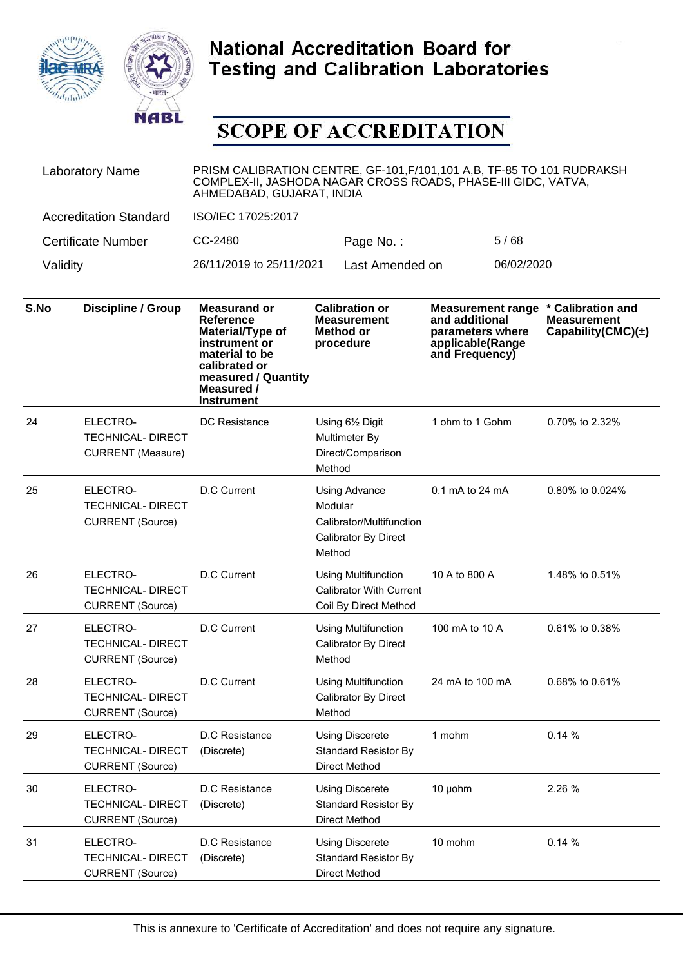



| <b>Laboratory Name</b>        | PRISM CALIBRATION CENTRE, GF-101, F/101, 101 A, B, TF-85 TO 101 RUDRAKSH<br>COMPLEX-II, JASHODA NAGAR CROSS ROADS, PHASE-III GIDC, VATVA,<br>AHMEDABAD, GUJARAT, INDIA |                 |            |  |  |
|-------------------------------|------------------------------------------------------------------------------------------------------------------------------------------------------------------------|-----------------|------------|--|--|
| <b>Accreditation Standard</b> | ISO/IEC 17025:2017                                                                                                                                                     |                 |            |  |  |
| <b>Certificate Number</b>     | CC-2480                                                                                                                                                                | Page No.:       | 5/68       |  |  |
| Validity                      | 26/11/2019 to 25/11/2021                                                                                                                                               | Last Amended on | 06/02/2020 |  |  |

| S.No | Discipline / Group                                               | <b>Measurand or</b><br>Reference<br>Material/Type of<br>instrument or<br>material to be<br>calibrated or<br>measured / Quantity<br>Measured /<br><b>Instrument</b> | <b>Calibration or</b><br><b>Measurement</b><br>Method or<br>procedure                  | <b>Measurement range</b><br>and additional<br>parameters where<br>applicable(Range<br>and Frequency) | * Calibration and<br><b>Measurement</b><br>Capability(CMC) $(\pm)$ |
|------|------------------------------------------------------------------|--------------------------------------------------------------------------------------------------------------------------------------------------------------------|----------------------------------------------------------------------------------------|------------------------------------------------------------------------------------------------------|--------------------------------------------------------------------|
| 24   | ELECTRO-<br><b>TECHNICAL- DIRECT</b><br><b>CURRENT</b> (Measure) | <b>DC</b> Resistance                                                                                                                                               | Using 61/2 Digit<br>Multimeter By<br>Direct/Comparison<br>Method                       | 1 ohm to 1 Gohm                                                                                      | 0.70% to 2.32%                                                     |
| 25   | ELECTRO-<br><b>TECHNICAL- DIRECT</b><br><b>CURRENT (Source)</b>  | D.C Current                                                                                                                                                        | Using Advance<br>Modular<br>Calibrator/Multifunction<br>Calibrator By Direct<br>Method | $0.1$ mA to 24 mA                                                                                    | 0.80% to 0.024%                                                    |
| 26   | ELECTRO-<br><b>TECHNICAL-DIRECT</b><br><b>CURRENT</b> (Source)   | D.C Current                                                                                                                                                        | <b>Using Multifunction</b><br><b>Calibrator With Current</b><br>Coil By Direct Method  | 10 A to 800 A                                                                                        | 1.48% to 0.51%                                                     |
| 27   | ELECTRO-<br><b>TECHNICAL- DIRECT</b><br><b>CURRENT</b> (Source)  | <b>D.C Current</b>                                                                                                                                                 | <b>Using Multifunction</b><br>Calibrator By Direct<br>Method                           | 100 mA to 10 A                                                                                       | 0.61% to 0.38%                                                     |
| 28   | ELECTRO-<br><b>TECHNICAL-DIRECT</b><br><b>CURRENT</b> (Source)   | <b>D.C Current</b>                                                                                                                                                 | <b>Using Multifunction</b><br>Calibrator By Direct<br>Method                           | 24 mA to 100 mA                                                                                      | 0.68% to 0.61%                                                     |
| 29   | ELECTRO-<br><b>TECHNICAL- DIRECT</b><br><b>CURRENT</b> (Source)  | D.C Resistance<br>(Discrete)                                                                                                                                       | <b>Using Discerete</b><br><b>Standard Resistor By</b><br>Direct Method                 | 1 mohm                                                                                               | 0.14%                                                              |
| 30   | ELECTRO-<br><b>TECHNICAL-DIRECT</b><br><b>CURRENT (Source)</b>   | D.C Resistance<br>(Discrete)                                                                                                                                       | <b>Using Discerete</b><br><b>Standard Resistor By</b><br>Direct Method                 | 10 µohm                                                                                              | 2.26 %                                                             |
| 31   | ELECTRO-<br><b>TECHNICAL- DIRECT</b><br><b>CURRENT (Source)</b>  | D.C Resistance<br>(Discrete)                                                                                                                                       | <b>Using Discerete</b><br><b>Standard Resistor By</b><br>Direct Method                 | 10 mohm                                                                                              | 0.14%                                                              |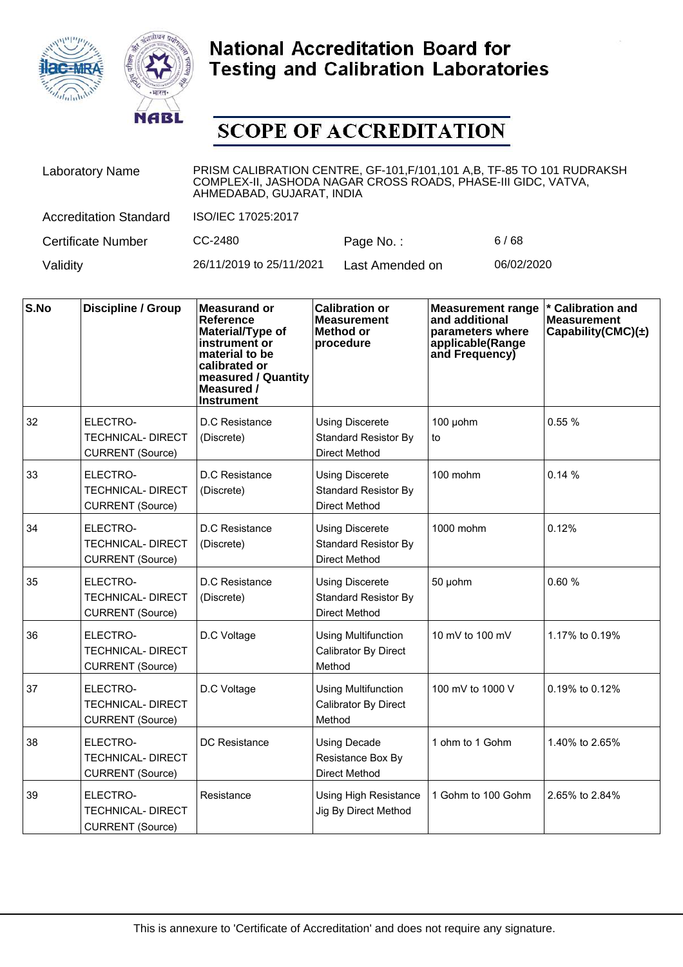



| <b>Laboratory Name</b>        | PRISM CALIBRATION CENTRE, GF-101, F/101, 101 A, B, TF-85 TO 101 RUDRAKSH<br>COMPLEX-II, JASHODA NAGAR CROSS ROADS, PHASE-III GIDC, VATVA,<br>AHMEDABAD, GUJARAT, INDIA |                 |            |  |  |
|-------------------------------|------------------------------------------------------------------------------------------------------------------------------------------------------------------------|-----------------|------------|--|--|
| <b>Accreditation Standard</b> | ISO/IEC 17025:2017                                                                                                                                                     |                 |            |  |  |
| <b>Certificate Number</b>     | CC-2480                                                                                                                                                                | Page No.:       | 6/68       |  |  |
| Validity                      | 26/11/2019 to 25/11/2021                                                                                                                                               | Last Amended on | 06/02/2020 |  |  |

| S.No | <b>Discipline / Group</b>                                       | <b>Measurand or</b><br>Reference<br>Material/Type of<br>instrument or<br>material to be<br>calibrated or<br>measured / Quantity<br>Measured /<br><b>Instrument</b> | <b>Calibration or</b><br><b>Measurement</b><br><b>Method or</b><br>procedure  | <b>Measurement range</b><br>and additional<br>parameters where<br>applicable(Range<br>and Frequency) | * Calibration and<br><b>Measurement</b><br>Capability(CMC) $(\pm)$ |
|------|-----------------------------------------------------------------|--------------------------------------------------------------------------------------------------------------------------------------------------------------------|-------------------------------------------------------------------------------|------------------------------------------------------------------------------------------------------|--------------------------------------------------------------------|
| 32   | ELECTRO-<br><b>TECHNICAL- DIRECT</b><br><b>CURRENT</b> (Source) | D.C Resistance<br>(Discrete)                                                                                                                                       | <b>Using Discerete</b><br><b>Standard Resistor By</b><br><b>Direct Method</b> | 100 µohm<br>to                                                                                       | 0.55%                                                              |
| 33   | ELECTRO-<br><b>TECHNICAL- DIRECT</b><br><b>CURRENT</b> (Source) | D.C Resistance<br>(Discrete)                                                                                                                                       | <b>Using Discerete</b><br><b>Standard Resistor By</b><br><b>Direct Method</b> | 100 mohm                                                                                             | 0.14%                                                              |
| 34   | ELECTRO-<br><b>TECHNICAL- DIRECT</b><br><b>CURRENT</b> (Source) | D.C Resistance<br>(Discrete)                                                                                                                                       | <b>Using Discerete</b><br><b>Standard Resistor By</b><br><b>Direct Method</b> | 1000 mohm                                                                                            | 0.12%                                                              |
| 35   | ELECTRO-<br><b>TECHNICAL- DIRECT</b><br><b>CURRENT (Source)</b> | D.C Resistance<br>(Discrete)                                                                                                                                       | <b>Using Discerete</b><br><b>Standard Resistor By</b><br><b>Direct Method</b> | 50 µohm                                                                                              | 0.60%                                                              |
| 36   | ELECTRO-<br><b>TECHNICAL- DIRECT</b><br><b>CURRENT</b> (Source) | D.C Voltage                                                                                                                                                        | <b>Using Multifunction</b><br>Calibrator By Direct<br>Method                  | 10 mV to 100 mV                                                                                      | 1.17% to 0.19%                                                     |
| 37   | ELECTRO-<br><b>TECHNICAL- DIRECT</b><br><b>CURRENT</b> (Source) | D.C Voltage                                                                                                                                                        | <b>Using Multifunction</b><br>Calibrator By Direct<br>Method                  | 100 mV to 1000 V                                                                                     | 0.19% to 0.12%                                                     |
| 38   | ELECTRO-<br><b>TECHNICAL- DIRECT</b><br><b>CURRENT</b> (Source) | DC Resistance                                                                                                                                                      | <b>Using Decade</b><br>Resistance Box By<br><b>Direct Method</b>              | 1 ohm to 1 Gohm                                                                                      | 1.40% to 2.65%                                                     |
| 39   | ELECTRO-<br><b>TECHNICAL- DIRECT</b><br><b>CURRENT</b> (Source) | Resistance                                                                                                                                                         | <b>Using High Resistance</b><br>Jig By Direct Method                          | 1 Gohm to 100 Gohm                                                                                   | 2.65% to 2.84%                                                     |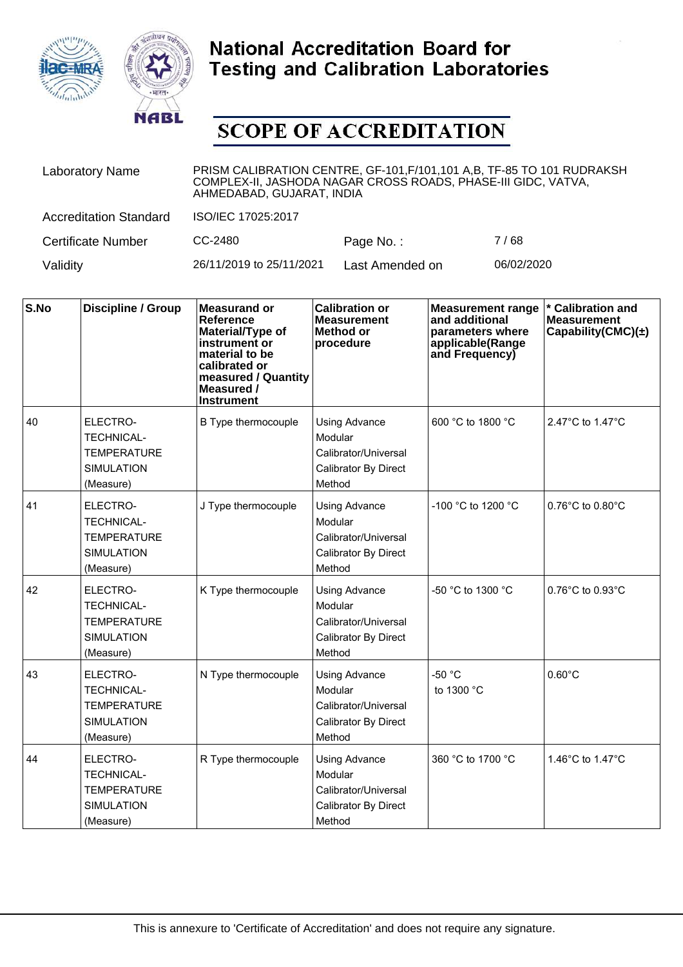



| <b>Laboratory Name</b>        | PRISM CALIBRATION CENTRE, GF-101, F/101, 101 A,B, TF-85 TO 101 RUDRAKSH<br>COMPLEX-II, JASHODA NAGAR CROSS ROADS, PHASE-III GIDC, VATVA,<br>AHMEDABAD, GUJARAT, INDIA |                 |            |  |
|-------------------------------|-----------------------------------------------------------------------------------------------------------------------------------------------------------------------|-----------------|------------|--|
| <b>Accreditation Standard</b> | ISO/IEC 17025:2017                                                                                                                                                    |                 |            |  |
| <b>Certificate Number</b>     | CC-2480                                                                                                                                                               | Page No.:       | 7/68       |  |
| Validity                      | 26/11/2019 to 25/11/2021                                                                                                                                              | Last Amended on | 06/02/2020 |  |

| S.No | <b>Discipline / Group</b>                                                             | <b>Measurand or</b><br>Reference<br>Material/Type of<br>instrument or<br>material to be<br>calibrated or<br>measured / Quantity<br><b>Measured /</b><br><b>Instrument</b> | <b>Calibration or</b><br><b>Measurement</b><br><b>Method or</b><br>procedure              | <b>Measurement range</b><br>and additional<br>parameters where<br>applicable(Range<br>and Frequency) | * Calibration and<br><b>Measurement</b><br>Capability(CMC) $(\pm)$ |
|------|---------------------------------------------------------------------------------------|---------------------------------------------------------------------------------------------------------------------------------------------------------------------------|-------------------------------------------------------------------------------------------|------------------------------------------------------------------------------------------------------|--------------------------------------------------------------------|
| 40   | ELECTRO-<br><b>TECHNICAL-</b><br><b>TEMPERATURE</b><br><b>SIMULATION</b><br>(Measure) | B Type thermocouple                                                                                                                                                       | <b>Using Advance</b><br>Modular<br>Calibrator/Universal<br>Calibrator By Direct<br>Method | 600 °C to 1800 °C                                                                                    | 2.47°C to 1.47°C                                                   |
| 41   | ELECTRO-<br><b>TECHNICAL-</b><br><b>TEMPERATURE</b><br><b>SIMULATION</b><br>(Measure) | J Type thermocouple                                                                                                                                                       | <b>Using Advance</b><br>Modular<br>Calibrator/Universal<br>Calibrator By Direct<br>Method | -100 °C to 1200 °C                                                                                   | $0.76^{\circ}$ C to $0.80^{\circ}$ C                               |
| 42   | ELECTRO-<br><b>TECHNICAL-</b><br><b>TEMPERATURE</b><br><b>SIMULATION</b><br>(Measure) | K Type thermocouple                                                                                                                                                       | <b>Using Advance</b><br>Modular<br>Calibrator/Universal<br>Calibrator By Direct<br>Method | -50 °C to 1300 °C                                                                                    | $0.76^{\circ}$ C to $0.93^{\circ}$ C                               |
| 43   | ELECTRO-<br><b>TECHNICAL-</b><br><b>TEMPERATURE</b><br><b>SIMULATION</b><br>(Measure) | N Type thermocouple                                                                                                                                                       | <b>Using Advance</b><br>Modular<br>Calibrator/Universal<br>Calibrator By Direct<br>Method | $-50 °C$<br>to 1300 °C                                                                               | $0.60^{\circ}$ C                                                   |
| 44   | ELECTRO-<br><b>TECHNICAL-</b><br><b>TEMPERATURE</b><br><b>SIMULATION</b><br>(Measure) | R Type thermocouple                                                                                                                                                       | <b>Using Advance</b><br>Modular<br>Calibrator/Universal<br>Calibrator By Direct<br>Method | 360 °C to 1700 °C                                                                                    | 1.46°C to 1.47°C                                                   |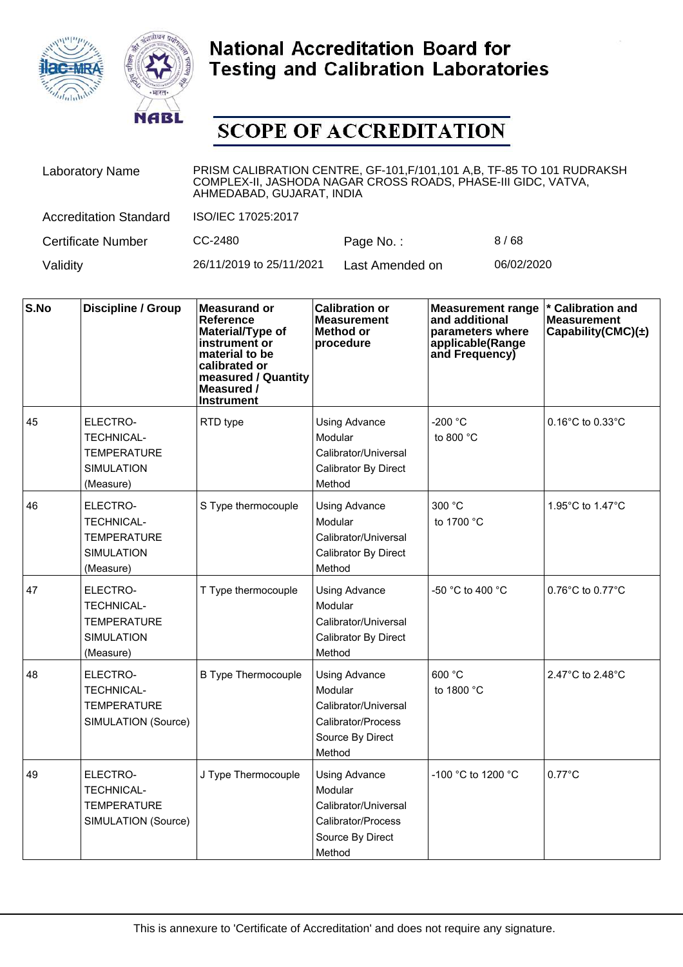



| <b>Laboratory Name</b>        | PRISM CALIBRATION CENTRE, GF-101, F/101, 101 A, B, TF-85 TO 101 RUDRAKSH<br>COMPLEX-II, JASHODA NAGAR CROSS ROADS, PHASE-III GIDC, VATVA,<br>AHMEDABAD, GUJARAT, INDIA |                 |            |  |
|-------------------------------|------------------------------------------------------------------------------------------------------------------------------------------------------------------------|-----------------|------------|--|
| <b>Accreditation Standard</b> | ISO/IEC 17025:2017                                                                                                                                                     |                 |            |  |
| <b>Certificate Number</b>     | CC-2480                                                                                                                                                                | Page No.:       | 8/68       |  |
| Validity                      | 26/11/2019 to 25/11/2021                                                                                                                                               | Last Amended on | 06/02/2020 |  |

| S.No | Discipline / Group                                                                    | <b>Measurand or</b><br>Reference<br>Material/Type of<br>instrument or<br>material to be<br>calibrated or<br>measured / Quantity<br>Measured /<br><b>Instrument</b> | <b>Calibration or</b><br><b>Measurement</b><br>Method or<br>procedure                                       | <b>Measurement range</b><br>and additional<br>parameters where<br>applicable(Range<br>and Frequency) | * Calibration and<br><b>Measurement</b><br>Capability(CMC) $(\pm)$ |
|------|---------------------------------------------------------------------------------------|--------------------------------------------------------------------------------------------------------------------------------------------------------------------|-------------------------------------------------------------------------------------------------------------|------------------------------------------------------------------------------------------------------|--------------------------------------------------------------------|
| 45   | ELECTRO-<br><b>TECHNICAL-</b><br><b>TEMPERATURE</b><br><b>SIMULATION</b><br>(Measure) | RTD type                                                                                                                                                           | <b>Using Advance</b><br>Modular<br>Calibrator/Universal<br>Calibrator By Direct<br>Method                   | -200 °C<br>to 800 $^{\circ}$ C                                                                       | $0.16^{\circ}$ C to $0.33^{\circ}$ C                               |
| 46   | ELECTRO-<br><b>TECHNICAL-</b><br><b>TEMPERATURE</b><br><b>SIMULATION</b><br>(Measure) | S Type thermocouple                                                                                                                                                | <b>Using Advance</b><br>Modular<br>Calibrator/Universal<br>Calibrator By Direct<br>Method                   | 300 °C<br>to 1700 °C                                                                                 | 1.95°C to 1.47°C                                                   |
| 47   | ELECTRO-<br><b>TECHNICAL-</b><br><b>TEMPERATURE</b><br><b>SIMULATION</b><br>(Measure) | T Type thermocouple                                                                                                                                                | <b>Using Advance</b><br>Modular<br>Calibrator/Universal<br>Calibrator By Direct<br>Method                   | -50 °C to 400 °C                                                                                     | $0.76^{\circ}$ C to $0.77^{\circ}$ C                               |
| 48   | ELECTRO-<br><b>TECHNICAL-</b><br><b>TEMPERATURE</b><br>SIMULATION (Source)            | <b>B Type Thermocouple</b>                                                                                                                                         | <b>Using Advance</b><br>Modular<br>Calibrator/Universal<br>Calibrator/Process<br>Source By Direct<br>Method | 600 °C<br>to 1800 °C                                                                                 | 2.47°C to 2.48°C                                                   |
| 49   | ELECTRO-<br><b>TECHNICAL-</b><br><b>TEMPERATURE</b><br>SIMULATION (Source)            | J Type Thermocouple                                                                                                                                                | <b>Using Advance</b><br>Modular<br>Calibrator/Universal<br>Calibrator/Process<br>Source By Direct<br>Method | -100 °C to 1200 °C                                                                                   | $0.77^{\circ}$ C                                                   |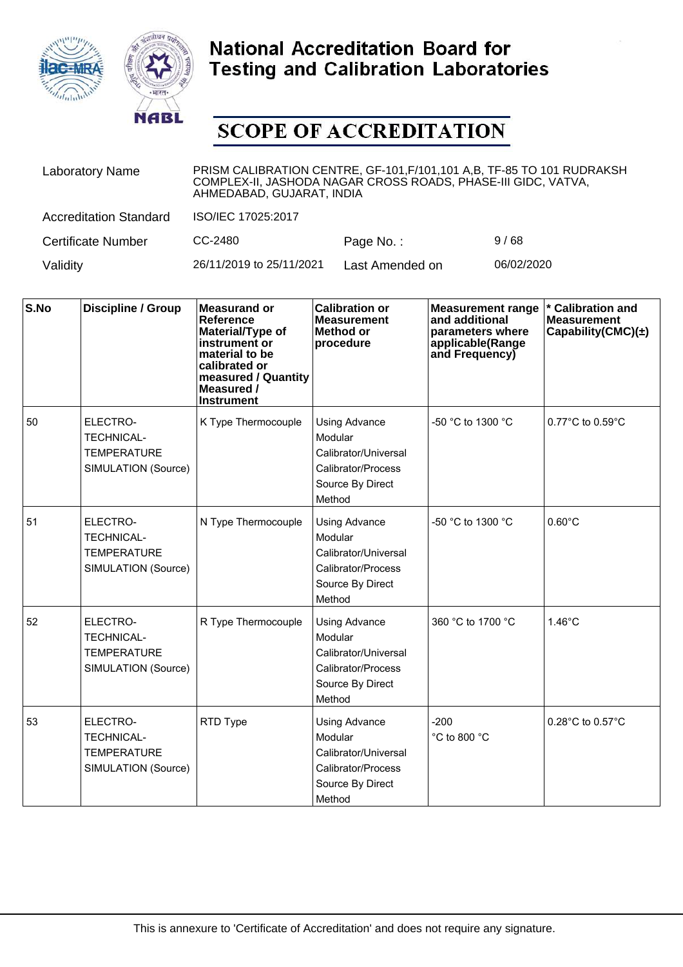



| <b>Laboratory Name</b>        | PRISM CALIBRATION CENTRE, GF-101, F/101, 101 A, B, TF-85 TO 101 RUDRAKSH<br>COMPLEX-II, JASHODA NAGAR CROSS ROADS, PHASE-III GIDC, VATVA,<br>AHMEDABAD, GUJARAT, INDIA |                 |            |  |
|-------------------------------|------------------------------------------------------------------------------------------------------------------------------------------------------------------------|-----------------|------------|--|
| <b>Accreditation Standard</b> | ISO/IEC 17025:2017                                                                                                                                                     |                 |            |  |
| <b>Certificate Number</b>     | CC-2480                                                                                                                                                                | Page No.:       | 9/68       |  |
| Validity                      | 26/11/2019 to 25/11/2021                                                                                                                                               | Last Amended on | 06/02/2020 |  |

| S.No | <b>Discipline / Group</b>                                                  | <b>Measurand or</b><br><b>Reference</b><br>Material/Type of<br>instrument or<br>material to be<br>calibrated or<br>measured / Quantity<br>Measured /<br><b>Instrument</b> | <b>Calibration or</b><br><b>Measurement</b><br><b>Method or</b><br>procedure                                | <b>Measurement range</b><br>and additional<br>parameters where<br>applicable(Range<br>and Frequency) | * Calibration and<br><b>Measurement</b><br>Capability(CMC) $(\pm)$ |
|------|----------------------------------------------------------------------------|---------------------------------------------------------------------------------------------------------------------------------------------------------------------------|-------------------------------------------------------------------------------------------------------------|------------------------------------------------------------------------------------------------------|--------------------------------------------------------------------|
| 50   | ELECTRO-<br><b>TECHNICAL-</b><br><b>TEMPERATURE</b><br>SIMULATION (Source) | K Type Thermocouple                                                                                                                                                       | <b>Using Advance</b><br>Modular<br>Calibrator/Universal<br>Calibrator/Process<br>Source By Direct<br>Method | -50 °C to 1300 °C                                                                                    | $0.77^{\circ}$ C to $0.59^{\circ}$ C                               |
| 51   | ELECTRO-<br>TECHNICAL-<br><b>TEMPERATURE</b><br>SIMULATION (Source)        | N Type Thermocouple                                                                                                                                                       | <b>Using Advance</b><br>Modular<br>Calibrator/Universal<br>Calibrator/Process<br>Source By Direct<br>Method | -50 °C to 1300 °C                                                                                    | $0.60^{\circ}$ C                                                   |
| 52   | ELECTRO-<br><b>TECHNICAL-</b><br><b>TEMPERATURE</b><br>SIMULATION (Source) | R Type Thermocouple                                                                                                                                                       | <b>Using Advance</b><br>Modular<br>Calibrator/Universal<br>Calibrator/Process<br>Source By Direct<br>Method | 360 °C to 1700 °C                                                                                    | $1.46^{\circ}$ C                                                   |
| 53   | ELECTRO-<br><b>TECHNICAL-</b><br><b>TEMPERATURE</b><br>SIMULATION (Source) | RTD Type                                                                                                                                                                  | <b>Using Advance</b><br>Modular<br>Calibrator/Universal<br>Calibrator/Process<br>Source By Direct<br>Method | $-200$<br>°C to 800 °C                                                                               | 0.28°C to 0.57°C                                                   |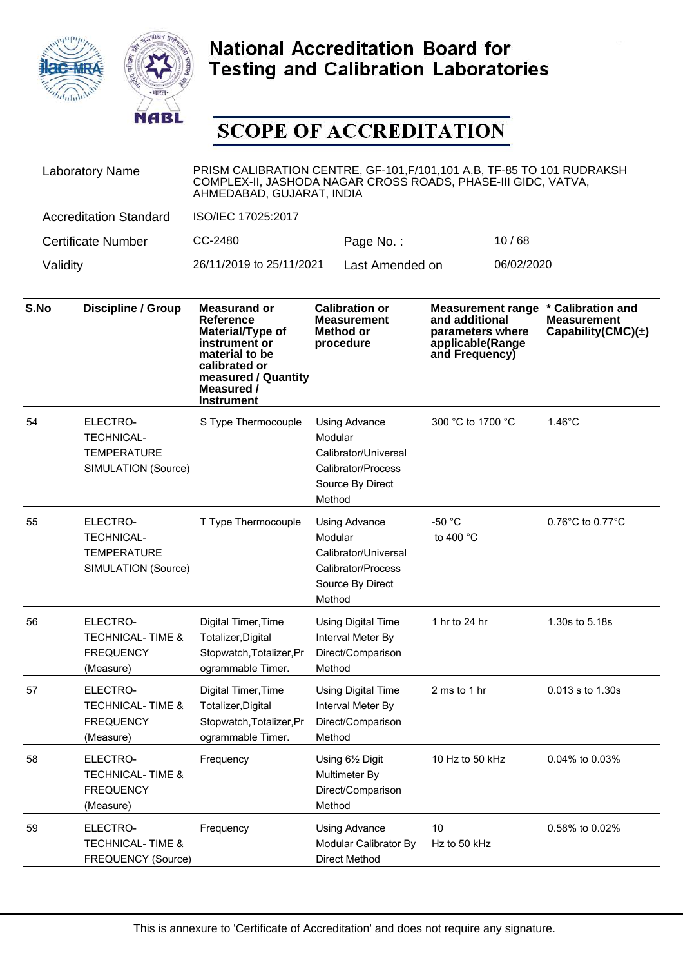



| <b>Laboratory Name</b>        | PRISM CALIBRATION CENTRE, GF-101, F/101, 101 A, B, TF-85 TO 101 RUDRAKSH<br>COMPLEX-II, JASHODA NAGAR CROSS ROADS, PHASE-III GIDC, VATVA,<br>AHMEDABAD, GUJARAT, INDIA |                 |            |  |
|-------------------------------|------------------------------------------------------------------------------------------------------------------------------------------------------------------------|-----------------|------------|--|
| <b>Accreditation Standard</b> | ISO/IEC 17025:2017                                                                                                                                                     |                 |            |  |
| <b>Certificate Number</b>     | CC-2480                                                                                                                                                                | Page No.:       | 10/68      |  |
| Validity                      | 26/11/2019 to 25/11/2021                                                                                                                                               | Last Amended on | 06/02/2020 |  |

| S.No | <b>Discipline / Group</b>                                                  | <b>Measurand or</b><br><b>Reference</b><br>Material/Type of<br>instrument or<br>material to be<br>calibrated or<br>measured / Quantity<br>Measured /<br><b>Instrument</b> | <b>Calibration or</b><br><b>Measurement</b><br>Method or<br>procedure                                       | <b>Measurement range</b><br>and additional<br>parameters where<br>applicable(Range<br>and Frequency) | * Calibration and<br><b>Measurement</b><br>Capability(CMC) $(\pm)$ |
|------|----------------------------------------------------------------------------|---------------------------------------------------------------------------------------------------------------------------------------------------------------------------|-------------------------------------------------------------------------------------------------------------|------------------------------------------------------------------------------------------------------|--------------------------------------------------------------------|
| 54   | ELECTRO-<br><b>TECHNICAL-</b><br><b>TEMPERATURE</b><br>SIMULATION (Source) | S Type Thermocouple                                                                                                                                                       | <b>Using Advance</b><br>Modular<br>Calibrator/Universal<br>Calibrator/Process<br>Source By Direct<br>Method | 300 °C to 1700 °C                                                                                    | $1.46^{\circ}$ C                                                   |
| 55   | ELECTRO-<br><b>TECHNICAL-</b><br><b>TEMPERATURE</b><br>SIMULATION (Source) | T Type Thermocouple                                                                                                                                                       | <b>Using Advance</b><br>Modular<br>Calibrator/Universal<br>Calibrator/Process<br>Source By Direct<br>Method | -50 °C<br>to 400 $^{\circ}$ C                                                                        | $0.76^{\circ}$ C to $0.77^{\circ}$ C                               |
| 56   | ELECTRO-<br><b>TECHNICAL-TIME &amp;</b><br><b>FREQUENCY</b><br>(Measure)   | Digital Timer, Time<br>Totalizer, Digital<br>Stopwatch, Totalizer, Pr<br>ogrammable Timer.                                                                                | <b>Using Digital Time</b><br>Interval Meter By<br>Direct/Comparison<br>Method                               | 1 hr to 24 hr                                                                                        | 1.30s to 5.18s                                                     |
| 57   | ELECTRO-<br><b>TECHNICAL-TIME &amp;</b><br><b>FREQUENCY</b><br>(Measure)   | Digital Timer, Time<br>Totalizer, Digital<br>Stopwatch, Totalizer, Pr<br>ogrammable Timer.                                                                                | <b>Using Digital Time</b><br>Interval Meter By<br>Direct/Comparison<br>Method                               | 2 ms to 1 hr                                                                                         | $0.013$ s to $1.30$ s                                              |
| 58   | ELECTRO-<br><b>TECHNICAL-TIME &amp;</b><br><b>FREQUENCY</b><br>(Measure)   | Frequency                                                                                                                                                                 | Using $6\frac{1}{2}$ Digit<br>Multimeter By<br>Direct/Comparison<br>Method                                  | 10 Hz to 50 kHz                                                                                      | 0.04% to 0.03%                                                     |
| 59   | ELECTRO-<br><b>TECHNICAL-TIME &amp;</b><br>FREQUENCY (Source)              | Frequency                                                                                                                                                                 | <b>Using Advance</b><br>Modular Calibrator By<br><b>Direct Method</b>                                       | 10<br>Hz to 50 kHz                                                                                   | 0.58% to 0.02%                                                     |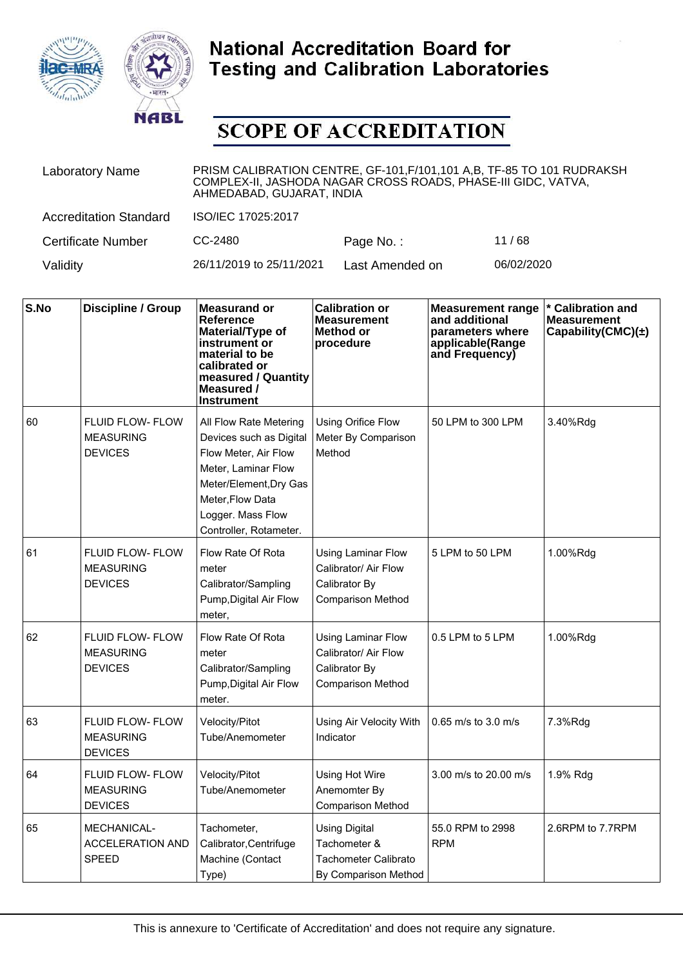



| <b>Laboratory Name</b>        | PRISM CALIBRATION CENTRE, GF-101, F/101, 101 A,B, TF-85 TO 101 RUDRAKSH<br>COMPLEX-II, JASHODA NAGAR CROSS ROADS, PHASE-III GIDC, VATVA,<br>AHMEDABAD, GUJARAT, INDIA |                 |            |  |
|-------------------------------|-----------------------------------------------------------------------------------------------------------------------------------------------------------------------|-----------------|------------|--|
| <b>Accreditation Standard</b> | ISO/IEC 17025:2017                                                                                                                                                    |                 |            |  |
| <b>Certificate Number</b>     | CC-2480                                                                                                                                                               | Page No.:       | 11/68      |  |
| Validity                      | 26/11/2019 to 25/11/2021                                                                                                                                              | Last Amended on | 06/02/2020 |  |

| S.No | <b>Discipline / Group</b>                                     | <b>Measurand or</b><br>Reference<br>Material/Type of<br>instrument or<br>material to be<br>calibrated or<br>measured / Quantity<br>Measured /<br>Instrument                                  | <b>Calibration or</b><br><b>Measurement</b><br>Method or<br>procedure                          | <b>Measurement range</b><br>and additional<br>parameters where<br>applicable(Range<br>and Frequency) | <b>Calibration and</b><br><b>Measurement</b><br>Capability(CMC) $(\pm)$ |
|------|---------------------------------------------------------------|----------------------------------------------------------------------------------------------------------------------------------------------------------------------------------------------|------------------------------------------------------------------------------------------------|------------------------------------------------------------------------------------------------------|-------------------------------------------------------------------------|
| 60   | <b>FLUID FLOW- FLOW</b><br><b>MEASURING</b><br><b>DEVICES</b> | All Flow Rate Metering<br>Devices such as Digital<br>Flow Meter, Air Flow<br>Meter, Laminar Flow<br>Meter/Element, Dry Gas<br>Meter.Flow Data<br>Logger. Mass Flow<br>Controller, Rotameter. | Using Orifice Flow<br>Meter By Comparison<br>Method                                            | 50 LPM to 300 LPM                                                                                    | 3.40%Rdg                                                                |
| 61   | <b>FLUID FLOW- FLOW</b><br><b>MEASURING</b><br><b>DEVICES</b> | Flow Rate Of Rota<br>meter<br>Calibrator/Sampling<br>Pump, Digital Air Flow<br>meter,                                                                                                        | Using Laminar Flow<br>Calibrator/ Air Flow<br>Calibrator By<br><b>Comparison Method</b>        | 5 LPM to 50 LPM                                                                                      | 1.00%Rdg                                                                |
| 62   | <b>FLUID FLOW- FLOW</b><br><b>MEASURING</b><br><b>DEVICES</b> | Flow Rate Of Rota<br>meter<br>Calibrator/Sampling<br>Pump, Digital Air Flow<br>meter.                                                                                                        | <b>Using Laminar Flow</b><br>Calibrator/ Air Flow<br>Calibrator By<br><b>Comparison Method</b> | 0.5 LPM to 5 LPM                                                                                     | 1.00%Rdg                                                                |
| 63   | FLUID FLOW- FLOW<br><b>MEASURING</b><br><b>DEVICES</b>        | Velocity/Pitot<br>Tube/Anemometer                                                                                                                                                            | Using Air Velocity With<br>Indicator                                                           | 0.65 m/s to 3.0 m/s                                                                                  | 7.3%Rdg                                                                 |
| 64   | <b>FLUID FLOW- FLOW</b><br><b>MEASURING</b><br><b>DEVICES</b> | Velocity/Pitot<br>Tube/Anemometer                                                                                                                                                            | Using Hot Wire<br>Anemomter By<br><b>Comparison Method</b>                                     | 3.00 m/s to 20.00 m/s                                                                                | 1.9% Rdg                                                                |
| 65   | <b>MECHANICAL-</b><br><b>ACCELERATION AND</b><br><b>SPEED</b> | Tachometer,<br>Calibrator, Centrifuge<br>Machine (Contact<br>Type)                                                                                                                           | <b>Using Digital</b><br>Tachometer &<br>Tachometer Calibrato<br>By Comparison Method           | 55.0 RPM to 2998<br><b>RPM</b>                                                                       | 2.6RPM to 7.7RPM                                                        |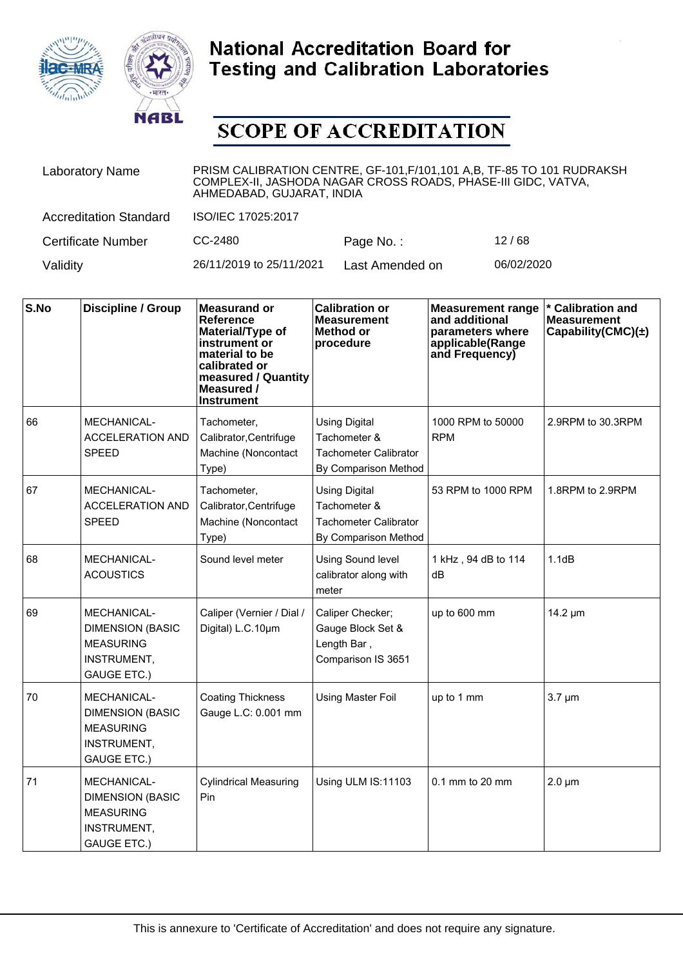



| <b>Laboratory Name</b>        | PRISM CALIBRATION CENTRE, GF-101, F/101, 101 A, B, TF-85 TO 101 RUDRAKSH<br>COMPLEX-II, JASHODA NAGAR CROSS ROADS, PHASE-III GIDC, VATVA,<br>AHMEDABAD, GUJARAT, INDIA |                 |            |  |  |
|-------------------------------|------------------------------------------------------------------------------------------------------------------------------------------------------------------------|-----------------|------------|--|--|
| <b>Accreditation Standard</b> | ISO/IEC 17025:2017                                                                                                                                                     |                 |            |  |  |
| <b>Certificate Number</b>     | CC-2480                                                                                                                                                                | Page No.:       | 12/68      |  |  |
| Validity                      | 26/11/2019 to 25/11/2021                                                                                                                                               | Last Amended on | 06/02/2020 |  |  |

| S.No | <b>Discipline / Group</b>                                                                              | <b>Measurand or</b><br><b>Reference</b><br>Material/Type of<br>instrument or<br>material to be<br>calibrated or<br>measured / Quantity<br>Measured /<br><b>Instrument</b> | <b>Calibration or</b><br><b>Measurement</b><br><b>Method or</b><br>procedure          | <b>Measurement range</b><br>and additional<br>parameters where<br>applicable(Range<br>and Frequency) | <b>Calibration and</b><br><b>Measurement</b><br>Capability(CMC) $(\pm)$ |
|------|--------------------------------------------------------------------------------------------------------|---------------------------------------------------------------------------------------------------------------------------------------------------------------------------|---------------------------------------------------------------------------------------|------------------------------------------------------------------------------------------------------|-------------------------------------------------------------------------|
| 66   | MECHANICAL-<br><b>ACCELERATION AND</b><br><b>SPEED</b>                                                 | Tachometer,<br>Calibrator, Centrifuge<br>Machine (Noncontact<br>Type)                                                                                                     | <b>Using Digital</b><br>Tachometer &<br>Tachometer Calibrator<br>By Comparison Method | 1000 RPM to 50000<br><b>RPM</b>                                                                      | 2.9RPM to 30.3RPM                                                       |
| 67   | MECHANICAL-<br><b>ACCELERATION AND</b><br><b>SPEED</b>                                                 | Tachometer,<br>Calibrator, Centrifuge<br>Machine (Noncontact<br>Type)                                                                                                     | <b>Using Digital</b><br>Tachometer &<br>Tachometer Calibrator<br>By Comparison Method | 53 RPM to 1000 RPM                                                                                   | 1.8RPM to 2.9RPM                                                        |
| 68   | <b>MECHANICAL-</b><br><b>ACOUSTICS</b>                                                                 | Sound level meter                                                                                                                                                         | <b>Using Sound level</b><br>calibrator along with<br>meter                            | 1 kHz, 94 dB to 114<br>dB                                                                            | 1.1dB                                                                   |
| 69   | MECHANICAL-<br><b>DIMENSION (BASIC</b><br><b>MEASURING</b><br>INSTRUMENT,<br><b>GAUGE ETC.)</b>        | Caliper (Vernier / Dial /<br>Digital) L.C.10um                                                                                                                            | Caliper Checker;<br>Gauge Block Set &<br>Length Bar,<br>Comparison IS 3651            | up to 600 mm                                                                                         | 14.2 µm                                                                 |
| 70   | MECHANICAL-<br><b>DIMENSION (BASIC</b><br><b>MEASURING</b><br>INSTRUMENT,<br><b>GAUGE ETC.)</b>        | <b>Coating Thickness</b><br>Gauge L.C: 0.001 mm                                                                                                                           | <b>Using Master Foil</b>                                                              | up to 1 mm                                                                                           | $3.7 \mu m$                                                             |
| 71   | <b>MECHANICAL-</b><br><b>DIMENSION (BASIC</b><br><b>MEASURING</b><br>INSTRUMENT,<br><b>GAUGE ETC.)</b> | <b>Cylindrical Measuring</b><br>Pin                                                                                                                                       | Using ULM IS:11103                                                                    | $0.1$ mm to 20 mm                                                                                    | $2.0 \mu m$                                                             |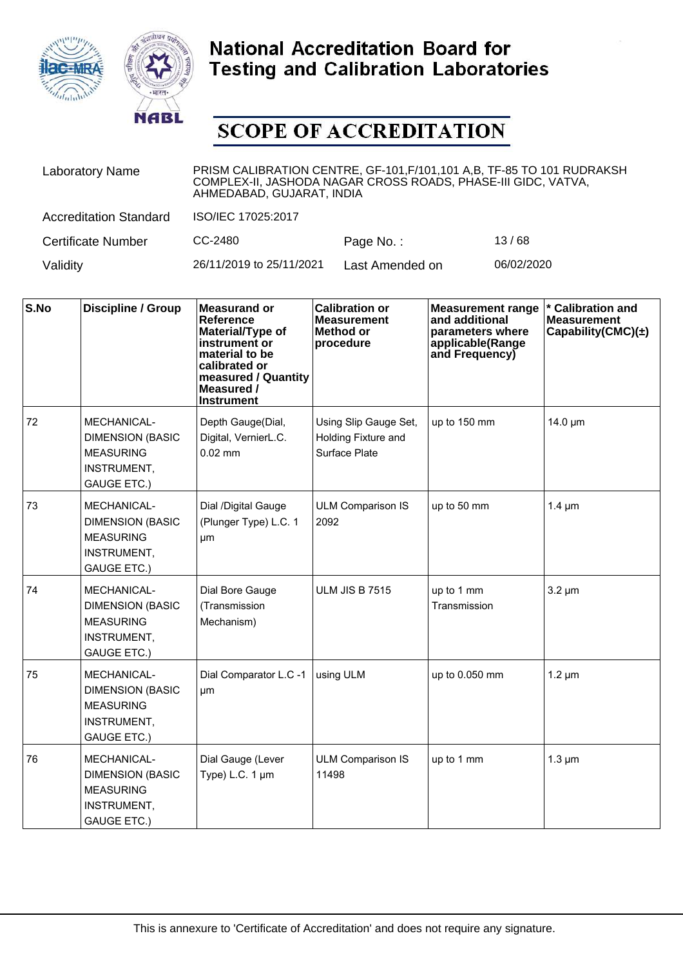



| <b>Laboratory Name</b>        | PRISM CALIBRATION CENTRE, GF-101, F/101, 101 A, B, TF-85 TO 101 RUDRAKSH<br>COMPLEX-II, JASHODA NAGAR CROSS ROADS, PHASE-III GIDC, VATVA,<br>AHMEDABAD, GUJARAT, INDIA |                 |            |  |  |
|-------------------------------|------------------------------------------------------------------------------------------------------------------------------------------------------------------------|-----------------|------------|--|--|
| <b>Accreditation Standard</b> | ISO/IEC 17025:2017                                                                                                                                                     |                 |            |  |  |
| <b>Certificate Number</b>     | CC-2480                                                                                                                                                                | Page No.:       | 13/68      |  |  |
| Validity                      | 26/11/2019 to 25/11/2021                                                                                                                                               | Last Amended on | 06/02/2020 |  |  |

| S.No | <b>Discipline / Group</b>                                                                              | <b>Measurand or</b><br>Reference<br>Material/Type of<br>instrument or<br>material to be<br>calibrated or<br>measured / Quantity<br>Measured /<br><b>Instrument</b> | <b>Calibration or</b><br><b>Measurement</b><br><b>Method or</b><br>procedure | <b>Measurement range</b><br>and additional<br>parameters where<br>applicable(Range<br>and Frequency) | * Calibration and<br><b>Measurement</b><br>Capability(CMC) $(\pm)$ |
|------|--------------------------------------------------------------------------------------------------------|--------------------------------------------------------------------------------------------------------------------------------------------------------------------|------------------------------------------------------------------------------|------------------------------------------------------------------------------------------------------|--------------------------------------------------------------------|
| 72   | MECHANICAL-<br><b>DIMENSION (BASIC</b><br><b>MEASURING</b><br>INSTRUMENT,<br><b>GAUGE ETC.)</b>        | Depth Gauge(Dial,<br>Digital, VernierL.C.<br>$0.02$ mm                                                                                                             | Using Slip Gauge Set,<br>Holding Fixture and<br>Surface Plate                | up to 150 mm                                                                                         | 14.0 µm                                                            |
| 73   | MECHANICAL-<br><b>DIMENSION (BASIC</b><br><b>MEASURING</b><br>INSTRUMENT,<br><b>GAUGE ETC.)</b>        | Dial /Digital Gauge<br>(Plunger Type) L.C. 1<br>μm                                                                                                                 | <b>ULM Comparison IS</b><br>2092                                             | up to 50 mm                                                                                          | $1.4 \mu m$                                                        |
| 74   | <b>MECHANICAL-</b><br><b>DIMENSION (BASIC</b><br><b>MEASURING</b><br>INSTRUMENT,<br><b>GAUGE ETC.)</b> | Dial Bore Gauge<br>(Transmission<br>Mechanism)                                                                                                                     | <b>ULM JIS B 7515</b>                                                        | up to 1 mm<br>Transmission                                                                           | $3.2 \mu m$                                                        |
| 75   | MECHANICAL-<br><b>DIMENSION (BASIC</b><br><b>MEASURING</b><br>INSTRUMENT,<br><b>GAUGE ETC.)</b>        | Dial Comparator L.C -1<br>um                                                                                                                                       | using ULM                                                                    | up to 0.050 mm                                                                                       | $1.2 \mu m$                                                        |
| 76   | MECHANICAL-<br><b>DIMENSION (BASIC</b><br><b>MEASURING</b><br>INSTRUMENT,<br><b>GAUGE ETC.)</b>        | Dial Gauge (Lever<br>Type) L.C. 1 µm                                                                                                                               | <b>ULM Comparison IS</b><br>11498                                            | up to 1 mm                                                                                           | $1.3 \mu m$                                                        |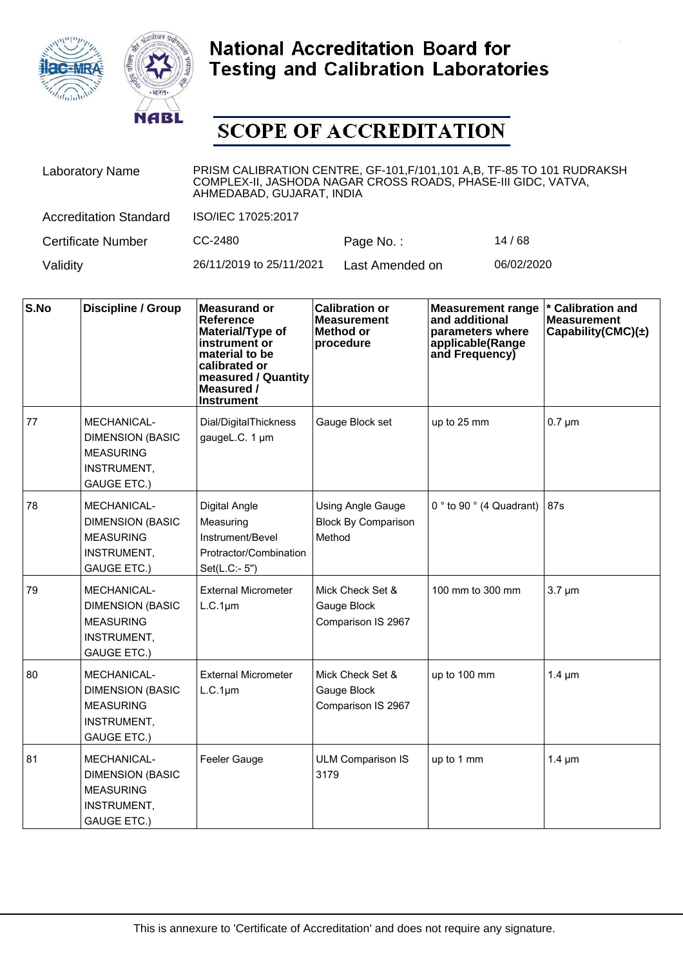



| <b>Laboratory Name</b>        | PRISM CALIBRATION CENTRE, GF-101, F/101, 101 A, B, TF-85 TO 101 RUDRAKSH<br>COMPLEX-II, JASHODA NAGAR CROSS ROADS, PHASE-III GIDC, VATVA,<br>AHMEDABAD, GUJARAT, INDIA |                 |            |  |  |
|-------------------------------|------------------------------------------------------------------------------------------------------------------------------------------------------------------------|-----------------|------------|--|--|
| <b>Accreditation Standard</b> | ISO/IEC 17025:2017                                                                                                                                                     |                 |            |  |  |
| <b>Certificate Number</b>     | CC-2480                                                                                                                                                                | Page No.:       | 14/68      |  |  |
| Validity                      | 26/11/2019 to 25/11/2021                                                                                                                                               | Last Amended on | 06/02/2020 |  |  |

| S.No | <b>Discipline / Group</b>                                                                              | <b>Measurand or</b><br>Reference<br>Material/Type of<br>instrument or<br>material to be<br>calibrated or<br>measured / Quantity<br>Measured /<br><b>Instrument</b> | <b>Calibration or</b><br><b>Measurement</b><br><b>Method or</b><br>procedure | <b>Measurement range</b><br>and additional<br>parameters where<br>applicable(Range<br>and Frequency) | * Calibration and<br><b>Measurement</b><br>Capability(CMC) $(\pm)$ |
|------|--------------------------------------------------------------------------------------------------------|--------------------------------------------------------------------------------------------------------------------------------------------------------------------|------------------------------------------------------------------------------|------------------------------------------------------------------------------------------------------|--------------------------------------------------------------------|
| 77   | MECHANICAL-<br><b>DIMENSION (BASIC</b><br><b>MEASURING</b><br>INSTRUMENT,<br><b>GAUGE ETC.)</b>        | Dial/DigitalThickness<br>gaugeL.C. 1 µm                                                                                                                            | Gauge Block set                                                              | up to 25 mm                                                                                          | $0.7 \mu m$                                                        |
| 78   | <b>MECHANICAL-</b><br><b>DIMENSION (BASIC</b><br><b>MEASURING</b><br>INSTRUMENT,<br><b>GAUGE ETC.)</b> | Digital Angle<br>Measuring<br>Instrument/Bevel<br>Protractor/Combination<br>Set(L.C:- 5")                                                                          | <b>Using Angle Gauge</b><br><b>Block By Comparison</b><br>Method             | 0 $^{\circ}$ to 90 $^{\circ}$ (4 Quadrant)                                                           | 87s                                                                |
| 79   | MECHANICAL-<br><b>DIMENSION (BASIC</b><br><b>MEASURING</b><br>INSTRUMENT,<br><b>GAUGE ETC.)</b>        | <b>External Micrometer</b><br>$L.C.1 \mu m$                                                                                                                        | Mick Check Set &<br>Gauge Block<br>Comparison IS 2967                        | 100 mm to 300 mm                                                                                     | $3.7 \mu m$                                                        |
| 80   | MECHANICAL-<br><b>DIMENSION (BASIC</b><br><b>MEASURING</b><br>INSTRUMENT,<br><b>GAUGE ETC.)</b>        | <b>External Micrometer</b><br>$L.C.1 \mu m$                                                                                                                        | Mick Check Set &<br>Gauge Block<br>Comparison IS 2967                        | up to 100 mm                                                                                         | $1.4 \mu m$                                                        |
| 81   | MECHANICAL-<br><b>DIMENSION (BASIC</b><br><b>MEASURING</b><br>INSTRUMENT,<br><b>GAUGE ETC.)</b>        | Feeler Gauge                                                                                                                                                       | <b>ULM Comparison IS</b><br>3179                                             | up to 1 mm                                                                                           | $1.4 \mu m$                                                        |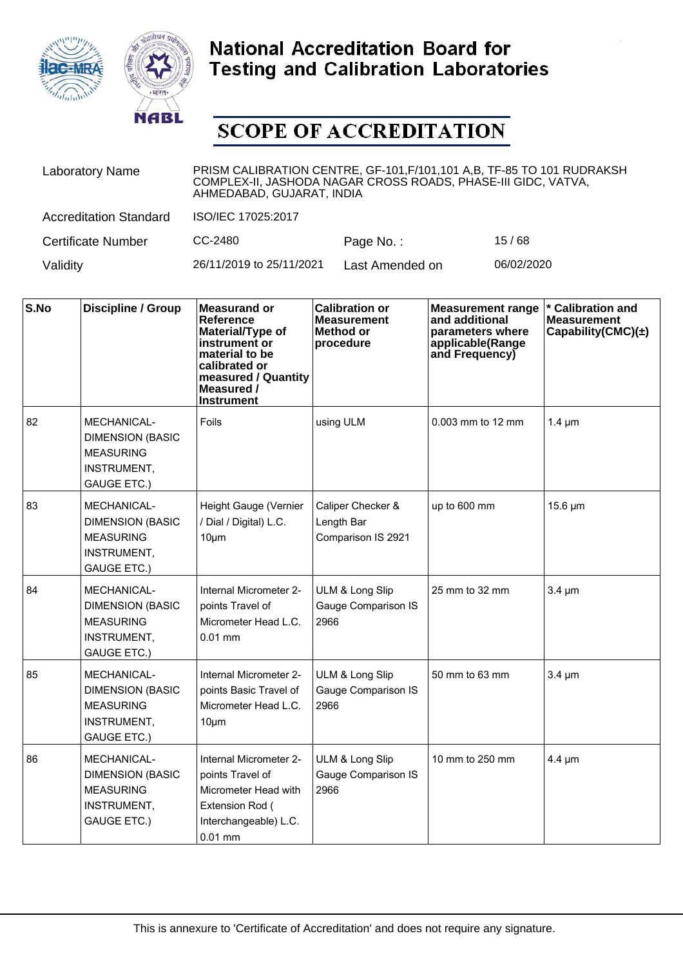



| <b>Laboratory Name</b>        | PRISM CALIBRATION CENTRE, GF-101, F/101, 101 A, B, TF-85 TO 101 RUDRAKSH<br>COMPLEX-II, JASHODA NAGAR CROSS ROADS, PHASE-III GIDC, VATVA,<br>AHMEDABAD, GUJARAT, INDIA |                 |            |  |  |
|-------------------------------|------------------------------------------------------------------------------------------------------------------------------------------------------------------------|-----------------|------------|--|--|
| <b>Accreditation Standard</b> | ISO/IEC 17025:2017                                                                                                                                                     |                 |            |  |  |
| <b>Certificate Number</b>     | CC-2480                                                                                                                                                                | Page No.:       | 15/68      |  |  |
| Validity                      | 26/11/2019 to 25/11/2021                                                                                                                                               | Last Amended on | 06/02/2020 |  |  |

| S.No | <b>Discipline / Group</b>                                                                              | <b>Measurand or</b><br><b>Reference</b><br>Material/Type of<br>instrument or<br>material to be<br>calibrated or<br>measured / Quantity<br>Measured /<br><b>Instrument</b> | <b>Calibration or</b><br><b>Measurement</b><br><b>Method or</b><br>procedure | <b>Measurement range</b><br>and additional<br>parameters where<br>applicable(Range<br>and Frequency) | * Calibration and<br><b>Measurement</b><br>Capability(CMC) $(\pm)$ |
|------|--------------------------------------------------------------------------------------------------------|---------------------------------------------------------------------------------------------------------------------------------------------------------------------------|------------------------------------------------------------------------------|------------------------------------------------------------------------------------------------------|--------------------------------------------------------------------|
| 82   | <b>MECHANICAL-</b><br><b>DIMENSION (BASIC</b><br><b>MEASURING</b><br>INSTRUMENT,<br><b>GAUGE ETC.)</b> | Foils                                                                                                                                                                     | using ULM                                                                    | $0.003$ mm to 12 mm                                                                                  | $1.4 \mu m$                                                        |
| 83   | MECHANICAL-<br><b>DIMENSION (BASIC</b><br><b>MEASURING</b><br>INSTRUMENT,<br><b>GAUGE ETC.)</b>        | Height Gauge (Vernier<br>/ Dial / Digital) L.C.<br>$10 \mu m$                                                                                                             | Caliper Checker &<br>Length Bar<br>Comparison IS 2921                        | up to 600 mm                                                                                         | 15.6 µm                                                            |
| 84   | <b>MECHANICAL-</b><br><b>DIMENSION (BASIC</b><br><b>MEASURING</b><br>INSTRUMENT,<br><b>GAUGE ETC.)</b> | Internal Micrometer 2-<br>points Travel of<br>Micrometer Head L.C.<br>$0.01$ mm                                                                                           | ULM & Long Slip<br>Gauge Comparison IS<br>2966                               | 25 mm to 32 mm                                                                                       | $3.4 \mu m$                                                        |
| 85   | <b>MECHANICAL-</b><br><b>DIMENSION (BASIC</b><br><b>MEASURING</b><br>INSTRUMENT,<br><b>GAUGE ETC.)</b> | Internal Micrometer 2-<br>points Basic Travel of<br>Micrometer Head L.C.<br>$10 \mu m$                                                                                    | ULM & Long Slip<br><b>Gauge Comparison IS</b><br>2966                        | 50 mm to 63 mm                                                                                       | $3.4 \mu m$                                                        |
| 86   | <b>MECHANICAL-</b><br><b>DIMENSION (BASIC</b><br><b>MEASURING</b><br>INSTRUMENT,<br><b>GAUGE ETC.)</b> | Internal Micrometer 2-<br>points Travel of<br>Micrometer Head with<br>Extension Rod (<br>Interchangeable) L.C.<br>$0.01$ mm                                               | ULM & Long Slip<br>Gauge Comparison IS<br>2966                               | 10 mm to 250 mm                                                                                      | $4.4 \mu m$                                                        |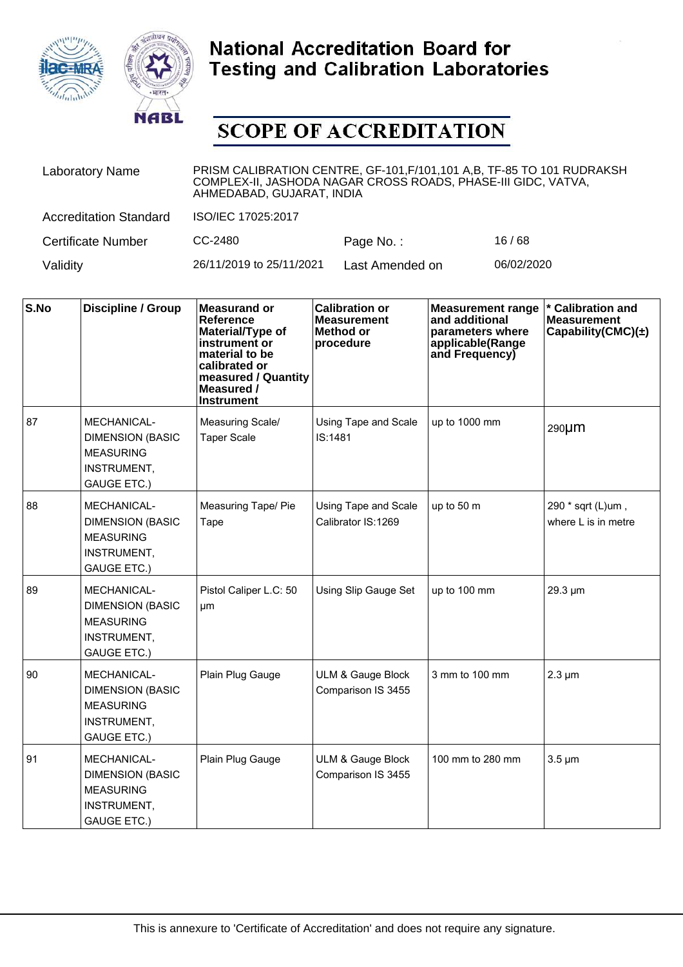



| <b>Laboratory Name</b>        | PRISM CALIBRATION CENTRE, GF-101, F/101, 101 A, B, TF-85 TO 101 RUDRAKSH<br>COMPLEX-II, JASHODA NAGAR CROSS ROADS, PHASE-III GIDC, VATVA,<br>AHMEDABAD, GUJARAT, INDIA |                 |            |  |  |
|-------------------------------|------------------------------------------------------------------------------------------------------------------------------------------------------------------------|-----------------|------------|--|--|
| <b>Accreditation Standard</b> | ISO/IEC 17025:2017                                                                                                                                                     |                 |            |  |  |
| <b>Certificate Number</b>     | CC-2480                                                                                                                                                                | Page No.:       | 16/68      |  |  |
| Validity                      | 26/11/2019 to 25/11/2021                                                                                                                                               | Last Amended on | 06/02/2020 |  |  |

| S.No | <b>Discipline / Group</b>                                                                       | <b>Measurand or</b><br><b>Reference</b><br>Material/Type of<br>instrument or<br>material to be<br>calibrated or<br>measured / Quantity<br>Measured /<br><b>Instrument</b> | <b>Calibration or</b><br><b>Measurement</b><br><b>Method or</b><br>procedure | <b>Measurement range</b><br>and additional<br>parameters where<br>applicable(Range<br>and Frequency) | <b>Calibration and</b><br><b>Measurement</b><br>Capability(CMC) $(\pm)$ |
|------|-------------------------------------------------------------------------------------------------|---------------------------------------------------------------------------------------------------------------------------------------------------------------------------|------------------------------------------------------------------------------|------------------------------------------------------------------------------------------------------|-------------------------------------------------------------------------|
| 87   | MECHANICAL-<br><b>DIMENSION (BASIC</b><br><b>MEASURING</b><br>INSTRUMENT,<br><b>GAUGE ETC.)</b> | Measuring Scale/<br><b>Taper Scale</b>                                                                                                                                    | Using Tape and Scale<br>IS:1481                                              | up to 1000 mm                                                                                        | 290µm                                                                   |
| 88   | MECHANICAL-<br><b>DIMENSION (BASIC</b><br><b>MEASURING</b><br>INSTRUMENT,<br><b>GAUGE ETC.)</b> | Measuring Tape/ Pie<br>Tape                                                                                                                                               | Using Tape and Scale<br>Calibrator IS:1269                                   | up to 50 m                                                                                           | 290 * sqrt (L)um,<br>where L is in metre                                |
| 89   | MECHANICAL-<br><b>DIMENSION (BASIC</b><br><b>MEASURING</b><br>INSTRUMENT,<br><b>GAUGE ETC.)</b> | Pistol Caliper L.C: 50<br>μm                                                                                                                                              | Using Slip Gauge Set                                                         | up to 100 mm                                                                                         | 29.3 µm                                                                 |
| 90   | MECHANICAL-<br><b>DIMENSION (BASIC</b><br><b>MEASURING</b><br>INSTRUMENT,<br><b>GAUGE ETC.)</b> | Plain Plug Gauge                                                                                                                                                          | ULM & Gauge Block<br>Comparison IS 3455                                      | 3 mm to 100 mm                                                                                       | $2.3 \mu m$                                                             |
| 91   | MECHANICAL-<br><b>DIMENSION (BASIC</b><br><b>MEASURING</b><br>INSTRUMENT,<br><b>GAUGE ETC.)</b> | Plain Plug Gauge                                                                                                                                                          | ULM & Gauge Block<br>Comparison IS 3455                                      | 100 mm to 280 mm                                                                                     | $3.5 \mu m$                                                             |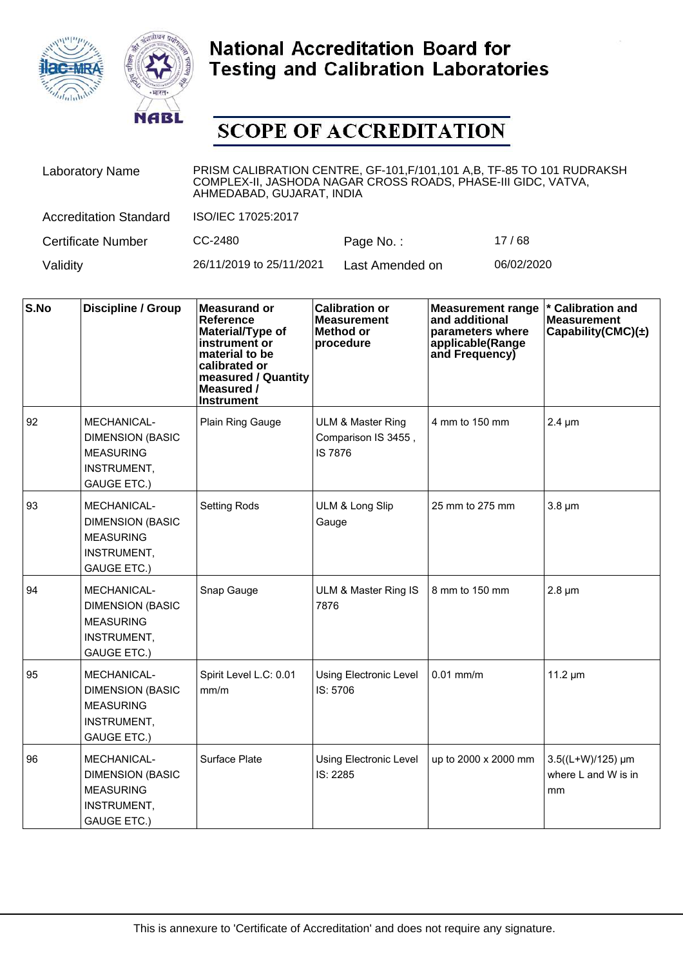



| <b>Laboratory Name</b>        | PRISM CALIBRATION CENTRE, GF-101, F/101, 101 A, B, TF-85 TO 101 RUDRAKSH<br>COMPLEX-II, JASHODA NAGAR CROSS ROADS, PHASE-III GIDC, VATVA,<br>AHMEDABAD, GUJARAT, INDIA |                 |            |  |  |
|-------------------------------|------------------------------------------------------------------------------------------------------------------------------------------------------------------------|-----------------|------------|--|--|
| <b>Accreditation Standard</b> | ISO/IEC 17025:2017                                                                                                                                                     |                 |            |  |  |
| <b>Certificate Number</b>     | CC-2480                                                                                                                                                                | Page No.:       | 17/68      |  |  |
| Validity                      | 26/11/2019 to 25/11/2021                                                                                                                                               | Last Amended on | 06/02/2020 |  |  |

| S.No | <b>Discipline / Group</b>                                                                       | <b>Measurand or</b><br><b>Reference</b><br>Material/Type of<br>instrument or<br>material to be<br>calibrated or<br>measured / Quantity<br>Measured /<br><b>Instrument</b> | <b>Calibration or</b><br><b>Measurement</b><br><b>Method or</b><br>procedure | <b>Measurement range</b><br>and additional<br>parameters where<br>applicable(Range<br>and Frequency) | * Calibration and<br><b>Measurement</b><br>Capability(CMC) $(\pm)$ |
|------|-------------------------------------------------------------------------------------------------|---------------------------------------------------------------------------------------------------------------------------------------------------------------------------|------------------------------------------------------------------------------|------------------------------------------------------------------------------------------------------|--------------------------------------------------------------------|
| 92   | MECHANICAL-<br><b>DIMENSION (BASIC</b><br><b>MEASURING</b><br>INSTRUMENT,<br><b>GAUGE ETC.)</b> | Plain Ring Gauge                                                                                                                                                          | <b>ULM &amp; Master Ring</b><br>Comparison IS 3455,<br><b>IS 7876</b>        | 4 mm to 150 mm                                                                                       | $2.4 \mu m$                                                        |
| 93   | MECHANICAL-<br><b>DIMENSION (BASIC</b><br><b>MEASURING</b><br>INSTRUMENT,<br><b>GAUGE ETC.)</b> | <b>Setting Rods</b>                                                                                                                                                       | ULM & Long Slip<br>Gauge                                                     | 25 mm to 275 mm                                                                                      | $3.8 \mu m$                                                        |
| 94   | MECHANICAL-<br><b>DIMENSION (BASIC</b><br><b>MEASURING</b><br>INSTRUMENT,<br><b>GAUGE ETC.)</b> | Snap Gauge                                                                                                                                                                | ULM & Master Ring IS<br>7876                                                 | 8 mm to 150 mm                                                                                       | $2.8 \mu m$                                                        |
| 95   | MECHANICAL-<br><b>DIMENSION (BASIC</b><br><b>MEASURING</b><br>INSTRUMENT,<br><b>GAUGE ETC.)</b> | Spirit Level L.C: 0.01<br>mm/m                                                                                                                                            | <b>Using Electronic Level</b><br>IS: 5706                                    | $0.01$ mm/m                                                                                          | $11.2 \mu m$                                                       |
| 96   | MECHANICAL-<br><b>DIMENSION (BASIC</b><br><b>MEASURING</b><br>INSTRUMENT,<br><b>GAUGE ETC.)</b> | Surface Plate                                                                                                                                                             | Using Electronic Level<br>IS: 2285                                           | up to 2000 x 2000 mm                                                                                 | 3.5((L+W)/125) µm<br>where L and W is in<br>mm                     |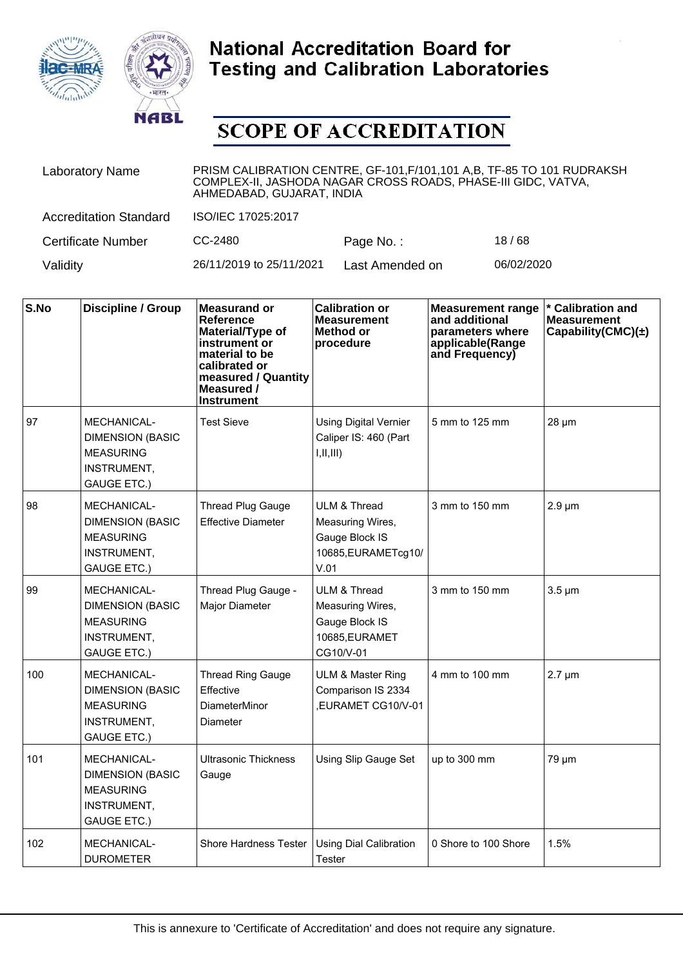



| <b>Laboratory Name</b>        | PRISM CALIBRATION CENTRE, GF-101, F/101, 101 A,B, TF-85 TO 101 RUDRAKSH<br>COMPLEX-II, JASHODA NAGAR CROSS ROADS, PHASE-III GIDC, VATVA,<br>AHMEDABAD, GUJARAT, INDIA |                 |            |  |  |
|-------------------------------|-----------------------------------------------------------------------------------------------------------------------------------------------------------------------|-----------------|------------|--|--|
| <b>Accreditation Standard</b> | ISO/IEC 17025:2017                                                                                                                                                    |                 |            |  |  |
| <b>Certificate Number</b>     | CC-2480                                                                                                                                                               | Page No.:       | 18/68      |  |  |
| Validity                      | 26/11/2019 to 25/11/2021                                                                                                                                              | Last Amended on | 06/02/2020 |  |  |

| S.No | <b>Discipline / Group</b>                                                                       | <b>Measurand or</b><br>Reference<br>Material/Type of<br>instrument or<br>material to be<br>calibrated or<br>measured / Quantity<br>Measured /<br><b>Instrument</b> | <b>Calibration or</b><br><b>Measurement</b><br>Method or<br>procedure                        | <b>Measurement range</b><br>and additional<br>parameters where<br>applicable(Range<br>and Frequency) | * Calibration and<br><b>Measurement</b><br>Capability $(CMC)(\pm)$ |
|------|-------------------------------------------------------------------------------------------------|--------------------------------------------------------------------------------------------------------------------------------------------------------------------|----------------------------------------------------------------------------------------------|------------------------------------------------------------------------------------------------------|--------------------------------------------------------------------|
| 97   | MECHANICAL-<br><b>DIMENSION (BASIC</b><br><b>MEASURING</b><br>INSTRUMENT,<br><b>GAUGE ETC.)</b> | <b>Test Sieve</b>                                                                                                                                                  | <b>Using Digital Vernier</b><br>Caliper IS: 460 (Part<br>I,II,III)                           | 5 mm to 125 mm                                                                                       | $28 \mu m$                                                         |
| 98   | MECHANICAL-<br><b>DIMENSION (BASIC</b><br><b>MEASURING</b><br>INSTRUMENT,<br><b>GAUGE ETC.)</b> | <b>Thread Plug Gauge</b><br><b>Effective Diameter</b>                                                                                                              | <b>ULM &amp; Thread</b><br>Measuring Wires,<br>Gauge Block IS<br>10685, EURAMETcg10/<br>V.01 | 3 mm to 150 mm                                                                                       | $2.9 \mu m$                                                        |
| 99   | MECHANICAL-<br><b>DIMENSION (BASIC</b><br><b>MEASURING</b><br>INSTRUMENT,<br><b>GAUGE ETC.)</b> | Thread Plug Gauge -<br>Major Diameter                                                                                                                              | ULM & Thread<br>Measuring Wires,<br>Gauge Block IS<br>10685, EURAMET<br>CG10/V-01            | 3 mm to 150 mm                                                                                       | $3.5 \mu m$                                                        |
| 100  | MECHANICAL-<br><b>DIMENSION (BASIC</b><br><b>MEASURING</b><br>INSTRUMENT,<br><b>GAUGE ETC.)</b> | <b>Thread Ring Gauge</b><br>Effective<br><b>DiameterMinor</b><br>Diameter                                                                                          | <b>ULM &amp; Master Ring</b><br>Comparison IS 2334<br>,EURAMET CG10/V-01                     | 4 mm to 100 mm                                                                                       | $2.7 \mu m$                                                        |
| 101  | MECHANICAL-<br><b>DIMENSION (BASIC</b><br><b>MEASURING</b><br>INSTRUMENT,<br><b>GAUGE ETC.)</b> | <b>Ultrasonic Thickness</b><br>Gauge                                                                                                                               | Using Slip Gauge Set                                                                         | up to 300 mm                                                                                         | 79 µm                                                              |
| 102  | MECHANICAL-<br><b>DUROMETER</b>                                                                 | Shore Hardness Tester                                                                                                                                              | Using Dial Calibration<br><b>Tester</b>                                                      | 0 Shore to 100 Shore                                                                                 | 1.5%                                                               |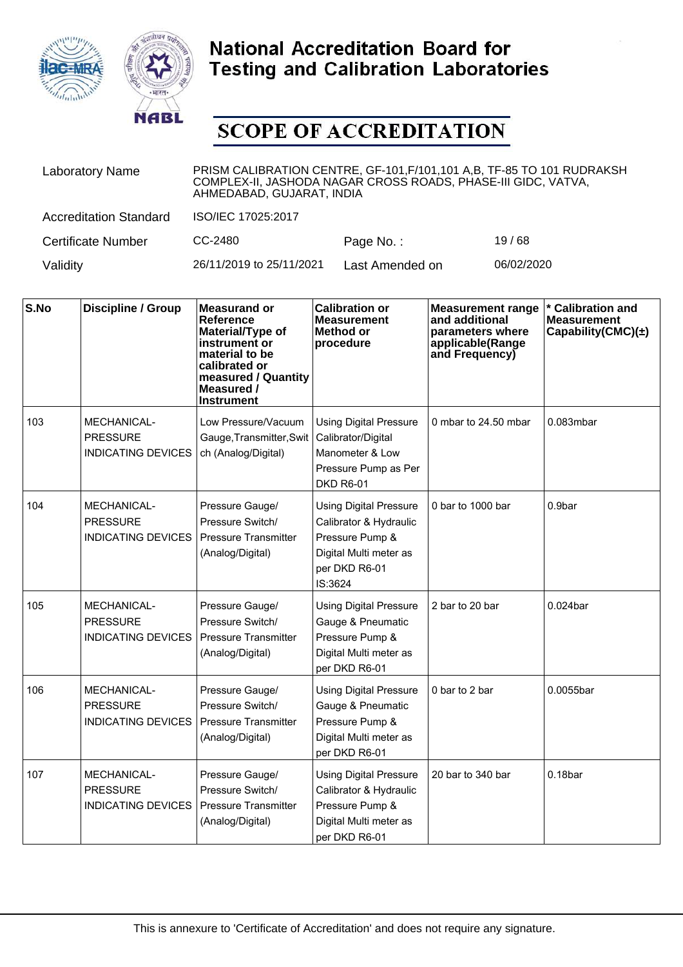



| <b>Laboratory Name</b>        | PRISM CALIBRATION CENTRE, GF-101, F/101, 101 A, B, TF-85 TO 101 RUDRAKSH<br>COMPLEX-II, JASHODA NAGAR CROSS ROADS, PHASE-III GIDC, VATVA,<br>AHMEDABAD, GUJARAT, INDIA |                 |            |  |  |
|-------------------------------|------------------------------------------------------------------------------------------------------------------------------------------------------------------------|-----------------|------------|--|--|
| <b>Accreditation Standard</b> | ISO/IEC 17025:2017                                                                                                                                                     |                 |            |  |  |
| <b>Certificate Number</b>     | CC-2480                                                                                                                                                                | Page No.:       | 19/68      |  |  |
| Validity                      | 26/11/2019 to 25/11/2021                                                                                                                                               | Last Amended on | 06/02/2020 |  |  |

| S.No | <b>Discipline / Group</b>                                          | <b>Measurand or</b><br><b>Reference</b><br>Material/Type of<br>instrument or<br>material to be<br>calibrated or<br>measured / Quantity<br>Measured /<br><b>Instrument</b> | <b>Calibration or</b><br><b>Measurement</b><br><b>Method or</b><br>procedure                                                     | <b>Measurement range</b><br>and additional<br>parameters where<br>applicable(Range<br>and Frequency) | * Calibration and<br><b>Measurement</b><br>Capability(CMC) $(\pm)$ |
|------|--------------------------------------------------------------------|---------------------------------------------------------------------------------------------------------------------------------------------------------------------------|----------------------------------------------------------------------------------------------------------------------------------|------------------------------------------------------------------------------------------------------|--------------------------------------------------------------------|
| 103  | <b>MECHANICAL-</b><br><b>PRESSURE</b><br><b>INDICATING DEVICES</b> | Low Pressure/Vacuum<br>Gauge, Transmitter, Swit<br>ch (Analog/Digital)                                                                                                    | <b>Using Digital Pressure</b><br>Calibrator/Digital<br>Manometer & Low<br>Pressure Pump as Per<br><b>DKD R6-01</b>               | 0 mbar to 24.50 mbar                                                                                 | 0.083mbar                                                          |
| 104  | <b>MECHANICAL-</b><br><b>PRESSURE</b><br><b>INDICATING DEVICES</b> | Pressure Gauge/<br>Pressure Switch/<br><b>Pressure Transmitter</b><br>(Analog/Digital)                                                                                    | <b>Using Digital Pressure</b><br>Calibrator & Hydraulic<br>Pressure Pump &<br>Digital Multi meter as<br>per DKD R6-01<br>IS:3624 | 0 bar to 1000 bar                                                                                    | 0.9bar                                                             |
| 105  | <b>MECHANICAL-</b><br><b>PRESSURE</b><br><b>INDICATING DEVICES</b> | Pressure Gauge/<br>Pressure Switch/<br><b>Pressure Transmitter</b><br>(Analog/Digital)                                                                                    | <b>Using Digital Pressure</b><br>Gauge & Pneumatic<br>Pressure Pump &<br>Digital Multi meter as<br>per DKD R6-01                 | 2 bar to 20 bar                                                                                      | 0.024bar                                                           |
| 106  | <b>MECHANICAL-</b><br><b>PRESSURE</b><br><b>INDICATING DEVICES</b> | Pressure Gauge/<br>Pressure Switch/<br><b>Pressure Transmitter</b><br>(Analog/Digital)                                                                                    | <b>Using Digital Pressure</b><br>Gauge & Pneumatic<br>Pressure Pump &<br>Digital Multi meter as<br>per DKD R6-01                 | 0 bar to 2 bar                                                                                       | 0.0055bar                                                          |
| 107  | <b>MECHANICAL-</b><br><b>PRESSURE</b><br><b>INDICATING DEVICES</b> | Pressure Gauge/<br>Pressure Switch/<br>Pressure Transmitter<br>(Analog/Digital)                                                                                           | <b>Using Digital Pressure</b><br>Calibrator & Hydraulic<br>Pressure Pump &<br>Digital Multi meter as<br>per DKD R6-01            | 20 bar to 340 bar                                                                                    | 0.18 <sub>bar</sub>                                                |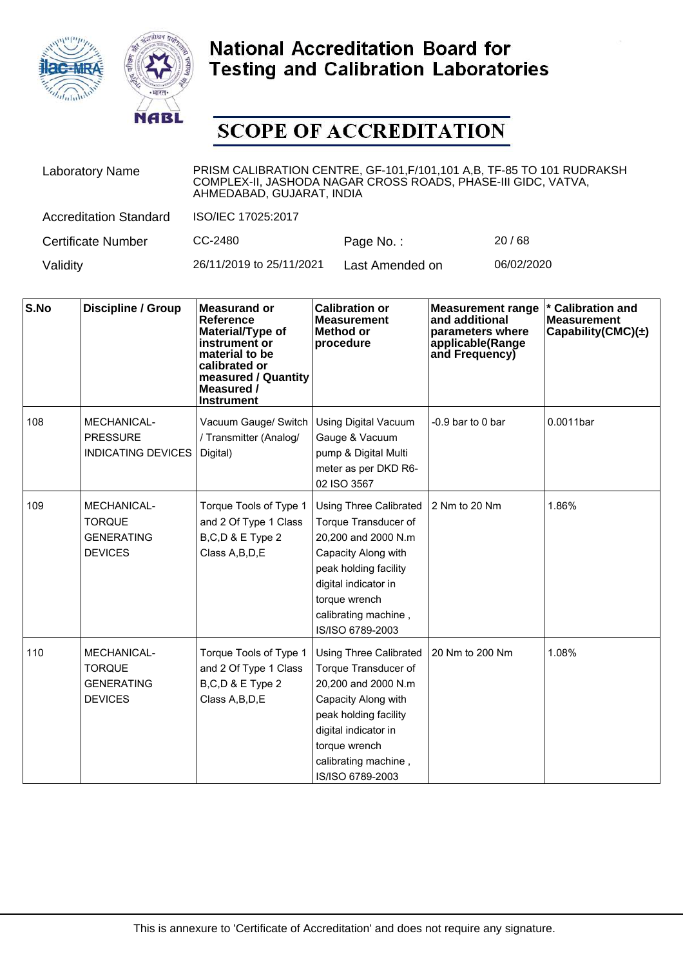



| <b>Laboratory Name</b>        | PRISM CALIBRATION CENTRE, GF-101, F/101, 101 A, B, TF-85 TO 101 RUDRAKSH<br>COMPLEX-II, JASHODA NAGAR CROSS ROADS, PHASE-III GIDC, VATVA,<br>AHMEDABAD, GUJARAT, INDIA |                 |            |  |
|-------------------------------|------------------------------------------------------------------------------------------------------------------------------------------------------------------------|-----------------|------------|--|
| <b>Accreditation Standard</b> | ISO/IEC 17025:2017                                                                                                                                                     |                 |            |  |
| <b>Certificate Number</b>     | CC-2480                                                                                                                                                                | Page No.:       | 20/68      |  |
| Validity                      | 26/11/2019 to 25/11/2021                                                                                                                                               | Last Amended on | 06/02/2020 |  |

| S.No | <b>Discipline / Group</b>                                                  | <b>Measurand or</b><br>Reference<br>Material/Type of<br>instrument or<br>material to be<br>calibrated or<br>measured / Quantity<br>Measured /<br><b>Instrument</b> | <b>Calibration or</b><br><b>Measurement</b><br><b>Method or</b><br>procedure                                                                                                                                      | <b>Measurement range</b><br>and additional<br>parameters where<br>applicable(Range<br>and Frequency) | <b>Calibration and</b><br><b>Measurement</b><br>Capability(CMC) $(\pm)$ |
|------|----------------------------------------------------------------------------|--------------------------------------------------------------------------------------------------------------------------------------------------------------------|-------------------------------------------------------------------------------------------------------------------------------------------------------------------------------------------------------------------|------------------------------------------------------------------------------------------------------|-------------------------------------------------------------------------|
| 108  | MECHANICAL-<br><b>PRESSURE</b><br><b>INDICATING DEVICES</b>                | Vacuum Gauge/ Switch<br>/ Transmitter (Analog/<br>Digital)                                                                                                         | <b>Using Digital Vacuum</b><br>Gauge & Vacuum<br>pump & Digital Multi<br>meter as per DKD R6-<br>02 ISO 3567                                                                                                      | -0.9 bar to 0 bar                                                                                    | 0.0011bar                                                               |
| 109  | <b>MECHANICAL-</b><br><b>TORQUE</b><br><b>GENERATING</b><br><b>DEVICES</b> | Torque Tools of Type 1<br>and 2 Of Type 1 Class<br>B,C,D & E Type 2<br>Class A, B, D, E                                                                            | <b>Using Three Calibrated</b><br>Torque Transducer of<br>20,200 and 2000 N.m<br>Capacity Along with<br>peak holding facility<br>digital indicator in<br>torque wrench<br>calibrating machine,<br>IS/ISO 6789-2003 | 2 Nm to 20 Nm                                                                                        | 1.86%                                                                   |
| 110  | MECHANICAL-<br><b>TORQUE</b><br><b>GENERATING</b><br><b>DEVICES</b>        | Torque Tools of Type 1<br>and 2 Of Type 1 Class<br>B,C,D & E Type 2<br>Class A, B, D, E                                                                            | <b>Using Three Calibrated</b><br>Torque Transducer of<br>20,200 and 2000 N.m<br>Capacity Along with<br>peak holding facility<br>digital indicator in<br>torque wrench<br>calibrating machine,<br>IS/ISO 6789-2003 | 20 Nm to 200 Nm                                                                                      | 1.08%                                                                   |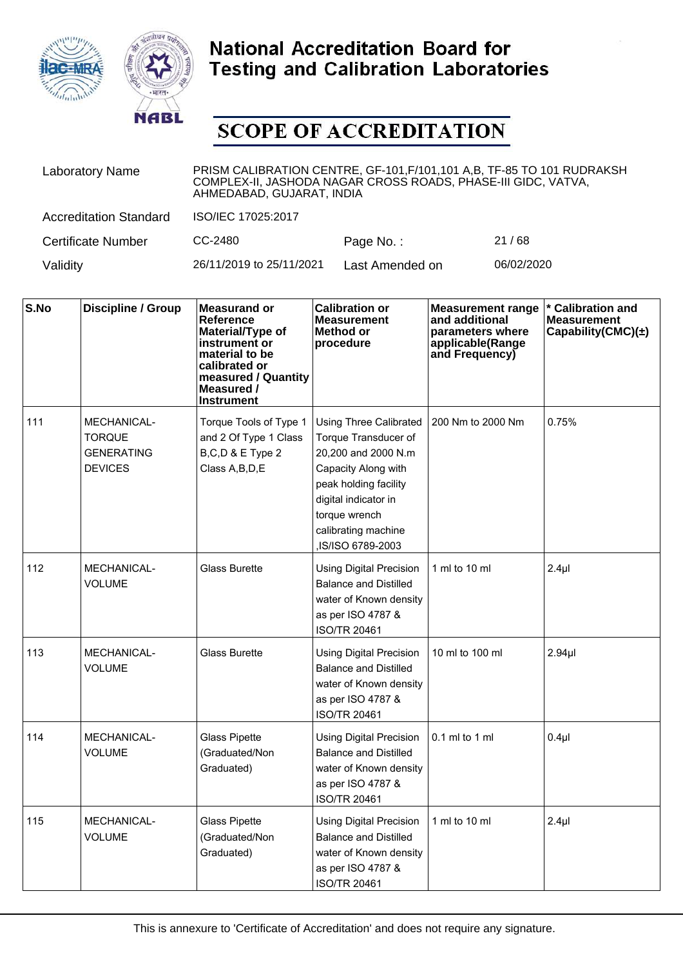



| <b>Laboratory Name</b>        | PRISM CALIBRATION CENTRE, GF-101, F/101, 101 A,B, TF-85 TO 101 RUDRAKSH<br>COMPLEX-II, JASHODA NAGAR CROSS ROADS, PHASE-III GIDC, VATVA,<br>AHMEDABAD, GUJARAT, INDIA |                 |            |  |
|-------------------------------|-----------------------------------------------------------------------------------------------------------------------------------------------------------------------|-----------------|------------|--|
| <b>Accreditation Standard</b> | ISO/IEC 17025:2017                                                                                                                                                    |                 |            |  |
| <b>Certificate Number</b>     | CC-2480                                                                                                                                                               | Page No.:       | 21/68      |  |
| Validity                      | 26/11/2019 to 25/11/2021                                                                                                                                              | Last Amended on | 06/02/2020 |  |

| S.No | Discipline / Group                                                  | <b>Measurand or</b><br>Reference<br>Material/Type of<br>instrument or<br>material to be<br>calibrated or<br>measured / Quantity<br>Measured /<br><b>Instrument</b> | <b>Calibration or</b><br><b>Measurement</b><br>Method or<br>procedure                                                                                                                                      | <b>Measurement range</b><br>and additional<br>parameters where<br>applicable(Range<br>and Frequency) | * Calibration and<br><b>Measurement</b><br>Capability(CMC) $(\pm)$ |
|------|---------------------------------------------------------------------|--------------------------------------------------------------------------------------------------------------------------------------------------------------------|------------------------------------------------------------------------------------------------------------------------------------------------------------------------------------------------------------|------------------------------------------------------------------------------------------------------|--------------------------------------------------------------------|
| 111  | MECHANICAL-<br><b>TORQUE</b><br><b>GENERATING</b><br><b>DEVICES</b> | Torque Tools of Type 1<br>and 2 Of Type 1 Class<br>B,C,D & E Type 2<br>Class A, B, D, E                                                                            | Using Three Calibrated<br>Torque Transducer of<br>20,200 and 2000 N.m<br>Capacity Along with<br>peak holding facility<br>digital indicator in<br>torque wrench<br>calibrating machine<br>,IS/ISO 6789-2003 | 200 Nm to 2000 Nm                                                                                    | 0.75%                                                              |
| 112  | <b>MECHANICAL-</b><br><b>VOLUME</b>                                 | <b>Glass Burette</b>                                                                                                                                               | <b>Using Digital Precision</b><br><b>Balance and Distilled</b><br>water of Known density<br>as per ISO 4787 &<br><b>ISO/TR 20461</b>                                                                       | 1 ml to 10 ml                                                                                        | 2.4 <sub>µ</sub>                                                   |
| 113  | <b>MECHANICAL-</b><br><b>VOLUME</b>                                 | <b>Glass Burette</b>                                                                                                                                               | <b>Using Digital Precision</b><br><b>Balance and Distilled</b><br>water of Known density<br>as per ISO 4787 &<br><b>ISO/TR 20461</b>                                                                       | 10 ml to 100 ml                                                                                      | 2.94 <sub>µ</sub>                                                  |
| 114  | <b>MECHANICAL-</b><br><b>VOLUME</b>                                 | <b>Glass Pipette</b><br>(Graduated/Non<br>Graduated)                                                                                                               | <b>Using Digital Precision</b><br><b>Balance and Distilled</b><br>water of Known density<br>as per ISO 4787 &<br><b>ISO/TR 20461</b>                                                                       | $0.1$ ml to 1 ml                                                                                     | 0.4 <sub>µ</sub>                                                   |
| 115  | <b>MECHANICAL-</b><br><b>VOLUME</b>                                 | <b>Glass Pipette</b><br>(Graduated/Non<br>Graduated)                                                                                                               | <b>Using Digital Precision</b><br><b>Balance and Distilled</b><br>water of Known density<br>as per ISO 4787 &<br><b>ISO/TR 20461</b>                                                                       | 1 ml to 10 ml                                                                                        | 2.4 <sub>µ</sub>                                                   |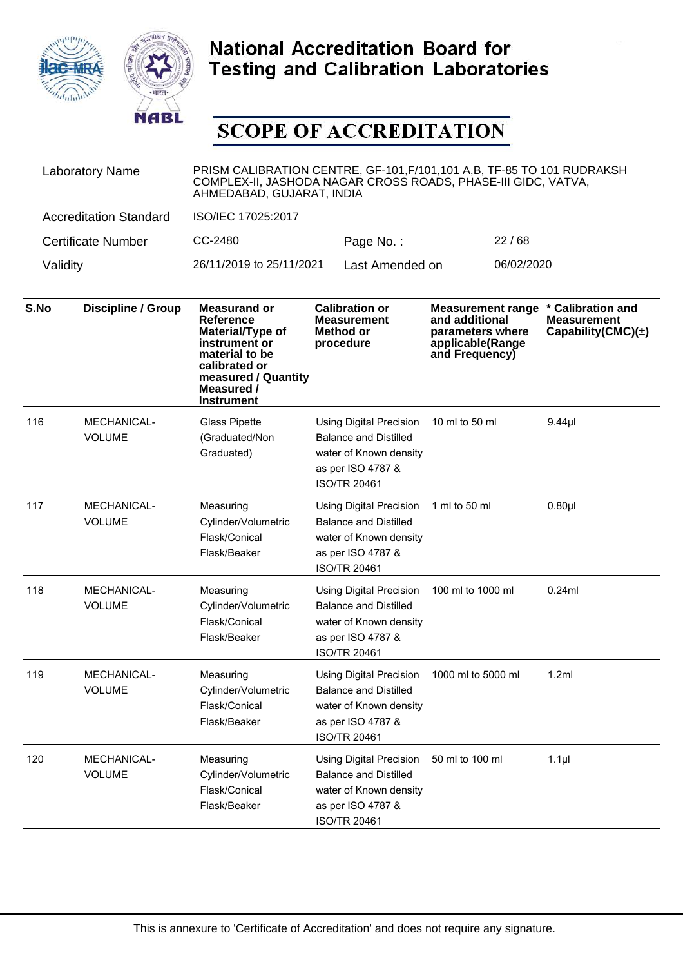



| <b>Laboratory Name</b>        | PRISM CALIBRATION CENTRE, GF-101, F/101, 101 A, B, TF-85 TO 101 RUDRAKSH<br>COMPLEX-II, JASHODA NAGAR CROSS ROADS, PHASE-III GIDC, VATVA,<br>AHMEDABAD, GUJARAT, INDIA |                 |            |  |  |
|-------------------------------|------------------------------------------------------------------------------------------------------------------------------------------------------------------------|-----------------|------------|--|--|
| <b>Accreditation Standard</b> | ISO/IEC 17025:2017                                                                                                                                                     |                 |            |  |  |
| <b>Certificate Number</b>     | CC-2480                                                                                                                                                                | Page No.:       | 22/68      |  |  |
| Validity                      | 26/11/2019 to 25/11/2021                                                                                                                                               | Last Amended on | 06/02/2020 |  |  |

| S.No | <b>Discipline / Group</b>           | <b>Measurand or</b><br>Reference<br>Material/Type of<br>instrument or<br>material to be<br>calibrated or<br>measured / Quantity<br>Measured /<br><b>Instrument</b> | <b>Calibration or</b><br><b>Measurement</b><br>Method or<br>procedure                                                                | <b>Measurement range</b><br>and additional<br>parameters where<br>applicable(Range<br>and Frequency) | * Calibration and<br><b>Measurement</b><br>Capability(CMC) $(\pm)$ |
|------|-------------------------------------|--------------------------------------------------------------------------------------------------------------------------------------------------------------------|--------------------------------------------------------------------------------------------------------------------------------------|------------------------------------------------------------------------------------------------------|--------------------------------------------------------------------|
| 116  | <b>MECHANICAL-</b><br><b>VOLUME</b> | <b>Glass Pipette</b><br>(Graduated/Non<br>Graduated)                                                                                                               | <b>Using Digital Precision</b><br><b>Balance and Distilled</b><br>water of Known density<br>as per ISO 4787 &<br><b>ISO/TR 20461</b> | 10 ml to 50 ml                                                                                       | $9.44$ µl                                                          |
| 117  | <b>MECHANICAL-</b><br><b>VOLUME</b> | Measuring<br>Cylinder/Volumetric<br>Flask/Conical<br>Flask/Beaker                                                                                                  | <b>Using Digital Precision</b><br><b>Balance and Distilled</b><br>water of Known density<br>as per ISO 4787 &<br><b>ISO/TR 20461</b> | 1 ml to 50 ml                                                                                        | 0.80 <sub>µ</sub>                                                  |
| 118  | <b>MECHANICAL-</b><br><b>VOLUME</b> | Measuring<br>Cylinder/Volumetric<br>Flask/Conical<br>Flask/Beaker                                                                                                  | <b>Using Digital Precision</b><br><b>Balance and Distilled</b><br>water of Known density<br>as per ISO 4787 &<br><b>ISO/TR 20461</b> | 100 ml to 1000 ml                                                                                    | 0.24ml                                                             |
| 119  | <b>MECHANICAL-</b><br><b>VOLUME</b> | Measuring<br>Cylinder/Volumetric<br>Flask/Conical<br>Flask/Beaker                                                                                                  | <b>Using Digital Precision</b><br><b>Balance and Distilled</b><br>water of Known density<br>as per ISO 4787 &<br><b>ISO/TR 20461</b> | 1000 ml to 5000 ml                                                                                   | 1.2ml                                                              |
| 120  | <b>MECHANICAL-</b><br><b>VOLUME</b> | Measuring<br>Cylinder/Volumetric<br>Flask/Conical<br>Flask/Beaker                                                                                                  | <b>Using Digital Precision</b><br><b>Balance and Distilled</b><br>water of Known density<br>as per ISO 4787 &<br><b>ISO/TR 20461</b> | 50 ml to 100 ml                                                                                      | $1.1$ µl                                                           |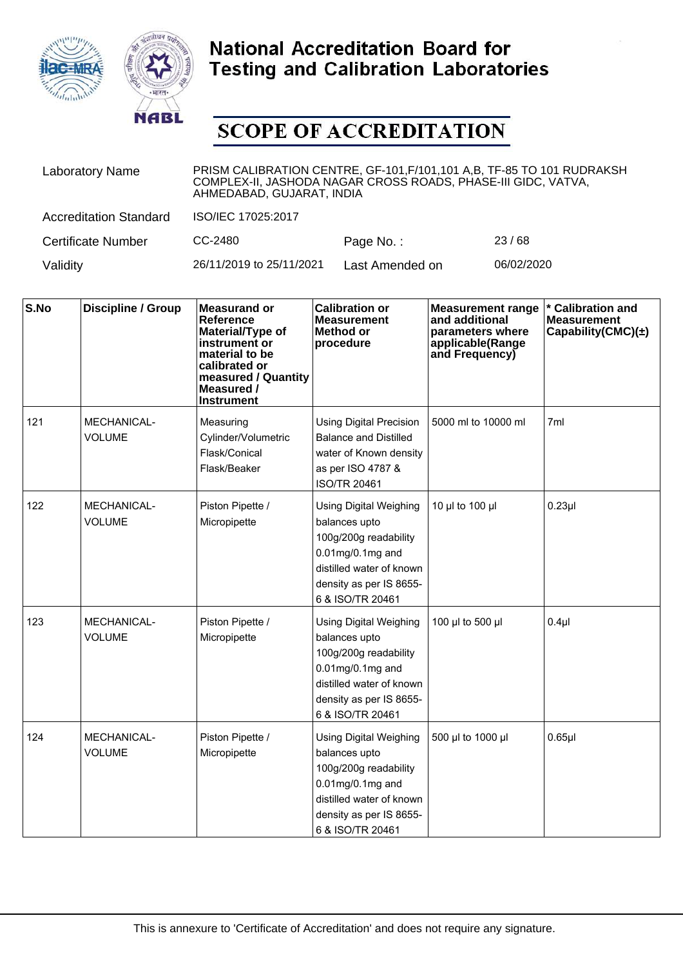



| <b>Laboratory Name</b>        | PRISM CALIBRATION CENTRE, GF-101, F/101, 101 A, B, TF-85 TO 101 RUDRAKSH<br>COMPLEX-II, JASHODA NAGAR CROSS ROADS, PHASE-III GIDC, VATVA,<br>AHMEDABAD, GUJARAT, INDIA |                 |            |  |  |
|-------------------------------|------------------------------------------------------------------------------------------------------------------------------------------------------------------------|-----------------|------------|--|--|
| <b>Accreditation Standard</b> | ISO/IEC 17025:2017                                                                                                                                                     |                 |            |  |  |
| <b>Certificate Number</b>     | CC-2480                                                                                                                                                                | Page No.:       | 23/68      |  |  |
| Validity                      | 26/11/2019 to 25/11/2021                                                                                                                                               | Last Amended on | 06/02/2020 |  |  |

| S.No | <b>Discipline / Group</b>           | <b>Measurand or</b><br><b>Reference</b><br>Material/Type of<br>instrument or<br>material to be<br>calibrated or<br>measured / Quantity<br>Measured /<br><b>Instrument</b> | <b>Calibration or</b><br><b>Measurement</b><br><b>Method or</b><br>procedure                                                                                              | <b>Measurement range</b><br>and additional<br>parameters where<br>applicable(Range<br>and Frequency) | * Calibration and<br><b>Measurement</b><br>Capability(CMC) $(\pm)$ |
|------|-------------------------------------|---------------------------------------------------------------------------------------------------------------------------------------------------------------------------|---------------------------------------------------------------------------------------------------------------------------------------------------------------------------|------------------------------------------------------------------------------------------------------|--------------------------------------------------------------------|
| 121  | <b>MECHANICAL-</b><br><b>VOLUME</b> | Measuring<br>Cylinder/Volumetric<br>Flask/Conical<br>Flask/Beaker                                                                                                         | <b>Using Digital Precision</b><br><b>Balance and Distilled</b><br>water of Known density<br>as per ISO 4787 &<br><b>ISO/TR 20461</b>                                      | 5000 ml to 10000 ml                                                                                  | 7ml                                                                |
| 122  | <b>MECHANICAL-</b><br><b>VOLUME</b> | Piston Pipette /<br>Micropipette                                                                                                                                          | <b>Using Digital Weighing</b><br>balances upto<br>100g/200g readability<br>$0.01$ mg/0.1mg and<br>distilled water of known<br>density as per IS 8655-<br>6 & ISO/TR 20461 | 10 µl to 100 µl                                                                                      | $0.23$ µl                                                          |
| 123  | <b>MECHANICAL-</b><br><b>VOLUME</b> | Piston Pipette /<br>Micropipette                                                                                                                                          | <b>Using Digital Weighing</b><br>balances upto<br>100g/200g readability<br>$0.01$ mg/0.1mg and<br>distilled water of known<br>density as per IS 8655-<br>6 & ISO/TR 20461 | 100 µl to 500 µl                                                                                     | $0.4$ µl                                                           |
| 124  | <b>MECHANICAL-</b><br><b>VOLUME</b> | Piston Pipette /<br>Micropipette                                                                                                                                          | <b>Using Digital Weighing</b><br>balances upto<br>100g/200g readability<br>$0.01$ mg/0.1mg and<br>distilled water of known<br>density as per IS 8655-<br>6 & ISO/TR 20461 | 500 µl to 1000 µl                                                                                    | $0.65$ µl                                                          |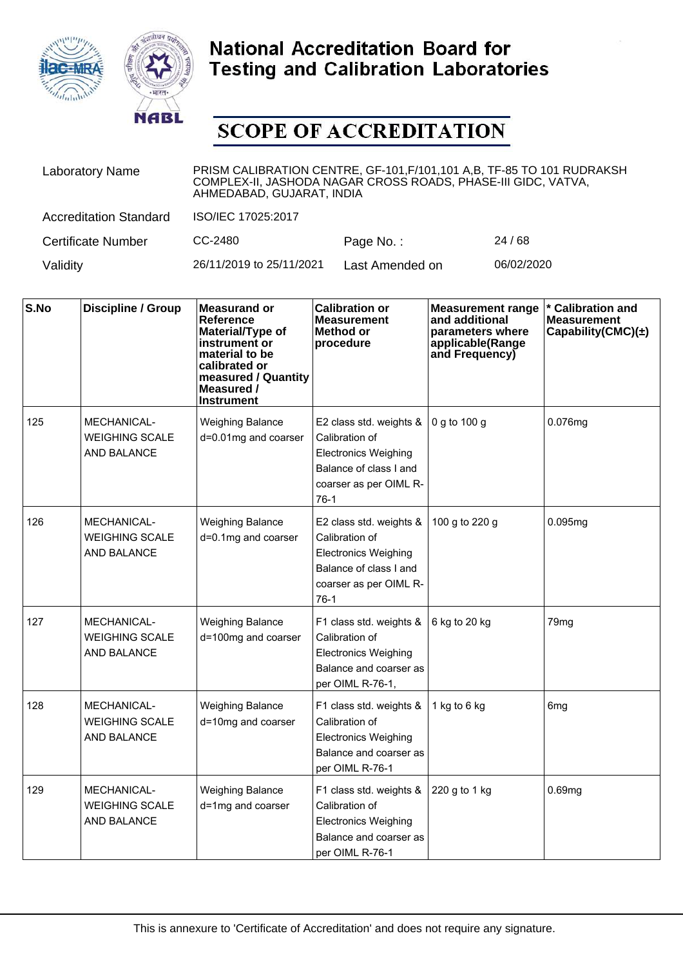



| <b>Laboratory Name</b>        | PRISM CALIBRATION CENTRE, GF-101, F/101, 101 A, B, TF-85 TO 101 RUDRAKSH<br>COMPLEX-II, JASHODA NAGAR CROSS ROADS, PHASE-III GIDC, VATVA,<br>AHMEDABAD, GUJARAT, INDIA |                 |            |  |  |
|-------------------------------|------------------------------------------------------------------------------------------------------------------------------------------------------------------------|-----------------|------------|--|--|
| <b>Accreditation Standard</b> | ISO/IEC 17025:2017                                                                                                                                                     |                 |            |  |  |
| <b>Certificate Number</b>     | CC-2480                                                                                                                                                                | Page No.:       | 24/68      |  |  |
| Validity                      | 26/11/2019 to 25/11/2021                                                                                                                                               | Last Amended on | 06/02/2020 |  |  |

| S.No | <b>Discipline / Group</b>                                         | <b>Measurand or</b><br><b>Reference</b><br>Material/Type of<br>instrument or<br>material to be<br>calibrated or<br>measured / Quantity<br>Measured /<br>Instrument | <b>Calibration or</b><br><b>Measurement</b><br>Method or<br>procedure                                                                  | <b>Measurement range</b><br>and additional<br>parameters where<br>applicable(Range<br>and Frequency) | <b>Calibration and</b><br><b>Measurement</b><br>Capability(CMC) $(\pm)$ |
|------|-------------------------------------------------------------------|--------------------------------------------------------------------------------------------------------------------------------------------------------------------|----------------------------------------------------------------------------------------------------------------------------------------|------------------------------------------------------------------------------------------------------|-------------------------------------------------------------------------|
| 125  | <b>MECHANICAL-</b><br><b>WEIGHING SCALE</b><br><b>AND BALANCE</b> | <b>Weighing Balance</b><br>d=0.01mg and coarser                                                                                                                    | E2 class std. weights &<br>Calibration of<br><b>Electronics Weighing</b><br>Balance of class I and<br>coarser as per OIML R-<br>$76-1$ | 0 g to 100 g                                                                                         | 0.076mg                                                                 |
| 126  | <b>MECHANICAL-</b><br><b>WEIGHING SCALE</b><br>AND BALANCE        | <b>Weighing Balance</b><br>d=0.1mg and coarser                                                                                                                     | E2 class std. weights &<br>Calibration of<br><b>Electronics Weighing</b><br>Balance of class I and<br>coarser as per OIML R-<br>$76-1$ | 100 g to 220 g                                                                                       | 0.095mg                                                                 |
| 127  | <b>MECHANICAL-</b><br><b>WEIGHING SCALE</b><br><b>AND BALANCE</b> | <b>Weighing Balance</b><br>d=100mg and coarser                                                                                                                     | F1 class std. weights &<br>Calibration of<br><b>Electronics Weighing</b><br>Balance and coarser as<br>per OIML R-76-1,                 | 6 kg to 20 kg                                                                                        | 79 <sub>mg</sub>                                                        |
| 128  | <b>MECHANICAL-</b><br><b>WEIGHING SCALE</b><br><b>AND BALANCE</b> | <b>Weighing Balance</b><br>d=10mg and coarser                                                                                                                      | F1 class std. weights &<br>Calibration of<br><b>Electronics Weighing</b><br>Balance and coarser as<br>per OIML R-76-1                  | 1 kg to 6 kg                                                                                         | 6 <sub>mg</sub>                                                         |
| 129  | <b>MECHANICAL-</b><br><b>WEIGHING SCALE</b><br>AND BALANCE        | <b>Weighing Balance</b><br>d=1mg and coarser                                                                                                                       | F1 class std. weights &<br>Calibration of<br><b>Electronics Weighing</b><br>Balance and coarser as<br>per OIML R-76-1                  | 220 g to 1 kg                                                                                        | 0.69mg                                                                  |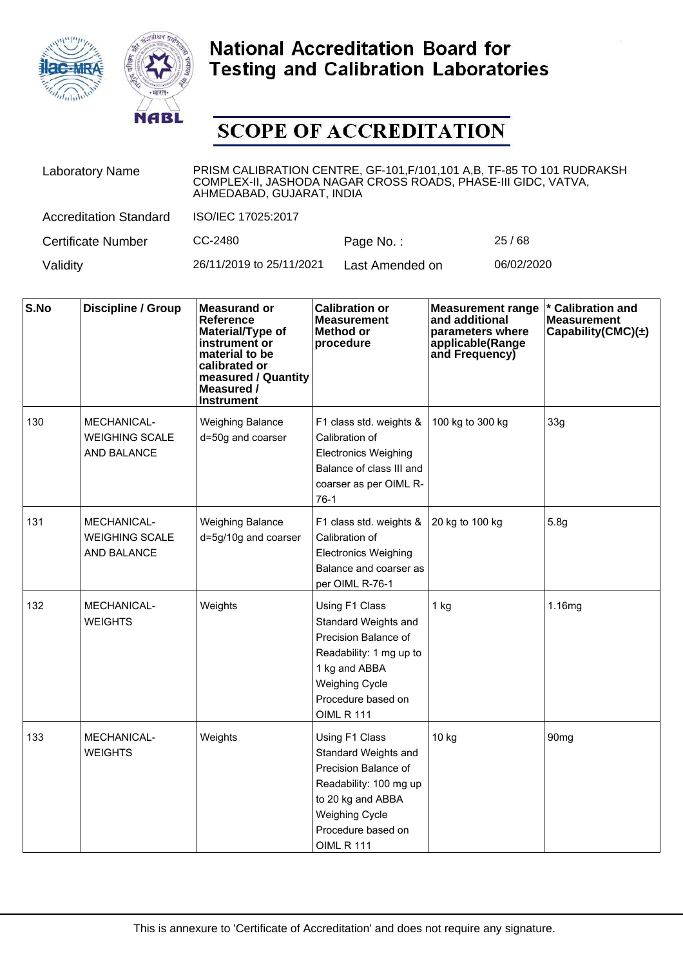



| <b>Laboratory Name</b>        | PRISM CALIBRATION CENTRE, GF-101, F/101, 101 A, B, TF-85 TO 101 RUDRAKSH<br>COMPLEX-II, JASHODA NAGAR CROSS ROADS, PHASE-III GIDC, VATVA,<br>AHMEDABAD, GUJARAT, INDIA |                 |            |  |
|-------------------------------|------------------------------------------------------------------------------------------------------------------------------------------------------------------------|-----------------|------------|--|
| <b>Accreditation Standard</b> | ISO/IEC 17025:2017                                                                                                                                                     |                 |            |  |
| <b>Certificate Number</b>     | CC-2480                                                                                                                                                                | Page No.:       | 25/68      |  |
| Validity                      | 26/11/2019 to 25/11/2021                                                                                                                                               | Last Amended on | 06/02/2020 |  |

| S.No | Discipline / Group                                  | <b>Measurand or</b><br>Reference<br>Material/Type of<br>instrument or<br>material to be<br>calibrated or<br>measured / Quantity<br>Measured /<br><b>Instrument</b> | <b>Calibration or</b><br><b>Measurement</b><br>Method or<br>procedure                                                                                                             | <b>Measurement range</b><br>and additional<br>parameters where<br>applicable(Range<br>and Frequency) | * Calibration and<br><b>Measurement</b><br>Capability(CMC) $(\pm)$ |
|------|-----------------------------------------------------|--------------------------------------------------------------------------------------------------------------------------------------------------------------------|-----------------------------------------------------------------------------------------------------------------------------------------------------------------------------------|------------------------------------------------------------------------------------------------------|--------------------------------------------------------------------|
| 130  | MECHANICAL-<br><b>WEIGHING SCALE</b><br>AND BALANCE | <b>Weighing Balance</b><br>d=50g and coarser                                                                                                                       | F1 class std. weights &<br>Calibration of<br><b>Electronics Weighing</b><br>Balance of class III and<br>coarser as per OIML R-<br>$76-1$                                          | 100 kg to 300 kg                                                                                     | 33g                                                                |
| 131  | MECHANICAL-<br><b>WEIGHING SCALE</b><br>AND BALANCE | <b>Weighing Balance</b><br>d=5g/10g and coarser                                                                                                                    | F1 class std. weights &<br>Calibration of<br><b>Electronics Weighing</b><br>Balance and coarser as<br>per OIML R-76-1                                                             | 20 kg to 100 kg                                                                                      | 5.8g                                                               |
| 132  | <b>MECHANICAL-</b><br><b>WEIGHTS</b>                | Weights                                                                                                                                                            | Using F1 Class<br>Standard Weights and<br>Precision Balance of<br>Readability: 1 mg up to<br>1 kg and ABBA<br><b>Weighing Cycle</b><br>Procedure based on<br><b>OIML R 111</b>    | $1$ kg                                                                                               | 1.16mg                                                             |
| 133  | <b>MECHANICAL-</b><br><b>WEIGHTS</b>                | Weights                                                                                                                                                            | Using F1 Class<br>Standard Weights and<br>Precision Balance of<br>Readability: 100 mg up<br>to 20 kg and ABBA<br><b>Weighing Cycle</b><br>Procedure based on<br><b>OIML R 111</b> | 10 kg                                                                                                | 90 <sub>mg</sub>                                                   |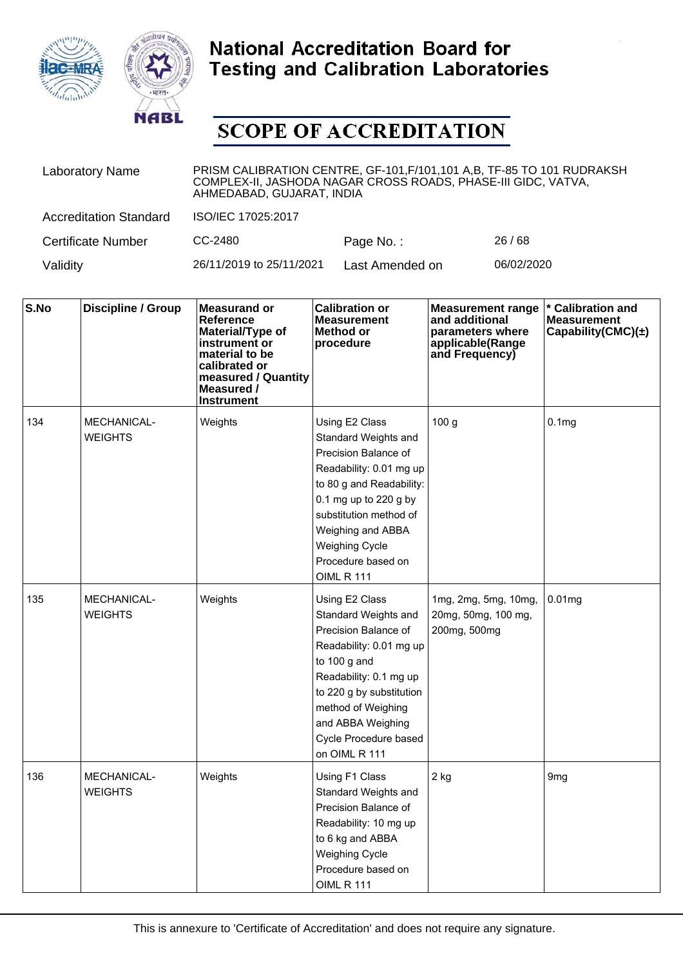



| <b>Laboratory Name</b>        | PRISM CALIBRATION CENTRE, GF-101, F/101, 101 A, B, TF-85 TO 101 RUDRAKSH<br>COMPLEX-II, JASHODA NAGAR CROSS ROADS, PHASE-III GIDC, VATVA,<br>AHMEDABAD, GUJARAT, INDIA |                 |            |  |  |
|-------------------------------|------------------------------------------------------------------------------------------------------------------------------------------------------------------------|-----------------|------------|--|--|
| <b>Accreditation Standard</b> | ISO/IEC 17025:2017                                                                                                                                                     |                 |            |  |  |
| <b>Certificate Number</b>     | CC-2480                                                                                                                                                                | Page No.:       | 26/68      |  |  |
| Validity                      | 26/11/2019 to 25/11/2021                                                                                                                                               | Last Amended on | 06/02/2020 |  |  |

| S.No | <b>Discipline / Group</b>            | <b>Measurand or</b><br>Reference<br>Material/Type of<br>instrument or<br>material to be<br>calibrated or<br>measured / Quantity<br>Measured /<br>Instrument | <b>Calibration or</b><br><b>Measurement</b><br>Method or<br>procedure                                                                                                                                                                                             | <b>Measurement range</b><br>and additional<br>parameters where<br>applicable(Range<br>and Frequency) | <b>Calibration and</b><br><b>Measurement</b><br>Capability(CMC) $(\pm)$ |
|------|--------------------------------------|-------------------------------------------------------------------------------------------------------------------------------------------------------------|-------------------------------------------------------------------------------------------------------------------------------------------------------------------------------------------------------------------------------------------------------------------|------------------------------------------------------------------------------------------------------|-------------------------------------------------------------------------|
| 134  | <b>MECHANICAL-</b><br><b>WEIGHTS</b> | Weights                                                                                                                                                     | Using E2 Class<br>Standard Weights and<br>Precision Balance of<br>Readability: 0.01 mg up<br>to 80 g and Readability:<br>0.1 mg up to 220 g by<br>substitution method of<br>Weighing and ABBA<br><b>Weighing Cycle</b><br>Procedure based on<br><b>OIML R 111</b> | 100 <sub>g</sub>                                                                                     | 0.1 <sub>mg</sub>                                                       |
| 135  | <b>MECHANICAL-</b><br><b>WEIGHTS</b> | Weights                                                                                                                                                     | Using E2 Class<br>Standard Weights and<br>Precision Balance of<br>Readability: 0.01 mg up<br>to $100$ g and<br>Readability: 0.1 mg up<br>to 220 g by substitution<br>method of Weighing<br>and ABBA Weighing<br>Cycle Procedure based<br>on OIML R 111            | 1mg, 2mg, 5mg, 10mg,<br>20mg, 50mg, 100 mg,<br>200mg, 500mg                                          | 0.01mg                                                                  |
| 136  | MECHANICAL-<br><b>WEIGHTS</b>        | Weights                                                                                                                                                     | Using F1 Class<br>Standard Weights and<br>Precision Balance of<br>Readability: 10 mg up<br>to 6 kg and ABBA<br><b>Weighing Cycle</b><br>Procedure based on<br><b>OIML R 111</b>                                                                                   | $2$ kg                                                                                               | 9 <sub>mg</sub>                                                         |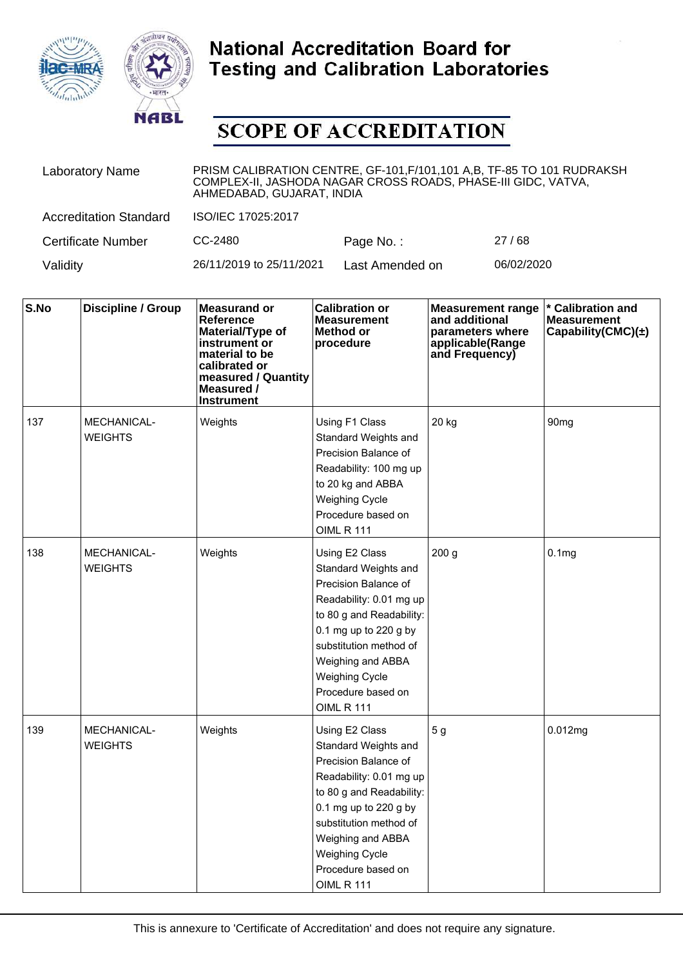



| <b>Laboratory Name</b>        | PRISM CALIBRATION CENTRE, GF-101, F/101, 101 A, B, TF-85 TO 101 RUDRAKSH<br>COMPLEX-II, JASHODA NAGAR CROSS ROADS, PHASE-III GIDC, VATVA,<br>AHMEDABAD, GUJARAT, INDIA |                 |            |  |  |
|-------------------------------|------------------------------------------------------------------------------------------------------------------------------------------------------------------------|-----------------|------------|--|--|
| <b>Accreditation Standard</b> | ISO/IEC 17025:2017                                                                                                                                                     |                 |            |  |  |
| <b>Certificate Number</b>     | CC-2480                                                                                                                                                                | Page No.:       | 27/68      |  |  |
| Validity                      | 26/11/2019 to 25/11/2021                                                                                                                                               | Last Amended on | 06/02/2020 |  |  |

| S.No | <b>Discipline / Group</b>            | <b>Measurand or</b><br><b>Reference</b><br>Material/Type of<br>instrument or<br>material to be<br>calibrated or<br>measured / Quantity<br>Measured /<br><b>Instrument</b> | <b>Calibration or</b><br><b>Measurement</b><br><b>Method or</b><br>procedure                                                                                                                                                                                      | <b>Measurement range</b><br>and additional<br>parameters where<br>applicable(Range<br>and Frequency) | * Calibration and<br><b>Measurement</b><br>Capability(CMC) $(\pm)$ |
|------|--------------------------------------|---------------------------------------------------------------------------------------------------------------------------------------------------------------------------|-------------------------------------------------------------------------------------------------------------------------------------------------------------------------------------------------------------------------------------------------------------------|------------------------------------------------------------------------------------------------------|--------------------------------------------------------------------|
| 137  | <b>MECHANICAL-</b><br><b>WEIGHTS</b> | Weights                                                                                                                                                                   | Using F1 Class<br>Standard Weights and<br>Precision Balance of<br>Readability: 100 mg up<br>to 20 kg and ABBA<br><b>Weighing Cycle</b><br>Procedure based on<br><b>OIML R 111</b>                                                                                 | 20 kg                                                                                                | 90 <sub>mq</sub>                                                   |
| 138  | <b>MECHANICAL-</b><br><b>WEIGHTS</b> | Weights                                                                                                                                                                   | Using E2 Class<br>Standard Weights and<br>Precision Balance of<br>Readability: 0.01 mg up<br>to 80 g and Readability:<br>0.1 mg up to 220 g by<br>substitution method of<br>Weighing and ABBA<br><b>Weighing Cycle</b><br>Procedure based on<br><b>OIML R 111</b> | 200 <sub>g</sub>                                                                                     | 0.1 <sub>mg</sub>                                                  |
| 139  | <b>MECHANICAL-</b><br><b>WEIGHTS</b> | Weights                                                                                                                                                                   | Using E2 Class<br>Standard Weights and<br>Precision Balance of<br>Readability: 0.01 mg up<br>to 80 g and Readability:<br>0.1 mg up to 220 g by<br>substitution method of<br>Weighing and ABBA<br><b>Weighing Cycle</b><br>Procedure based on<br><b>OIML R 111</b> | 5 <sub>g</sub>                                                                                       | 0.012mg                                                            |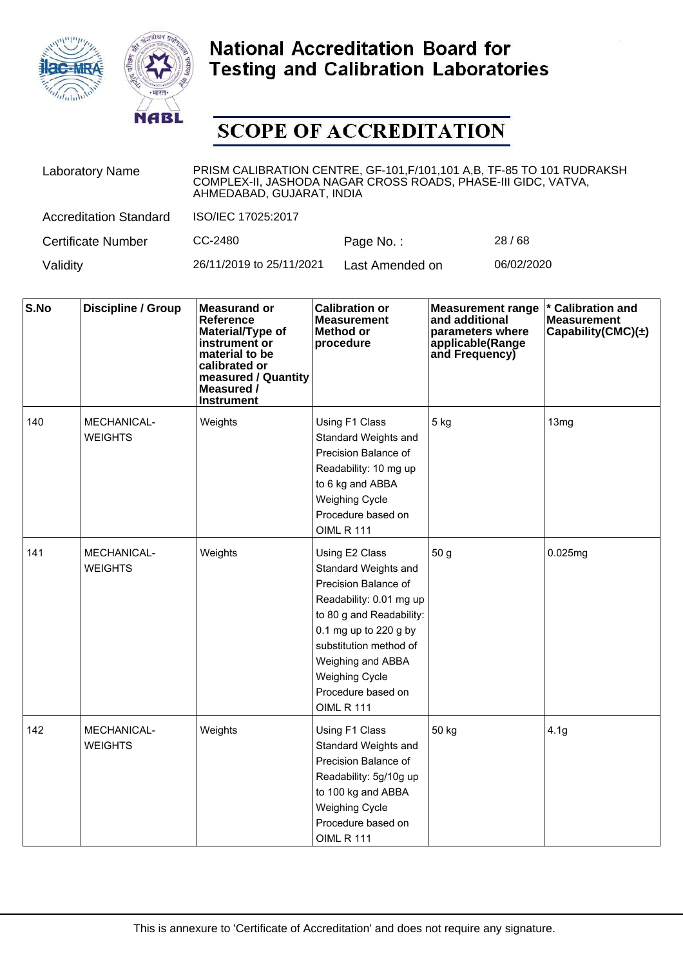



| <b>Laboratory Name</b>        | PRISM CALIBRATION CENTRE, GF-101, F/101, 101 A, B, TF-85 TO 101 RUDRAKSH<br>COMPLEX-II, JASHODA NAGAR CROSS ROADS, PHASE-III GIDC, VATVA,<br>AHMEDABAD, GUJARAT, INDIA |                 |            |  |  |
|-------------------------------|------------------------------------------------------------------------------------------------------------------------------------------------------------------------|-----------------|------------|--|--|
| <b>Accreditation Standard</b> | ISO/IEC 17025:2017                                                                                                                                                     |                 |            |  |  |
| <b>Certificate Number</b>     | CC-2480                                                                                                                                                                | Page No.:       | 28/68      |  |  |
| Validity                      | 26/11/2019 to 25/11/2021                                                                                                                                               | Last Amended on | 06/02/2020 |  |  |

| S.No | <b>Discipline / Group</b>            | <b>Measurand or</b><br>Reference<br>Material/Type of<br>instrument or<br>material to be<br>calibrated or<br>measured / Quantity<br>Measured /<br><b>Instrument</b> | <b>Calibration or</b><br><b>Measurement</b><br>Method or<br>procedure                                                                                                                                                                                             | <b>Measurement range</b><br>and additional<br>parameters where<br>applicable(Range<br>and Frequency) | * Calibration and<br><b>Measurement</b><br>Capability(CMC) $(\pm)$ |
|------|--------------------------------------|--------------------------------------------------------------------------------------------------------------------------------------------------------------------|-------------------------------------------------------------------------------------------------------------------------------------------------------------------------------------------------------------------------------------------------------------------|------------------------------------------------------------------------------------------------------|--------------------------------------------------------------------|
| 140  | <b>MECHANICAL-</b><br><b>WEIGHTS</b> | Weights                                                                                                                                                            | Using F1 Class<br>Standard Weights and<br>Precision Balance of<br>Readability: 10 mg up<br>to 6 kg and ABBA<br><b>Weighing Cycle</b><br>Procedure based on<br><b>OIML R 111</b>                                                                                   | 5 kg                                                                                                 | 13 <sub>mg</sub>                                                   |
| 141  | MECHANICAL-<br><b>WEIGHTS</b>        | Weights                                                                                                                                                            | Using E2 Class<br>Standard Weights and<br>Precision Balance of<br>Readability: 0.01 mg up<br>to 80 g and Readability:<br>0.1 mg up to 220 g by<br>substitution method of<br>Weighing and ABBA<br><b>Weighing Cycle</b><br>Procedure based on<br><b>OIML R 111</b> | 50 <sub>g</sub>                                                                                      | 0.025mg                                                            |
| 142  | <b>MECHANICAL-</b><br><b>WEIGHTS</b> | Weights                                                                                                                                                            | Using F1 Class<br>Standard Weights and<br>Precision Balance of<br>Readability: 5g/10g up<br>to 100 kg and ABBA<br>Weighing Cycle<br>Procedure based on<br><b>OIML R 111</b>                                                                                       | 50 kg                                                                                                | 4.1 <sub>g</sub>                                                   |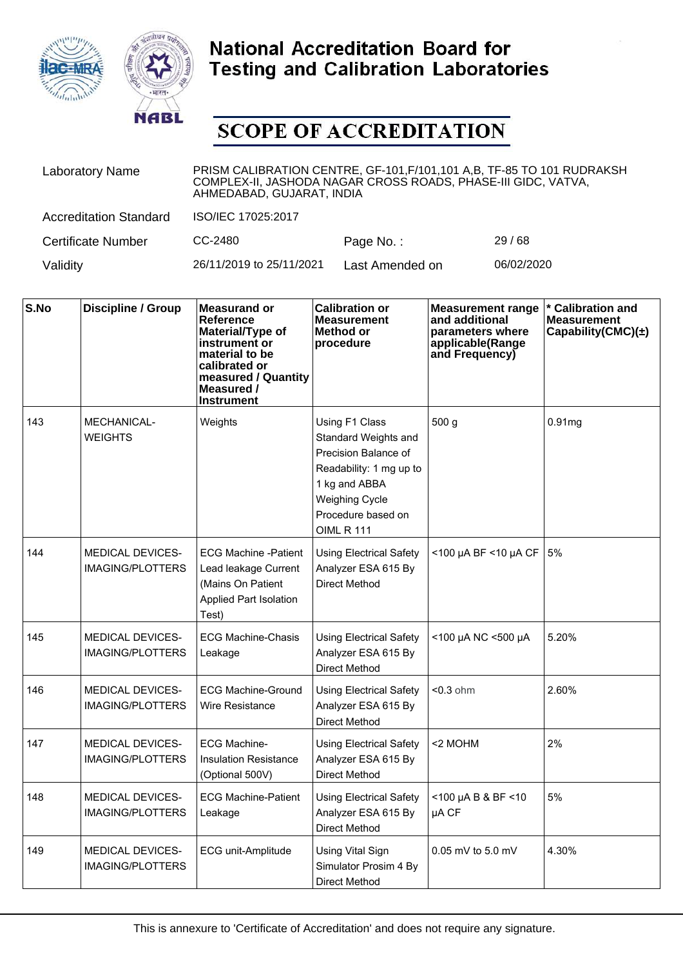



| <b>Laboratory Name</b>        | PRISM CALIBRATION CENTRE, GF-101, F/101, 101 A, B, TF-85 TO 101 RUDRAKSH<br>COMPLEX-II, JASHODA NAGAR CROSS ROADS, PHASE-III GIDC, VATVA,<br>AHMEDABAD, GUJARAT, INDIA |                 |            |  |  |
|-------------------------------|------------------------------------------------------------------------------------------------------------------------------------------------------------------------|-----------------|------------|--|--|
| <b>Accreditation Standard</b> | ISO/IEC 17025:2017                                                                                                                                                     |                 |            |  |  |
| <b>Certificate Number</b>     | CC-2480                                                                                                                                                                | Page No.:       | 29/68      |  |  |
| Validity                      | 26/11/2019 to 25/11/2021                                                                                                                                               | Last Amended on | 06/02/2020 |  |  |

| S.No | <b>Discipline / Group</b>                          | <b>Measurand or</b><br>Reference<br>Material/Type of<br>instrument or<br>material to be<br>calibrated or<br>measured / Quantity<br>Measured /<br>Instrument | <b>Calibration or</b><br><b>Measurement</b><br>Method or<br>procedure                                                                                                          | <b>Measurement range</b><br>and additional<br>parameters where<br>applicable(Range<br>and Frequency) | * Calibration and<br><b>Measurement</b><br>Capability(CMC)(±) |
|------|----------------------------------------------------|-------------------------------------------------------------------------------------------------------------------------------------------------------------|--------------------------------------------------------------------------------------------------------------------------------------------------------------------------------|------------------------------------------------------------------------------------------------------|---------------------------------------------------------------|
| 143  | <b>MECHANICAL-</b><br><b>WEIGHTS</b>               | Weights                                                                                                                                                     | Using F1 Class<br>Standard Weights and<br>Precision Balance of<br>Readability: 1 mg up to<br>1 kg and ABBA<br><b>Weighing Cycle</b><br>Procedure based on<br><b>OIML R 111</b> | 500 <sub>g</sub>                                                                                     | 0.91mg                                                        |
| 144  | <b>MEDICAL DEVICES-</b><br><b>IMAGING/PLOTTERS</b> | <b>ECG Machine -Patient</b><br>Lead leakage Current<br>(Mains On Patient<br>Applied Part Isolation<br>Test)                                                 | <b>Using Electrical Safety</b><br>Analyzer ESA 615 By<br><b>Direct Method</b>                                                                                                  | <100 µA BF <10 µA CF                                                                                 | 5%                                                            |
| 145  | <b>MEDICAL DEVICES-</b><br><b>IMAGING/PLOTTERS</b> | <b>ECG Machine-Chasis</b><br>Leakage                                                                                                                        | <b>Using Electrical Safety</b><br>Analyzer ESA 615 By<br>Direct Method                                                                                                         | <100 µA NC <500 µA                                                                                   | 5.20%                                                         |
| 146  | <b>MEDICAL DEVICES-</b><br><b>IMAGING/PLOTTERS</b> | <b>ECG Machine-Ground</b><br>Wire Resistance                                                                                                                | <b>Using Electrical Safety</b><br>Analyzer ESA 615 By<br>Direct Method                                                                                                         | $< 0.3$ ohm                                                                                          | 2.60%                                                         |
| 147  | <b>MEDICAL DEVICES-</b><br><b>IMAGING/PLOTTERS</b> | <b>ECG Machine-</b><br><b>Insulation Resistance</b><br>(Optional 500V)                                                                                      | <b>Using Electrical Safety</b><br>Analyzer ESA 615 By<br>Direct Method                                                                                                         | <2 MOHM                                                                                              | 2%                                                            |
| 148  | <b>MEDICAL DEVICES-</b><br><b>IMAGING/PLOTTERS</b> | <b>ECG Machine-Patient</b><br>Leakage                                                                                                                       | <b>Using Electrical Safety</b><br>Analyzer ESA 615 By<br>Direct Method                                                                                                         | $<$ 100 µA B & BF $<$ 10<br>µA CF                                                                    | 5%                                                            |
| 149  | <b>MEDICAL DEVICES-</b><br><b>IMAGING/PLOTTERS</b> | ECG unit-Amplitude                                                                                                                                          | Using Vital Sign<br>Simulator Prosim 4 By<br>Direct Method                                                                                                                     | $0.05$ mV to 5.0 mV                                                                                  | 4.30%                                                         |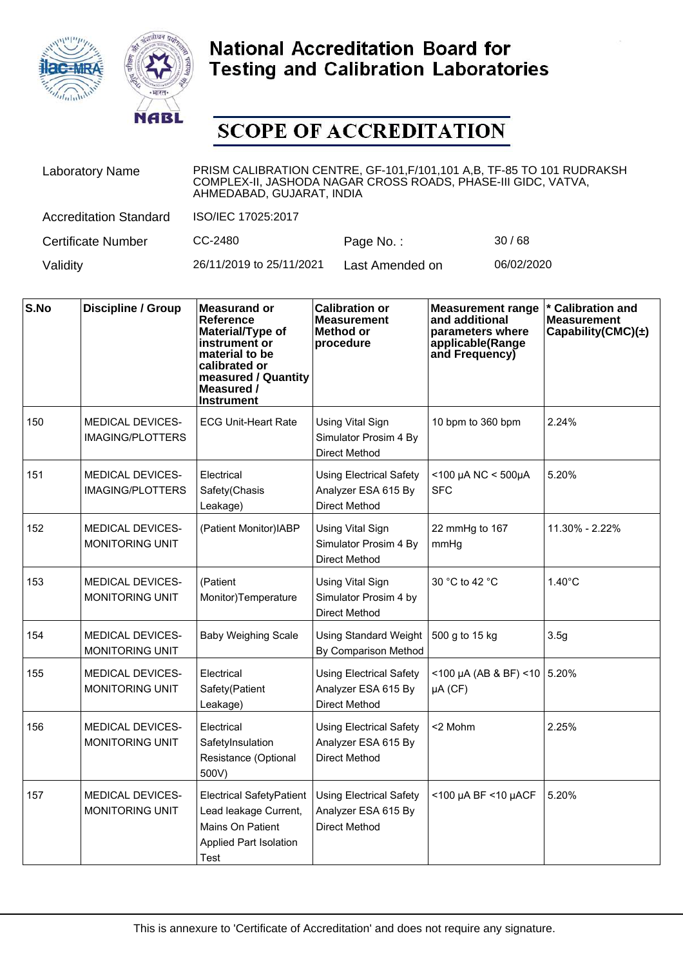



| <b>Laboratory Name</b>        | PRISM CALIBRATION CENTRE, GF-101, F/101, 101 A, B, TF-85 TO 101 RUDRAKSH<br>COMPLEX-II, JASHODA NAGAR CROSS ROADS, PHASE-III GIDC, VATVA,<br>AHMEDABAD, GUJARAT, INDIA |                 |            |  |
|-------------------------------|------------------------------------------------------------------------------------------------------------------------------------------------------------------------|-----------------|------------|--|
| <b>Accreditation Standard</b> | ISO/IEC 17025:2017                                                                                                                                                     |                 |            |  |
| <b>Certificate Number</b>     | CC-2480                                                                                                                                                                | Page No.:       | 30/68      |  |
| Validity                      | 26/11/2019 to 25/11/2021                                                                                                                                               | Last Amended on | 06/02/2020 |  |

| S.No | <b>Discipline / Group</b>                          | <b>Measurand or</b><br>Reference<br>Material/Type of<br>instrument or<br>material to be<br>calibrated or<br>measured / Quantity<br>Measured /<br><b>Instrument</b> | <b>Calibration or</b><br><b>Measurement</b><br>Method or<br>procedure         | <b>Measurement range</b><br>and additional<br>parameters where<br>applicable(Range<br>and Frequency) | * Calibration and<br><b>Measurement</b><br>Capability(CMC) $(\pm)$ |
|------|----------------------------------------------------|--------------------------------------------------------------------------------------------------------------------------------------------------------------------|-------------------------------------------------------------------------------|------------------------------------------------------------------------------------------------------|--------------------------------------------------------------------|
| 150  | <b>MEDICAL DEVICES-</b><br><b>IMAGING/PLOTTERS</b> | <b>ECG Unit-Heart Rate</b>                                                                                                                                         | <b>Using Vital Sign</b><br>Simulator Prosim 4 By<br><b>Direct Method</b>      | 10 bpm to 360 bpm                                                                                    | 2.24%                                                              |
| 151  | <b>MEDICAL DEVICES-</b><br><b>IMAGING/PLOTTERS</b> | Electrical<br>Safety(Chasis<br>Leakage)                                                                                                                            | <b>Using Electrical Safety</b><br>Analyzer ESA 615 By<br><b>Direct Method</b> | $<$ 100 µA NC $<$ 500µA<br><b>SFC</b>                                                                | 5.20%                                                              |
| 152  | <b>MEDICAL DEVICES-</b><br>MONITORING UNIT         | (Patient Monitor)IABP                                                                                                                                              | Using Vital Sign<br>Simulator Prosim 4 By<br>Direct Method                    | 22 mmHg to 167<br>mmHg                                                                               | 11.30% - 2.22%                                                     |
| 153  | <b>MEDICAL DEVICES-</b><br>MONITORING UNIT         | (Patient<br>Monitor)Temperature                                                                                                                                    | <b>Using Vital Sign</b><br>Simulator Prosim 4 by<br><b>Direct Method</b>      | 30 °C to 42 °C                                                                                       | $1.40^{\circ}$ C                                                   |
| 154  | <b>MEDICAL DEVICES-</b><br><b>MONITORING UNIT</b>  | <b>Baby Weighing Scale</b>                                                                                                                                         | <b>Using Standard Weight</b><br>By Comparison Method                          | 500 g to 15 kg                                                                                       | 3.5g                                                               |
| 155  | <b>MEDICAL DEVICES-</b><br><b>MONITORING UNIT</b>  | Electrical<br>Safety(Patient<br>Leakage)                                                                                                                           | <b>Using Electrical Safety</b><br>Analyzer ESA 615 By<br><b>Direct Method</b> | $<$ 100 µA (AB & BF) <10 5.20%<br>$\mu A$ (CF)                                                       |                                                                    |
| 156  | <b>MEDICAL DEVICES-</b><br>MONITORING UNIT         | Electrical<br>SafetyInsulation<br>Resistance (Optional<br>500V)                                                                                                    | Using Electrical Safety<br>Analyzer ESA 615 By<br><b>Direct Method</b>        | <2 Mohm                                                                                              | 2.25%                                                              |
| 157  | <b>MEDICAL DEVICES-</b><br><b>MONITORING UNIT</b>  | <b>Electrical SafetyPatient</b><br>Lead leakage Current,<br>Mains On Patient<br><b>Applied Part Isolation</b><br>Test                                              | <b>Using Electrical Safety</b><br>Analyzer ESA 615 By<br><b>Direct Method</b> | <100 µA BF <10 µACF                                                                                  | 5.20%                                                              |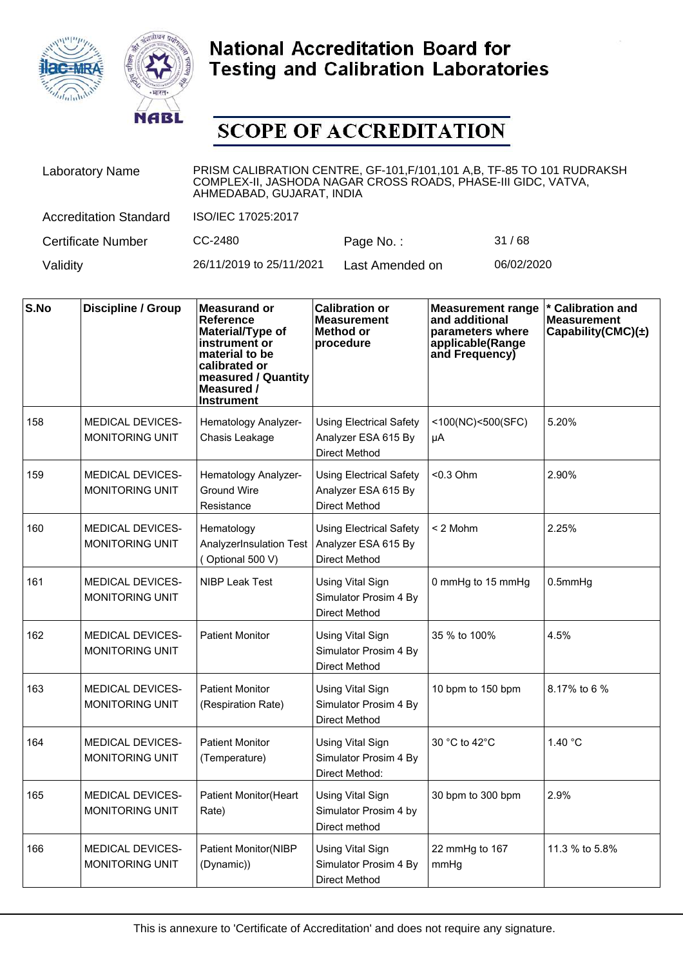



| <b>Laboratory Name</b>        | PRISM CALIBRATION CENTRE, GF-101, F/101, 101 A, B, TF-85 TO 101 RUDRAKSH<br>COMPLEX-II, JASHODA NAGAR CROSS ROADS, PHASE-III GIDC, VATVA,<br>AHMEDABAD, GUJARAT, INDIA |                 |            |  |
|-------------------------------|------------------------------------------------------------------------------------------------------------------------------------------------------------------------|-----------------|------------|--|
| <b>Accreditation Standard</b> | ISO/IEC 17025:2017                                                                                                                                                     |                 |            |  |
| <b>Certificate Number</b>     | CC-2480                                                                                                                                                                | Page No.:       | 31/68      |  |
| Validity                      | 26/11/2019 to 25/11/2021                                                                                                                                               | Last Amended on | 06/02/2020 |  |

| S.No | Discipline / Group                                | <b>Measurand or</b><br>Reference<br>Material/Type of<br>instrument or<br>material to be<br>calibrated or<br>measured / Quantity<br>Measured /<br><b>Instrument</b> | <b>Calibration or</b><br><b>Measurement</b><br><b>Method or</b><br>procedure  | <b>Measurement range</b><br>and additional<br>parameters where<br>applicable(Range<br>and Frequency) | * Calibration and<br><b>Measurement</b><br>Capability(CMC) $(\pm)$ |
|------|---------------------------------------------------|--------------------------------------------------------------------------------------------------------------------------------------------------------------------|-------------------------------------------------------------------------------|------------------------------------------------------------------------------------------------------|--------------------------------------------------------------------|
| 158  | <b>MEDICAL DEVICES-</b><br><b>MONITORING UNIT</b> | Hematology Analyzer-<br>Chasis Leakage                                                                                                                             | <b>Using Electrical Safety</b><br>Analyzer ESA 615 By<br>Direct Method        | <100(NC)<500(SFC)<br>μA                                                                              | 5.20%                                                              |
| 159  | <b>MEDICAL DEVICES-</b><br><b>MONITORING UNIT</b> | Hematology Analyzer-<br><b>Ground Wire</b><br>Resistance                                                                                                           | <b>Using Electrical Safety</b><br>Analyzer ESA 615 By<br><b>Direct Method</b> | $< 0.3$ Ohm                                                                                          | 2.90%                                                              |
| 160  | <b>MEDICAL DEVICES-</b><br><b>MONITORING UNIT</b> | Hematology<br>AnalyzerInsulation Test<br>(Optional 500 V)                                                                                                          | <b>Using Electrical Safety</b><br>Analyzer ESA 615 By<br><b>Direct Method</b> | $< 2$ Mohm                                                                                           | 2.25%                                                              |
| 161  | <b>MEDICAL DEVICES-</b><br><b>MONITORING UNIT</b> | <b>NIBP Leak Test</b>                                                                                                                                              | <b>Using Vital Sign</b><br>Simulator Prosim 4 By<br><b>Direct Method</b>      | 0 mmHg to 15 mmHg                                                                                    | $0.5$ mm $Hg$                                                      |
| 162  | <b>MEDICAL DEVICES-</b><br>MONITORING UNIT        | <b>Patient Monitor</b>                                                                                                                                             | Using Vital Sign<br>Simulator Prosim 4 By<br><b>Direct Method</b>             | 35 % to 100%                                                                                         | 4.5%                                                               |
| 163  | <b>MEDICAL DEVICES-</b><br><b>MONITORING UNIT</b> | <b>Patient Monitor</b><br>(Respiration Rate)                                                                                                                       | <b>Using Vital Sign</b><br>Simulator Prosim 4 By<br><b>Direct Method</b>      | 10 bpm to 150 bpm                                                                                    | 8.17% to 6 %                                                       |
| 164  | <b>MEDICAL DEVICES-</b><br><b>MONITORING UNIT</b> | <b>Patient Monitor</b><br>(Temperature)                                                                                                                            | Using Vital Sign<br>Simulator Prosim 4 By<br>Direct Method:                   | 30 °C to 42°C                                                                                        | 1.40 °C                                                            |
| 165  | <b>MEDICAL DEVICES-</b><br><b>MONITORING UNIT</b> | <b>Patient Monitor (Heart</b><br>Rate)                                                                                                                             | <b>Using Vital Sign</b><br>Simulator Prosim 4 by<br>Direct method             | 30 bpm to 300 bpm                                                                                    | 2.9%                                                               |
| 166  | <b>MEDICAL DEVICES-</b><br><b>MONITORING UNIT</b> | <b>Patient Monitor(NIBP</b><br>(Dynamic))                                                                                                                          | <b>Using Vital Sign</b><br>Simulator Prosim 4 By<br>Direct Method             | 22 mmHg to 167<br>mmHg                                                                               | 11.3 % to 5.8%                                                     |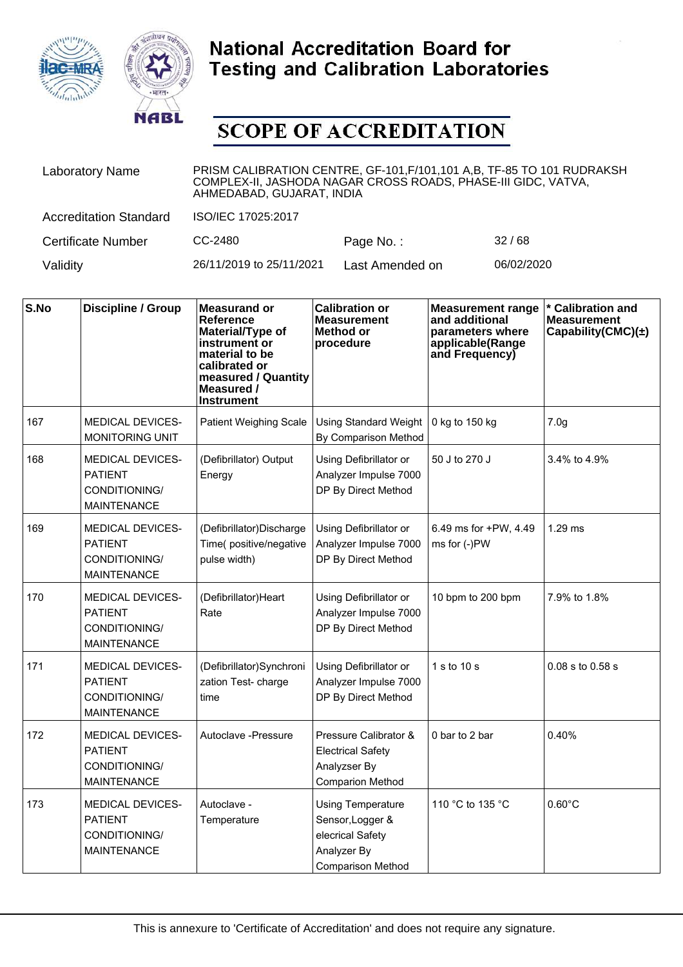



| <b>Laboratory Name</b>        | PRISM CALIBRATION CENTRE, GF-101, F/101, 101 A, B, TF-85 TO 101 RUDRAKSH<br>COMPLEX-II, JASHODA NAGAR CROSS ROADS, PHASE-III GIDC, VATVA,<br>AHMEDABAD, GUJARAT, INDIA |                 |            |  |
|-------------------------------|------------------------------------------------------------------------------------------------------------------------------------------------------------------------|-----------------|------------|--|
| <b>Accreditation Standard</b> | ISO/IEC 17025:2017                                                                                                                                                     |                 |            |  |
| <b>Certificate Number</b>     | CC-2480                                                                                                                                                                | Page No.:       | 32/68      |  |
| Validity                      | 26/11/2019 to 25/11/2021                                                                                                                                               | Last Amended on | 06/02/2020 |  |

| S.No | Discipline / Group                                                               | <b>Measurand or</b><br>Reference<br>Material/Type of<br>instrument or<br>material to be<br>calibrated or<br>measured / Quantity<br>Measured /<br><b>Instrument</b> | <b>Calibration or</b><br><b>Measurement</b><br>Method or<br>procedure                                       | <b>Measurement range</b><br>and additional<br>parameters where<br>applicable(Range<br>and Frequency) | * Calibration and<br><b>Measurement</b><br>Capability(CMC) $(\pm)$ |
|------|----------------------------------------------------------------------------------|--------------------------------------------------------------------------------------------------------------------------------------------------------------------|-------------------------------------------------------------------------------------------------------------|------------------------------------------------------------------------------------------------------|--------------------------------------------------------------------|
| 167  | <b>MEDICAL DEVICES-</b><br><b>MONITORING UNIT</b>                                | <b>Patient Weighing Scale</b>                                                                                                                                      | <b>Using Standard Weight</b><br>By Comparison Method                                                        | 0 kg to 150 kg                                                                                       | 7.0 <sub>g</sub>                                                   |
| 168  | <b>MEDICAL DEVICES-</b><br><b>PATIENT</b><br>CONDITIONING/<br><b>MAINTENANCE</b> | (Defibrillator) Output<br>Energy                                                                                                                                   | Using Defibrillator or<br>Analyzer Impulse 7000<br>DP By Direct Method                                      | 50 J to 270 J                                                                                        | 3.4% to 4.9%                                                       |
| 169  | <b>MEDICAL DEVICES-</b><br><b>PATIENT</b><br>CONDITIONING/<br><b>MAINTENANCE</b> | (Defibrillator)Discharge<br>Time(positive/negative<br>pulse width)                                                                                                 | Using Defibrillator or<br>Analyzer Impulse 7000<br>DP By Direct Method                                      | 6.49 ms for +PW, 4.49<br>ms for (-)PW                                                                | $1.29$ ms                                                          |
| 170  | <b>MEDICAL DEVICES-</b><br><b>PATIENT</b><br>CONDITIONING/<br><b>MAINTENANCE</b> | (Defibrillator)Heart<br>Rate                                                                                                                                       | Using Defibrillator or<br>Analyzer Impulse 7000<br>DP By Direct Method                                      | 10 bpm to 200 bpm                                                                                    | 7.9% to 1.8%                                                       |
| 171  | <b>MEDICAL DEVICES-</b><br><b>PATIENT</b><br>CONDITIONING/<br><b>MAINTENANCE</b> | (Defibrillator)Synchroni<br>zation Test- charge<br>time                                                                                                            | Using Defibrillator or<br>Analyzer Impulse 7000<br>DP By Direct Method                                      | 1 s to 10 s                                                                                          | $0.08$ s to $0.58$ s                                               |
| 172  | <b>MEDICAL DEVICES-</b><br><b>PATIENT</b><br>CONDITIONING/<br><b>MAINTENANCE</b> | Autoclave - Pressure                                                                                                                                               | Pressure Calibrator &<br><b>Electrical Safety</b><br>Analyzser By<br><b>Comparion Method</b>                | 0 bar to 2 bar                                                                                       | 0.40%                                                              |
| 173  | <b>MEDICAL DEVICES-</b><br><b>PATIENT</b><br>CONDITIONING/<br><b>MAINTENANCE</b> | Autoclave -<br>Temperature                                                                                                                                         | <b>Using Temperature</b><br>Sensor, Logger &<br>elecrical Safety<br>Analyzer By<br><b>Comparison Method</b> | 110 °C to 135 °C                                                                                     | $0.60^{\circ}$ C                                                   |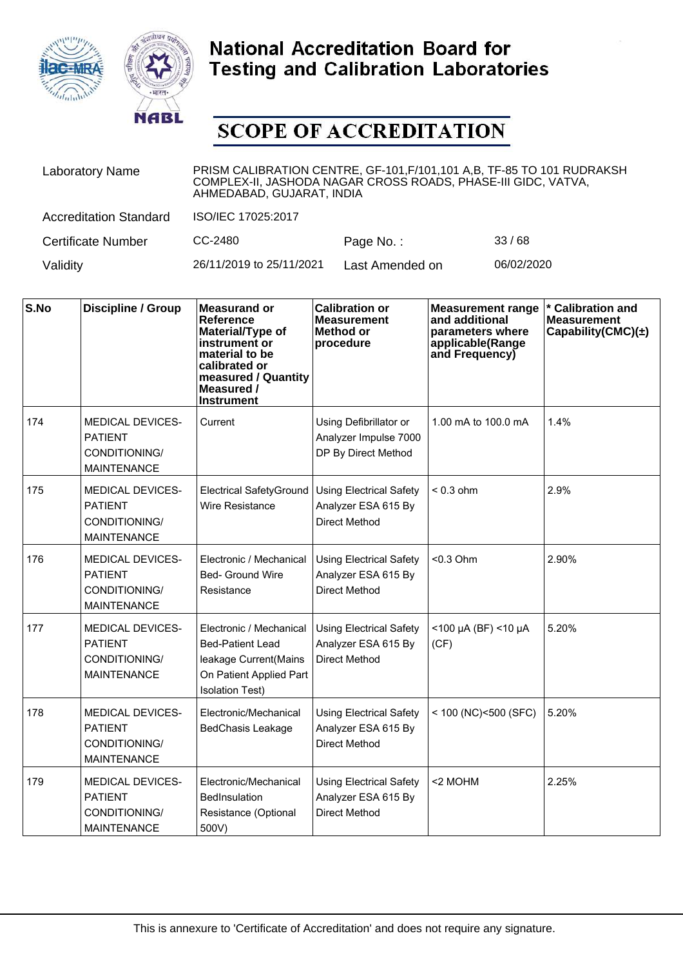



| <b>Laboratory Name</b>        | PRISM CALIBRATION CENTRE, GF-101, F/101, 101 A, B, TF-85 TO 101 RUDRAKSH<br>COMPLEX-II, JASHODA NAGAR CROSS ROADS, PHASE-III GIDC, VATVA,<br>AHMEDABAD, GUJARAT, INDIA |                 |            |  |
|-------------------------------|------------------------------------------------------------------------------------------------------------------------------------------------------------------------|-----------------|------------|--|
| <b>Accreditation Standard</b> | ISO/IEC 17025:2017                                                                                                                                                     |                 |            |  |
| <b>Certificate Number</b>     | CC-2480                                                                                                                                                                | Page No.:       | 33/68      |  |
| Validity                      | 26/11/2019 to 25/11/2021                                                                                                                                               | Last Amended on | 06/02/2020 |  |

| S.No | <b>Discipline / Group</b>                                                        | <b>Measurand or</b><br>Reference<br>Material/Type of<br>instrument or<br>material to be<br>calibrated or<br>measured / Quantity<br>Measured /<br><b>Instrument</b> | <b>Calibration or</b><br><b>Measurement</b><br><b>Method or</b><br>procedure  | <b>Measurement range</b><br>and additional<br>parameters where<br>applicable(Range<br>and Frequency) | * Calibration and<br><b>Measurement</b><br>Capability(CMC) $(\pm)$ |
|------|----------------------------------------------------------------------------------|--------------------------------------------------------------------------------------------------------------------------------------------------------------------|-------------------------------------------------------------------------------|------------------------------------------------------------------------------------------------------|--------------------------------------------------------------------|
| 174  | <b>MEDICAL DEVICES-</b><br><b>PATIENT</b><br>CONDITIONING/<br><b>MAINTENANCE</b> | Current                                                                                                                                                            | Using Defibrillator or<br>Analyzer Impulse 7000<br>DP By Direct Method        | 1.00 mA to 100.0 mA                                                                                  | 1.4%                                                               |
| 175  | <b>MEDICAL DEVICES-</b><br><b>PATIENT</b><br>CONDITIONING/<br><b>MAINTENANCE</b> | Electrical SafetyGround<br><b>Wire Resistance</b>                                                                                                                  | <b>Using Electrical Safety</b><br>Analyzer ESA 615 By<br>Direct Method        | $< 0.3$ ohm                                                                                          | 2.9%                                                               |
| 176  | <b>MEDICAL DEVICES-</b><br><b>PATIENT</b><br>CONDITIONING/<br><b>MAINTENANCE</b> | Electronic / Mechanical<br>Bed- Ground Wire<br>Resistance                                                                                                          | <b>Using Electrical Safety</b><br>Analyzer ESA 615 By<br>Direct Method        | $< 0.3$ Ohm                                                                                          | 2.90%                                                              |
| 177  | <b>MEDICAL DEVICES-</b><br><b>PATIENT</b><br>CONDITIONING/<br><b>MAINTENANCE</b> | Electronic / Mechanical<br><b>Bed-Patient Lead</b><br>leakage Current(Mains<br>On Patient Applied Part<br><b>Isolation Test)</b>                                   | <b>Using Electrical Safety</b><br>Analyzer ESA 615 By<br>Direct Method        | $<$ 100 µA (BF) <10 µA<br>(CF)                                                                       | 5.20%                                                              |
| 178  | <b>MEDICAL DEVICES-</b><br><b>PATIENT</b><br>CONDITIONING/<br><b>MAINTENANCE</b> | Electronic/Mechanical<br><b>BedChasis Leakage</b>                                                                                                                  | <b>Using Electrical Safety</b><br>Analyzer ESA 615 By<br><b>Direct Method</b> | $<$ 100 (NC) < 500 (SFC)                                                                             | 5.20%                                                              |
| 179  | <b>MEDICAL DEVICES-</b><br><b>PATIENT</b><br>CONDITIONING/<br><b>MAINTENANCE</b> | Electronic/Mechanical<br><b>BedInsulation</b><br>Resistance (Optional<br>500V)                                                                                     | <b>Using Electrical Safety</b><br>Analyzer ESA 615 By<br><b>Direct Method</b> | <2 MOHM                                                                                              | 2.25%                                                              |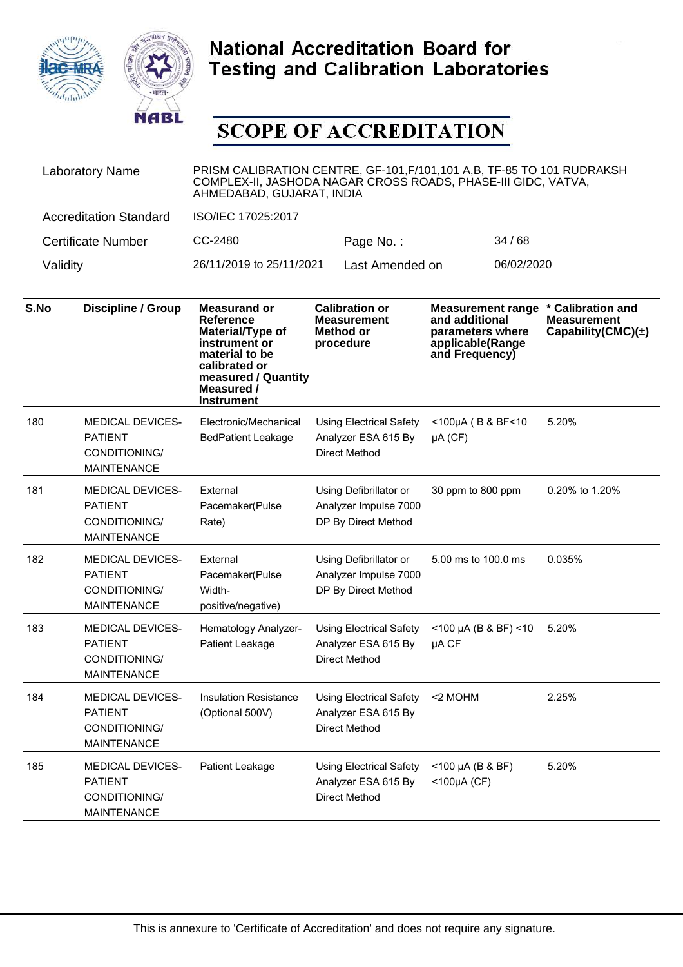



| <b>Laboratory Name</b>        | PRISM CALIBRATION CENTRE, GF-101, F/101, 101 A, B, TF-85 TO 101 RUDRAKSH<br>COMPLEX-II, JASHODA NAGAR CROSS ROADS, PHASE-III GIDC, VATVA,<br>AHMEDABAD, GUJARAT, INDIA |                 |            |  |
|-------------------------------|------------------------------------------------------------------------------------------------------------------------------------------------------------------------|-----------------|------------|--|
| <b>Accreditation Standard</b> | ISO/IEC 17025:2017                                                                                                                                                     |                 |            |  |
| <b>Certificate Number</b>     | CC-2480                                                                                                                                                                | Page No.:       | 34/68      |  |
| Validity                      | 26/11/2019 to 25/11/2021                                                                                                                                               | Last Amended on | 06/02/2020 |  |

| S.No | <b>Discipline / Group</b>                                                        | <b>Measurand or</b><br>Reference<br>Material/Type of<br>instrument or<br>material to be<br>calibrated or<br>measured / Quantity<br>Measured /<br><b>Instrument</b> | <b>Calibration or</b><br><b>Measurement</b><br><b>Method or</b><br>procedure  | <b>Measurement range</b><br>and additional<br>parameters where<br>applicable(Range<br>and Frequency) | * Calibration and<br><b>Measurement</b><br>Capability(CMC) $(\pm)$ |
|------|----------------------------------------------------------------------------------|--------------------------------------------------------------------------------------------------------------------------------------------------------------------|-------------------------------------------------------------------------------|------------------------------------------------------------------------------------------------------|--------------------------------------------------------------------|
| 180  | <b>MEDICAL DEVICES-</b><br><b>PATIENT</b><br>CONDITIONING/<br><b>MAINTENANCE</b> | Electronic/Mechanical<br><b>BedPatient Leakage</b>                                                                                                                 | <b>Using Electrical Safety</b><br>Analyzer ESA 615 By<br><b>Direct Method</b> | $<$ 100µA (B & BF<10<br>$\mu A$ (CF)                                                                 | 5.20%                                                              |
| 181  | MEDICAL DEVICES-<br><b>PATIENT</b><br>CONDITIONING/<br><b>MAINTENANCE</b>        | External<br>Pacemaker(Pulse<br>Rate)                                                                                                                               | Using Defibrillator or<br>Analyzer Impulse 7000<br>DP By Direct Method        | 30 ppm to 800 ppm                                                                                    | 0.20% to 1.20%                                                     |
| 182  | <b>MEDICAL DEVICES-</b><br><b>PATIENT</b><br>CONDITIONING/<br><b>MAINTENANCE</b> | External<br>Pacemaker(Pulse<br>Width-<br>positive/negative)                                                                                                        | Using Defibrillator or<br>Analyzer Impulse 7000<br>DP By Direct Method        | 5.00 ms to 100.0 ms                                                                                  | 0.035%                                                             |
| 183  | <b>MEDICAL DEVICES-</b><br><b>PATIENT</b><br>CONDITIONING/<br><b>MAINTENANCE</b> | Hematology Analyzer-<br>Patient Leakage                                                                                                                            | <b>Using Electrical Safety</b><br>Analyzer ESA 615 By<br><b>Direct Method</b> | $<$ 100 µA (B & BF) <10<br>µA CF                                                                     | 5.20%                                                              |
| 184  | <b>MEDICAL DEVICES-</b><br><b>PATIENT</b><br>CONDITIONING/<br><b>MAINTENANCE</b> | <b>Insulation Resistance</b><br>(Optional 500V)                                                                                                                    | <b>Using Electrical Safety</b><br>Analyzer ESA 615 By<br><b>Direct Method</b> | <2 MOHM                                                                                              | 2.25%                                                              |
| 185  | <b>MEDICAL DEVICES-</b><br><b>PATIENT</b><br>CONDITIONING/<br><b>MAINTENANCE</b> | Patient Leakage                                                                                                                                                    | <b>Using Electrical Safety</b><br>Analyzer ESA 615 By<br><b>Direct Method</b> | <100 µA (B & BF)<br>$<$ 100µA (CF)                                                                   | 5.20%                                                              |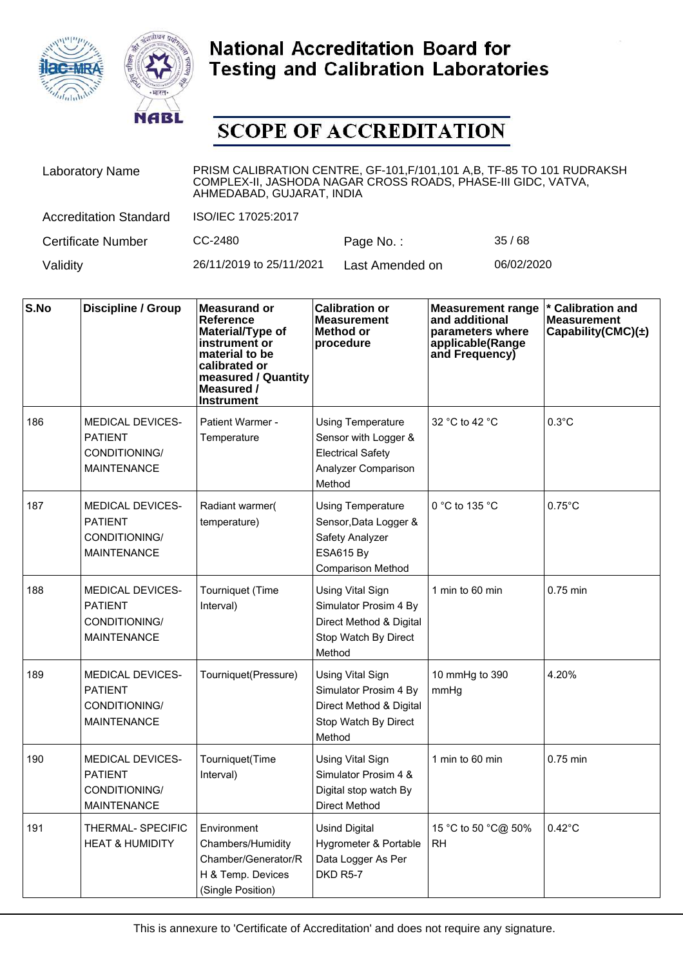



| <b>Laboratory Name</b>        | PRISM CALIBRATION CENTRE, GF-101, F/101, 101 A, B, TF-85 TO 101 RUDRAKSH<br>COMPLEX-II, JASHODA NAGAR CROSS ROADS, PHASE-III GIDC, VATVA,<br>AHMEDABAD, GUJARAT, INDIA |                 |            |  |
|-------------------------------|------------------------------------------------------------------------------------------------------------------------------------------------------------------------|-----------------|------------|--|
| <b>Accreditation Standard</b> | ISO/IEC 17025:2017                                                                                                                                                     |                 |            |  |
| <b>Certificate Number</b>     | CC-2480                                                                                                                                                                | Page No.:       | 35/68      |  |
| Validity                      | 26/11/2019 to 25/11/2021                                                                                                                                               | Last Amended on | 06/02/2020 |  |

| S.No | <b>Discipline / Group</b>                                                        | <b>Measurand or</b><br>Reference<br>Material/Type of<br>instrument or<br>material to be<br>calibrated or<br>measured / Quantity<br>Measured /<br><b>Instrument</b> | <b>Calibration or</b><br><b>Measurement</b><br>Method or<br>procedure                                                | <b>Measurement range</b><br>and additional<br>parameters where<br>applicable(Range<br>and Frequency) | <b>Calibration and</b><br><b>Measurement</b><br>Capability(CMC) $(\pm)$ |
|------|----------------------------------------------------------------------------------|--------------------------------------------------------------------------------------------------------------------------------------------------------------------|----------------------------------------------------------------------------------------------------------------------|------------------------------------------------------------------------------------------------------|-------------------------------------------------------------------------|
| 186  | <b>MEDICAL DEVICES-</b><br><b>PATIENT</b><br>CONDITIONING/<br><b>MAINTENANCE</b> | Patient Warmer -<br>Temperature                                                                                                                                    | <b>Using Temperature</b><br>Sensor with Logger &<br><b>Electrical Safety</b><br>Analyzer Comparison<br>Method        | 32 °C to 42 °C                                                                                       | $0.3^{\circ}$ C                                                         |
| 187  | <b>MEDICAL DEVICES-</b><br><b>PATIENT</b><br>CONDITIONING/<br><b>MAINTENANCE</b> | Radiant warmer(<br>temperature)                                                                                                                                    | <b>Using Temperature</b><br>Sensor, Data Logger &<br>Safety Analyzer<br><b>ESA615 By</b><br><b>Comparison Method</b> | 0 °C to 135 °C                                                                                       | $0.75^{\circ}$ C                                                        |
| 188  | <b>MEDICAL DEVICES-</b><br><b>PATIENT</b><br>CONDITIONING/<br><b>MAINTENANCE</b> | Tourniquet (Time<br>Interval)                                                                                                                                      | Using Vital Sign<br>Simulator Prosim 4 By<br>Direct Method & Digital<br>Stop Watch By Direct<br>Method               | 1 min to 60 min                                                                                      | 0.75 min                                                                |
| 189  | <b>MEDICAL DEVICES-</b><br><b>PATIENT</b><br>CONDITIONING/<br><b>MAINTENANCE</b> | Tourniquet(Pressure)                                                                                                                                               | Using Vital Sign<br>Simulator Prosim 4 By<br>Direct Method & Digital<br>Stop Watch By Direct<br>Method               | 10 mmHg to 390<br>mmHg                                                                               | 4.20%                                                                   |
| 190  | <b>MEDICAL DEVICES-</b><br><b>PATIENT</b><br>CONDITIONING/<br><b>MAINTENANCE</b> | Tourniquet(Time<br>Interval)                                                                                                                                       | Using Vital Sign<br>Simulator Prosim 4 &<br>Digital stop watch By<br><b>Direct Method</b>                            | 1 min to 60 min                                                                                      | 0.75 min                                                                |
| 191  | THERMAL-SPECIFIC<br><b>HEAT &amp; HUMIDITY</b>                                   | Environment<br>Chambers/Humidity<br>Chamber/Generator/R<br>H & Temp. Devices<br>(Single Position)                                                                  | <b>Usind Digital</b><br>Hygrometer & Portable<br>Data Logger As Per<br>DKD R5-7                                      | 15 °C to 50 °C@ 50%<br><b>RH</b>                                                                     | $0.42^{\circ}$ C                                                        |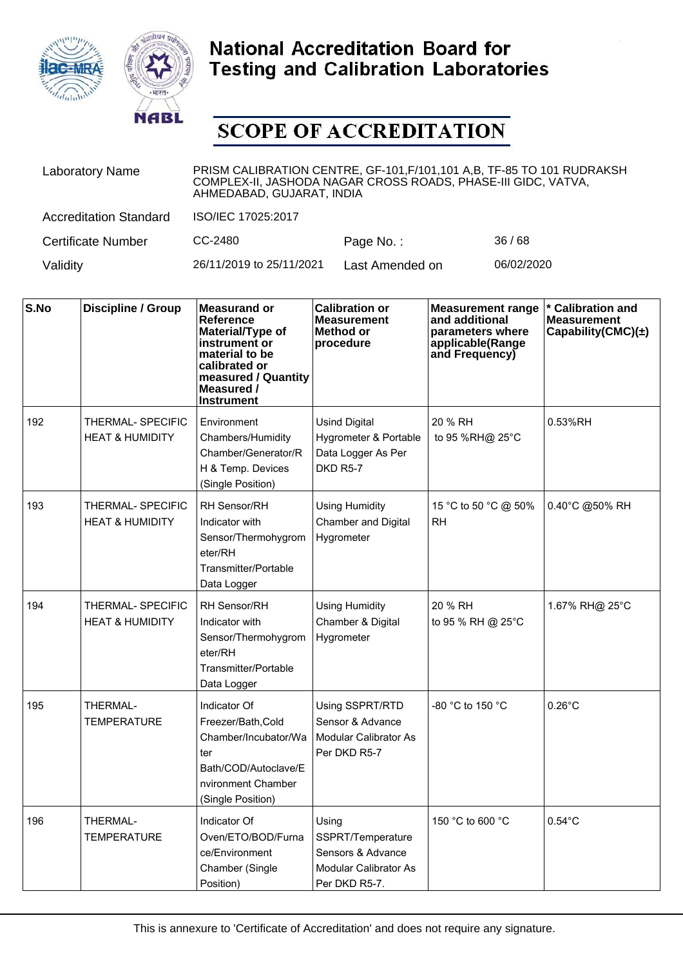



| <b>Laboratory Name</b>        | PRISM CALIBRATION CENTRE, GF-101, F/101, 101 A, B, TF-85 TO 101 RUDRAKSH<br>COMPLEX-II, JASHODA NAGAR CROSS ROADS, PHASE-III GIDC, VATVA,<br>AHMEDABAD, GUJARAT, INDIA |                 |            |  |  |
|-------------------------------|------------------------------------------------------------------------------------------------------------------------------------------------------------------------|-----------------|------------|--|--|
| <b>Accreditation Standard</b> | ISO/IEC 17025:2017                                                                                                                                                     |                 |            |  |  |
| <b>Certificate Number</b>     | CC-2480                                                                                                                                                                | Page No.:       | 36/68      |  |  |
| Validity                      | 26/11/2019 to 25/11/2021                                                                                                                                               | Last Amended on | 06/02/2020 |  |  |

| S.No | <b>Discipline / Group</b>                       | <b>Measurand or</b><br>Reference<br>Material/Type of<br>instrument or<br>material to be<br>calibrated or<br>measured / Quantity<br>Measured /<br>Instrument | <b>Calibration or</b><br><b>Measurement</b><br><b>Method or</b><br>procedure              | <b>Measurement range</b><br>and additional<br>parameters where<br>applicable(Range<br>and Frequency) | * Calibration and<br><b>Measurement</b><br>Capability(CMC) $(\pm)$ |
|------|-------------------------------------------------|-------------------------------------------------------------------------------------------------------------------------------------------------------------|-------------------------------------------------------------------------------------------|------------------------------------------------------------------------------------------------------|--------------------------------------------------------------------|
| 192  | THERMAL- SPECIFIC<br><b>HEAT &amp; HUMIDITY</b> | Environment<br>Chambers/Humidity<br>Chamber/Generator/R<br>H & Temp. Devices<br>(Single Position)                                                           | <b>Usind Digital</b><br>Hygrometer & Portable<br>Data Logger As Per<br>DKD R5-7           | 20 % RH<br>to 95 %RH@ 25°C                                                                           | 0.53%RH                                                            |
| 193  | THERMAL- SPECIFIC<br><b>HEAT &amp; HUMIDITY</b> | <b>RH Sensor/RH</b><br>Indicator with<br>Sensor/Thermohygrom<br>eter/RH<br>Transmitter/Portable<br>Data Logger                                              | <b>Using Humidity</b><br>Chamber and Digital<br>Hygrometer                                | 15 °C to 50 °C @ 50%<br><b>RH</b>                                                                    | 0.40°C @50% RH                                                     |
| 194  | THERMAL- SPECIFIC<br><b>HEAT &amp; HUMIDITY</b> | RH Sensor/RH<br>Indicator with<br>Sensor/Thermohygrom<br>eter/RH<br>Transmitter/Portable<br>Data Logger                                                     | <b>Using Humidity</b><br>Chamber & Digital<br>Hygrometer                                  | 20 % RH<br>to 95 % RH @ 25°C                                                                         | 1.67% RH@ 25°C                                                     |
| 195  | THERMAL-<br><b>TEMPERATURE</b>                  | Indicator Of<br>Freezer/Bath, Cold<br>Chamber/Incubator/Wa<br>ter<br>Bath/COD/Autoclave/E<br>nvironment Chamber<br>(Single Position)                        | Using SSPRT/RTD<br>Sensor & Advance<br>Modular Calibrator As<br>Per DKD R5-7              | -80 °C to 150 °C                                                                                     | $0.26^{\circ}$ C                                                   |
| 196  | THERMAL-<br><b>TEMPERATURE</b>                  | Indicator Of<br>Oven/ETO/BOD/Furna<br>ce/Environment<br>Chamber (Single<br>Position)                                                                        | Using<br>SSPRT/Temperature<br>Sensors & Advance<br>Modular Calibrator As<br>Per DKD R5-7. | 150 °C to 600 °C                                                                                     | $0.54^{\circ}$ C                                                   |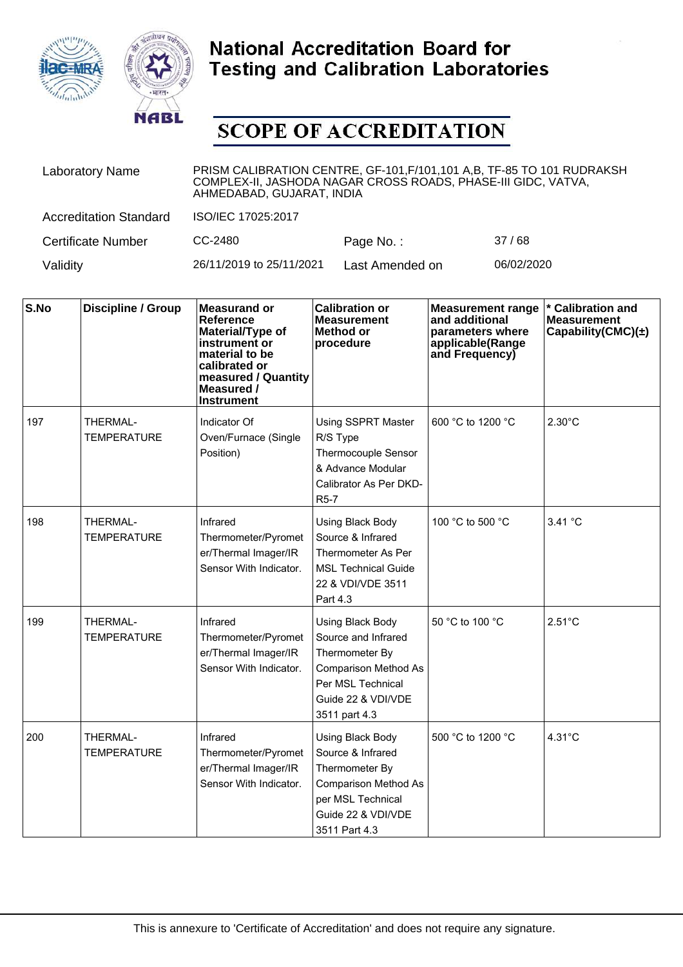



| <b>Laboratory Name</b>        | PRISM CALIBRATION CENTRE, GF-101, F/101, 101 A, B, TF-85 TO 101 RUDRAKSH<br>COMPLEX-II, JASHODA NAGAR CROSS ROADS, PHASE-III GIDC, VATVA,<br>AHMEDABAD, GUJARAT, INDIA |                 |            |  |
|-------------------------------|------------------------------------------------------------------------------------------------------------------------------------------------------------------------|-----------------|------------|--|
| <b>Accreditation Standard</b> | ISO/IEC 17025:2017                                                                                                                                                     |                 |            |  |
| <b>Certificate Number</b>     | CC-2480                                                                                                                                                                | Page No.:       | 37/68      |  |
| Validity                      | 26/11/2019 to 25/11/2021                                                                                                                                               | Last Amended on | 06/02/2020 |  |

| S.No | Discipline / Group                    | <b>Measurand or</b><br><b>Reference</b><br>Material/Type of<br>instrument or<br>material to be<br>calibrated or<br>measured / Quantity<br>Measured /<br><b>Instrument</b> | <b>Calibration or</b><br><b>Measurement</b><br><b>Method or</b><br>procedure                                                                                | <b>Measurement range</b><br>and additional<br>parameters where<br>applicable(Range<br>and Frequency) | * Calibration and<br><b>Measurement</b><br>Capability(CMC) $(\pm)$ |
|------|---------------------------------------|---------------------------------------------------------------------------------------------------------------------------------------------------------------------------|-------------------------------------------------------------------------------------------------------------------------------------------------------------|------------------------------------------------------------------------------------------------------|--------------------------------------------------------------------|
| 197  | THERMAL-<br><b>TEMPERATURE</b>        | Indicator Of<br>Oven/Furnace (Single<br>Position)                                                                                                                         | <b>Using SSPRT Master</b><br>R/S Type<br>Thermocouple Sensor<br>& Advance Modular<br>Calibrator As Per DKD-<br>R <sub>5</sub> -7                            | 600 °C to 1200 °C                                                                                    | $2.30^{\circ}$ C                                                   |
| 198  | <b>THERMAL-</b><br><b>TEMPERATURE</b> | Infrared<br>Thermometer/Pyromet<br>er/Thermal Imager/IR<br>Sensor With Indicator.                                                                                         | Using Black Body<br>Source & Infrared<br>Thermometer As Per<br><b>MSL Technical Guide</b><br>22 & VDI/VDE 3511<br>Part 4.3                                  | 100 °C to 500 °C                                                                                     | 3.41 °C                                                            |
| 199  | THERMAL-<br><b>TEMPERATURE</b>        | Infrared<br>Thermometer/Pyromet<br>er/Thermal Imager/IR<br>Sensor With Indicator.                                                                                         | <b>Using Black Body</b><br>Source and Infrared<br>Thermometer By<br><b>Comparison Method As</b><br>Per MSL Technical<br>Guide 22 & VDI/VDE<br>3511 part 4.3 | 50 °C to 100 °C                                                                                      | $2.51^{\circ}$ C                                                   |
| 200  | THERMAL-<br>TEMPERATURE               | Infrared<br>Thermometer/Pyromet<br>er/Thermal Imager/IR<br>Sensor With Indicator.                                                                                         | Using Black Body<br>Source & Infrared<br>Thermometer By<br><b>Comparison Method As</b><br>per MSL Technical<br>Guide 22 & VDI/VDE<br>3511 Part 4.3          | 500 °C to 1200 °C                                                                                    | $4.31^{\circ}$ C                                                   |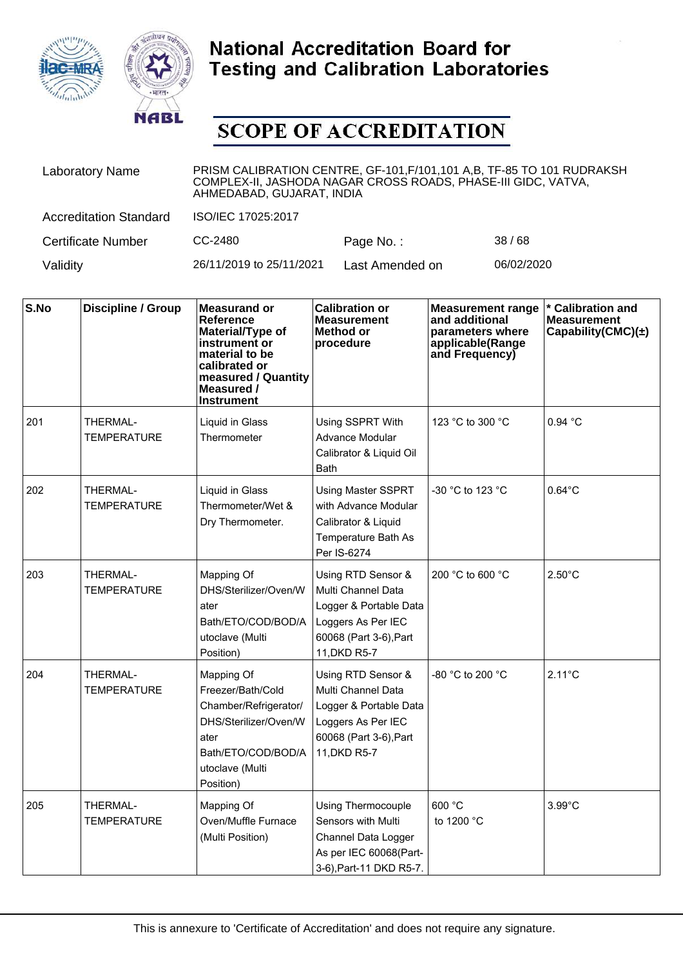



| <b>Laboratory Name</b>        | PRISM CALIBRATION CENTRE, GF-101, F/101, 101 A, B, TF-85 TO 101 RUDRAKSH<br>COMPLEX-II, JASHODA NAGAR CROSS ROADS, PHASE-III GIDC, VATVA,<br>AHMEDABAD, GUJARAT, INDIA |                 |            |  |
|-------------------------------|------------------------------------------------------------------------------------------------------------------------------------------------------------------------|-----------------|------------|--|
| <b>Accreditation Standard</b> | ISO/IEC 17025:2017                                                                                                                                                     |                 |            |  |
| <b>Certificate Number</b>     | CC-2480                                                                                                                                                                | Page No.:       | 38/68      |  |
| Validity                      | 26/11/2019 to 25/11/2021                                                                                                                                               | Last Amended on | 06/02/2020 |  |

| S.No | <b>Discipline / Group</b>      | <b>Measurand or</b><br><b>Reference</b><br>Material/Type of<br>instrument or<br>material to be<br>calibrated or<br>measured / Quantity<br>Measured /<br><b>Instrument</b> | <b>Calibration or</b><br><b>Measurement</b><br>Method or<br>procedure                                                              | <b>Measurement range</b><br>and additional<br>parameters where<br>applicable(Range<br>and Frequency) | * Calibration and<br><b>Measurement</b><br>Capability(CMC) $(\pm)$ |
|------|--------------------------------|---------------------------------------------------------------------------------------------------------------------------------------------------------------------------|------------------------------------------------------------------------------------------------------------------------------------|------------------------------------------------------------------------------------------------------|--------------------------------------------------------------------|
| 201  | THERMAL-<br><b>TEMPERATURE</b> | Liquid in Glass<br>Thermometer                                                                                                                                            | Using SSPRT With<br>Advance Modular<br>Calibrator & Liquid Oil<br><b>Bath</b>                                                      | 123 °C to 300 °C                                                                                     | 0.94 °C                                                            |
| 202  | THERMAL-<br>TEMPERATURE        | Liquid in Glass<br>Thermometer/Wet &<br>Dry Thermometer.                                                                                                                  | Using Master SSPRT<br>with Advance Modular<br>Calibrator & Liquid<br>Temperature Bath As<br>Per IS-6274                            | -30 °C to 123 °C                                                                                     | $0.64^{\circ}$ C                                                   |
| 203  | THERMAL-<br><b>TEMPERATURE</b> | Mapping Of<br>DHS/Sterilizer/Oven/W<br>ater<br>Bath/ETO/COD/BOD/A<br>utoclave (Multi<br>Position)                                                                         | Using RTD Sensor &<br>Multi Channel Data<br>Logger & Portable Data<br>Loggers As Per IEC<br>60068 (Part 3-6), Part<br>11.DKD R5-7  | 200 °C to 600 °C                                                                                     | $2.50^{\circ}$ C                                                   |
| 204  | THERMAL-<br><b>TEMPERATURE</b> | Mapping Of<br>Freezer/Bath/Cold<br>Chamber/Refrigerator/<br>DHS/Sterilizer/Oven/W<br>ater<br>Bath/ETO/COD/BOD/A<br>utoclave (Multi<br>Position)                           | Using RTD Sensor &<br>Multi Channel Data<br>Logger & Portable Data<br>Loggers As Per IEC<br>60068 (Part 3-6), Part<br>11, DKD R5-7 | -80 °C to 200 °C                                                                                     | $2.11^{\circ}$ C                                                   |
| 205  | THERMAL-<br><b>TEMPERATURE</b> | Mapping Of<br>Oven/Muffle Furnace<br>(Multi Position)                                                                                                                     | <b>Using Thermocouple</b><br>Sensors with Multi<br>Channel Data Logger<br>As per IEC 60068(Part-<br>3-6), Part-11 DKD R5-7.        | 600 °C<br>to 1200 °C                                                                                 | $3.99^{\circ}$ C                                                   |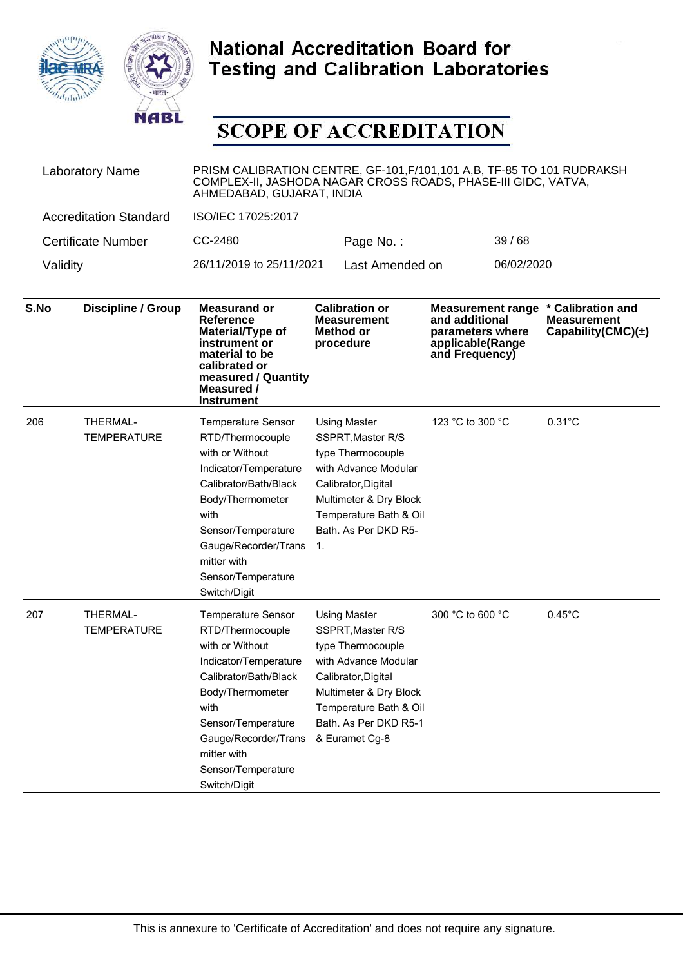



| <b>Laboratory Name</b>        | PRISM CALIBRATION CENTRE, GF-101, F/101, 101 A, B, TF-85 TO 101 RUDRAKSH<br>COMPLEX-II, JASHODA NAGAR CROSS ROADS, PHASE-III GIDC, VATVA,<br>AHMEDABAD, GUJARAT, INDIA |                 |            |  |  |
|-------------------------------|------------------------------------------------------------------------------------------------------------------------------------------------------------------------|-----------------|------------|--|--|
| <b>Accreditation Standard</b> | ISO/IEC 17025:2017                                                                                                                                                     |                 |            |  |  |
| <b>Certificate Number</b>     | CC-2480                                                                                                                                                                | Page No.:       | 39/68      |  |  |
| Validity                      | 26/11/2019 to 25/11/2021                                                                                                                                               | Last Amended on | 06/02/2020 |  |  |

| S.No | <b>Discipline / Group</b>      | <b>Measurand or</b><br><b>Reference</b><br>Material/Type of<br>instrument or<br>material to be<br>calibrated or<br>measured / Quantity<br>Measured /<br><b>Instrument</b>                                                                         | <b>Calibration or</b><br><b>Measurement</b><br>Method or<br>procedure                                                                                                                                       | <b>Measurement range</b><br>and additional<br>parameters where<br>applicable(Range<br>and Frequency) | <b>Calibration and</b><br><b>Measurement</b><br>Capability(CMC) $(\pm)$ |
|------|--------------------------------|---------------------------------------------------------------------------------------------------------------------------------------------------------------------------------------------------------------------------------------------------|-------------------------------------------------------------------------------------------------------------------------------------------------------------------------------------------------------------|------------------------------------------------------------------------------------------------------|-------------------------------------------------------------------------|
| 206  | THERMAL-<br><b>TEMPERATURE</b> | <b>Temperature Sensor</b><br>RTD/Thermocouple<br>with or Without<br>Indicator/Temperature<br>Calibrator/Bath/Black<br>Body/Thermometer<br>with<br>Sensor/Temperature<br>Gauge/Recorder/Trans<br>mitter with<br>Sensor/Temperature<br>Switch/Digit | <b>Using Master</b><br>SSPRT, Master R/S<br>type Thermocouple<br>with Advance Modular<br>Calibrator, Digital<br>Multimeter & Dry Block<br>Temperature Bath & Oil<br>Bath. As Per DKD R5-<br>1.              | 123 °C to 300 °C                                                                                     | $0.31^{\circ}$ C                                                        |
| 207  | THERMAL-<br><b>TEMPERATURE</b> | <b>Temperature Sensor</b><br>RTD/Thermocouple<br>with or Without<br>Indicator/Temperature<br>Calibrator/Bath/Black<br>Body/Thermometer<br>with<br>Sensor/Temperature<br>Gauge/Recorder/Trans<br>mitter with<br>Sensor/Temperature<br>Switch/Digit | <b>Using Master</b><br>SSPRT, Master R/S<br>type Thermocouple<br>with Advance Modular<br>Calibrator, Digital<br>Multimeter & Dry Block<br>Temperature Bath & Oil<br>Bath. As Per DKD R5-1<br>& Euramet Cg-8 | 300 °C to 600 °C                                                                                     | $0.45^{\circ}$ C                                                        |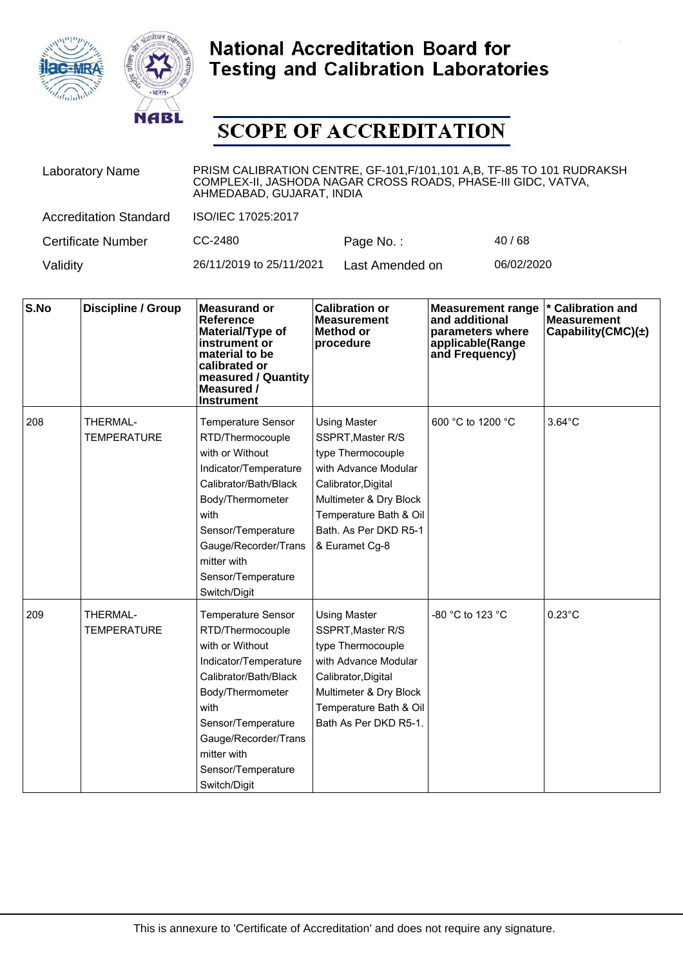



| <b>Laboratory Name</b>        | PRISM CALIBRATION CENTRE, GF-101, F/101, 101 A, B, TF-85 TO 101 RUDRAKSH<br>COMPLEX-II, JASHODA NAGAR CROSS ROADS, PHASE-III GIDC, VATVA,<br>AHMEDABAD, GUJARAT, INDIA |                 |            |  |  |
|-------------------------------|------------------------------------------------------------------------------------------------------------------------------------------------------------------------|-----------------|------------|--|--|
| <b>Accreditation Standard</b> | ISO/IEC 17025:2017                                                                                                                                                     |                 |            |  |  |
| <b>Certificate Number</b>     | CC-2480                                                                                                                                                                | Page No.:       | 40/68      |  |  |
| Validity                      | 26/11/2019 to 25/11/2021                                                                                                                                               | Last Amended on | 06/02/2020 |  |  |

| S.No | <b>Discipline / Group</b>      | <b>Measurand or</b><br><b>Reference</b><br>Material/Type of<br>instrument or<br>material to be<br>calibrated or<br>measured / Quantity<br>Measured /<br><b>Instrument</b>                                                                         | <b>Calibration or</b><br><b>Measurement</b><br>Method or<br>procedure                                                                                                                                       | <b>Measurement range</b><br>and additional<br>parameters where<br>applicable(Range<br>and Frequency) | <b>Calibration and</b><br><b>Measurement</b><br>Capability(CMC) $(\pm)$ |
|------|--------------------------------|---------------------------------------------------------------------------------------------------------------------------------------------------------------------------------------------------------------------------------------------------|-------------------------------------------------------------------------------------------------------------------------------------------------------------------------------------------------------------|------------------------------------------------------------------------------------------------------|-------------------------------------------------------------------------|
| 208  | THERMAL-<br><b>TEMPERATURE</b> | <b>Temperature Sensor</b><br>RTD/Thermocouple<br>with or Without<br>Indicator/Temperature<br>Calibrator/Bath/Black<br>Body/Thermometer<br>with<br>Sensor/Temperature<br>Gauge/Recorder/Trans<br>mitter with<br>Sensor/Temperature<br>Switch/Digit | <b>Using Master</b><br>SSPRT, Master R/S<br>type Thermocouple<br>with Advance Modular<br>Calibrator, Digital<br>Multimeter & Dry Block<br>Temperature Bath & Oil<br>Bath, As Per DKD R5-1<br>& Euramet Cg-8 | 600 °C to 1200 °C                                                                                    | $3.64^{\circ}$ C                                                        |
| 209  | THERMAL-<br><b>TEMPERATURE</b> | <b>Temperature Sensor</b><br>RTD/Thermocouple<br>with or Without<br>Indicator/Temperature<br>Calibrator/Bath/Black<br>Body/Thermometer<br>with<br>Sensor/Temperature<br>Gauge/Recorder/Trans<br>mitter with<br>Sensor/Temperature<br>Switch/Digit | <b>Using Master</b><br>SSPRT, Master R/S<br>type Thermocouple<br>with Advance Modular<br>Calibrator, Digital<br>Multimeter & Dry Block<br>Temperature Bath & Oil<br>Bath As Per DKD R5-1.                   | -80 °C to 123 °C                                                                                     | $0.23^{\circ}$ C                                                        |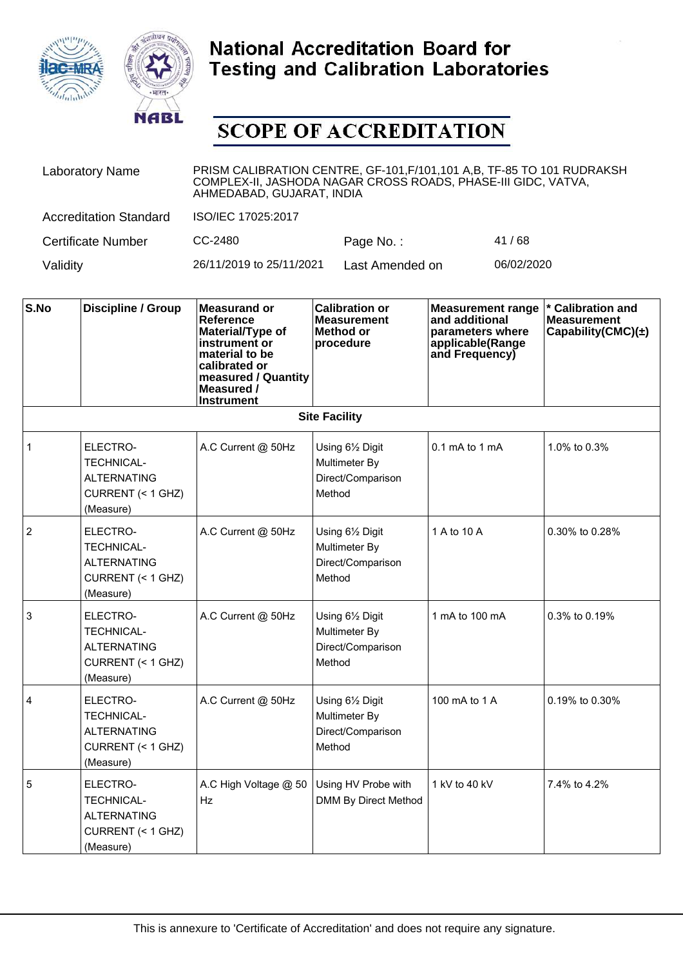



| <b>Laboratory Name</b>        | PRISM CALIBRATION CENTRE, GF-101, F/101, 101 A, B, TF-85 TO 101 RUDRAKSH<br>COMPLEX-II, JASHODA NAGAR CROSS ROADS, PHASE-III GIDC, VATVA,<br>AHMEDABAD, GUJARAT, INDIA |                 |            |  |
|-------------------------------|------------------------------------------------------------------------------------------------------------------------------------------------------------------------|-----------------|------------|--|
| <b>Accreditation Standard</b> | ISO/IEC 17025:2017                                                                                                                                                     |                 |            |  |
| <b>Certificate Number</b>     | CC-2480                                                                                                                                                                | Page No.:       | 41/68      |  |
| Validity                      | 26/11/2019 to 25/11/2021                                                                                                                                               | Last Amended on | 06/02/2020 |  |

| S.No           | Discipline / Group                                                                    | <b>Measurand or</b><br><b>Reference</b><br>Material/Type of<br>instrument or<br>material to be<br>calibrated or<br>measured / Quantity<br>Measured /<br><b>Instrument</b> | <b>Calibration or</b><br><b>Measurement</b><br>Method or<br>procedure | <b>Measurement range</b><br>and additional<br>parameters where<br>applicable(Range<br>and Frequency) | * Calibration and<br><b>Measurement</b><br>Capability(CMC) $(\pm)$ |
|----------------|---------------------------------------------------------------------------------------|---------------------------------------------------------------------------------------------------------------------------------------------------------------------------|-----------------------------------------------------------------------|------------------------------------------------------------------------------------------------------|--------------------------------------------------------------------|
|                |                                                                                       |                                                                                                                                                                           | <b>Site Facility</b>                                                  |                                                                                                      |                                                                    |
| $\mathbf{1}$   | ELECTRO-<br><b>TECHNICAL-</b><br><b>ALTERNATING</b><br>CURRENT (< 1 GHZ)<br>(Measure) | A.C Current @ 50Hz                                                                                                                                                        | Using 61/2 Digit<br>Multimeter By<br>Direct/Comparison<br>Method      | $0.1 \text{ mA}$ to 1 mA                                                                             | 1.0% to 0.3%                                                       |
| $\overline{2}$ | ELECTRO-<br><b>TECHNICAL-</b><br><b>ALTERNATING</b><br>CURRENT (< 1 GHZ)<br>(Measure) | A.C Current @ 50Hz                                                                                                                                                        | Using 61/2 Digit<br>Multimeter By<br>Direct/Comparison<br>Method      | 1 A to 10 A                                                                                          | 0.30% to 0.28%                                                     |
| 3              | ELECTRO-<br><b>TECHNICAL-</b><br><b>ALTERNATING</b><br>CURRENT (< 1 GHZ)<br>(Measure) | A.C Current @ 50Hz                                                                                                                                                        | Using 61/2 Digit<br>Multimeter By<br>Direct/Comparison<br>Method      | 1 mA to 100 mA                                                                                       | 0.3% to 0.19%                                                      |
| $\overline{4}$ | ELECTRO-<br><b>TECHNICAL-</b><br><b>ALTERNATING</b><br>CURRENT (< 1 GHZ)<br>(Measure) | A.C Current @ 50Hz                                                                                                                                                        | Using 61/2 Digit<br>Multimeter By<br>Direct/Comparison<br>Method      | 100 mA to 1 A                                                                                        | 0.19% to 0.30%                                                     |
| 5              | ELECTRO-<br><b>TECHNICAL-</b><br><b>ALTERNATING</b><br>CURRENT (< 1 GHZ)<br>(Measure) | A.C High Voltage @ 50<br>Hz                                                                                                                                               | Using HV Probe with<br>DMM By Direct Method                           | 1 kV to 40 kV                                                                                        | 7.4% to 4.2%                                                       |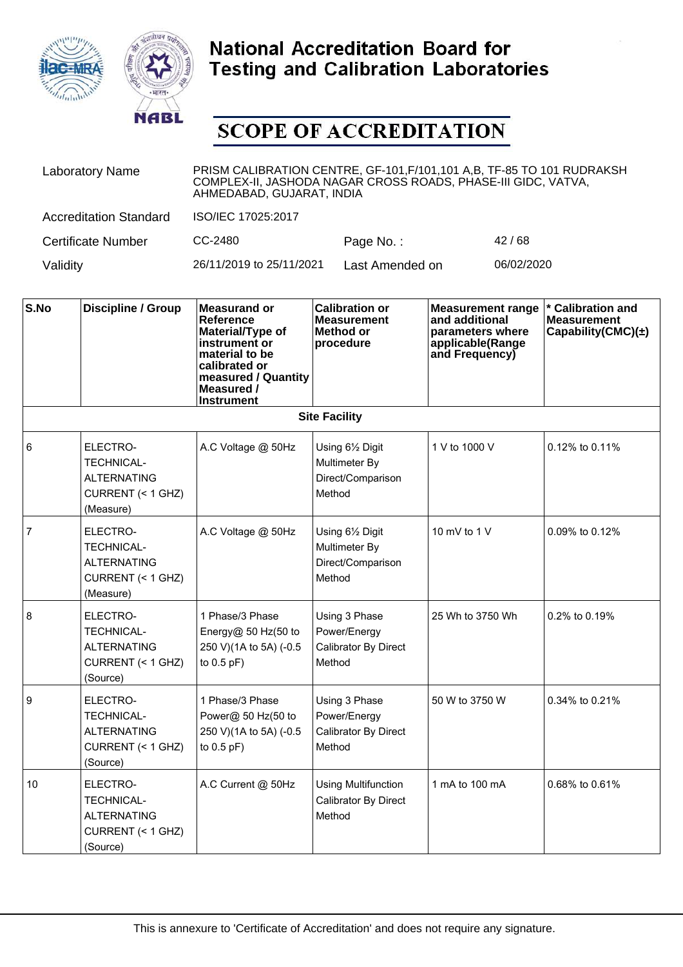



| <b>Laboratory Name</b>        | PRISM CALIBRATION CENTRE, GF-101, F/101, 101 A,B, TF-85 TO 101 RUDRAKSH<br>COMPLEX-II, JASHODA NAGAR CROSS ROADS, PHASE-III GIDC, VATVA,<br>AHMEDABAD, GUJARAT, INDIA |                 |            |  |
|-------------------------------|-----------------------------------------------------------------------------------------------------------------------------------------------------------------------|-----------------|------------|--|
| <b>Accreditation Standard</b> | ISO/IEC 17025:2017                                                                                                                                                    |                 |            |  |
| Certificate Number            | CC-2480                                                                                                                                                               | Page No.:       | 42/68      |  |
| Validity                      | 26/11/2019 to 25/11/2021                                                                                                                                              | Last Amended on | 06/02/2020 |  |

| S.No           | Discipline / Group                                                                    | <b>Measurand or</b><br><b>Reference</b><br>Material/Type of<br>instrument or<br>material to be<br>calibrated or<br>measured / Quantity<br>Measured /<br><b>Instrument</b> | <b>Calibration or</b><br><b>Measurement</b><br>Method or<br>procedure | <b>Measurement range</b><br>and additional<br>parameters where<br>applicable(Range<br>and Frequency) | * Calibration and<br><b>Measurement</b><br>Capability(CMC) $(\pm)$ |
|----------------|---------------------------------------------------------------------------------------|---------------------------------------------------------------------------------------------------------------------------------------------------------------------------|-----------------------------------------------------------------------|------------------------------------------------------------------------------------------------------|--------------------------------------------------------------------|
|                |                                                                                       |                                                                                                                                                                           | <b>Site Facility</b>                                                  |                                                                                                      |                                                                    |
| $6\phantom{1}$ | ELECTRO-<br><b>TECHNICAL-</b><br><b>ALTERNATING</b><br>CURRENT (< 1 GHZ)<br>(Measure) | A.C Voltage @ 50Hz                                                                                                                                                        | Using 61/2 Digit<br>Multimeter By<br>Direct/Comparison<br>Method      | 1 V to 1000 V                                                                                        | 0.12% to 0.11%                                                     |
| $\overline{7}$ | ELECTRO-<br><b>TECHNICAL-</b><br><b>ALTERNATING</b><br>CURRENT (< 1 GHZ)<br>(Measure) | A.C Voltage @ 50Hz                                                                                                                                                        | Using 61/2 Digit<br>Multimeter By<br>Direct/Comparison<br>Method      | 10 mV to 1 $V$                                                                                       | 0.09% to 0.12%                                                     |
| 8              | ELECTRO-<br><b>TECHNICAL-</b><br><b>ALTERNATING</b><br>CURRENT (< 1 GHZ)<br>(Source)  | 1 Phase/3 Phase<br>Energy $@$ 50 Hz(50 to<br>250 V)(1A to 5A) (-0.5<br>to $0.5$ pF)                                                                                       | Using 3 Phase<br>Power/Energy<br>Calibrator By Direct<br>Method       | 25 Wh to 3750 Wh                                                                                     | 0.2% to 0.19%                                                      |
| 9              | ELECTRO-<br><b>TECHNICAL-</b><br><b>ALTERNATING</b><br>CURRENT (< 1 GHZ)<br>(Source)  | 1 Phase/3 Phase<br>Power@ 50 Hz(50 to<br>250 V)(1A to 5A) (-0.5<br>to $0.5$ pF)                                                                                           | Using 3 Phase<br>Power/Energy<br>Calibrator By Direct<br>Method       | 50 W to 3750 W                                                                                       | 0.34% to 0.21%                                                     |
| 10             | ELECTRO-<br><b>TECHNICAL-</b><br><b>ALTERNATING</b><br>CURRENT (< 1 GHZ)<br>(Source)  | A.C Current @ 50Hz                                                                                                                                                        | <b>Using Multifunction</b><br>Calibrator By Direct<br>Method          | 1 mA to 100 mA                                                                                       | 0.68% to 0.61%                                                     |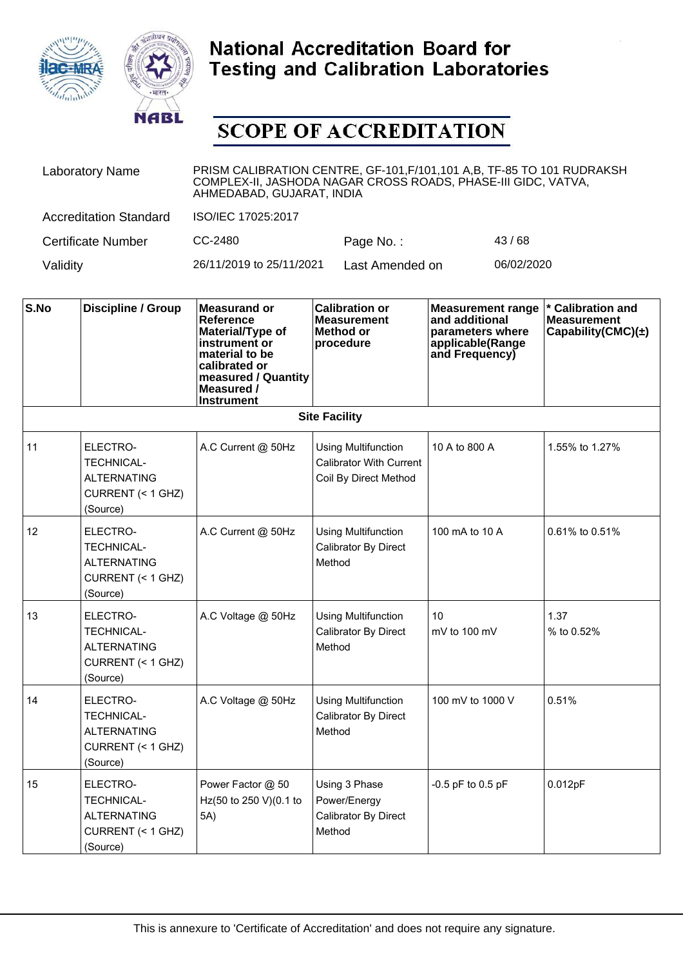



| <b>Laboratory Name</b>        | PRISM CALIBRATION CENTRE, GF-101, F/101, 101 A,B, TF-85 TO 101 RUDRAKSH<br>COMPLEX-II, JASHODA NAGAR CROSS ROADS, PHASE-III GIDC, VATVA,<br>AHMEDABAD, GUJARAT, INDIA |                 |            |  |
|-------------------------------|-----------------------------------------------------------------------------------------------------------------------------------------------------------------------|-----------------|------------|--|
| <b>Accreditation Standard</b> | ISO/IEC 17025:2017                                                                                                                                                    |                 |            |  |
| Certificate Number            | CC-2480                                                                                                                                                               | Page No.:       | 43/68      |  |
| Validity                      | 26/11/2019 to 25/11/2021                                                                                                                                              | Last Amended on | 06/02/2020 |  |

| S.No | <b>Discipline / Group</b>                                                            | <b>Measurand or</b><br><b>Reference</b><br>Material/Type of<br>instrument or<br>material to be<br>calibrated or<br>measured / Quantity<br>Measured /<br><b>Instrument</b> | <b>Calibration or</b><br><b>Measurement</b><br><b>Method or</b><br>procedure          | <b>Measurement range</b><br>and additional<br>parameters where<br>applicable(Range<br>and Frequency) | * Calibration and<br><b>Measurement</b><br>Capability(CMC) $(\pm)$ |
|------|--------------------------------------------------------------------------------------|---------------------------------------------------------------------------------------------------------------------------------------------------------------------------|---------------------------------------------------------------------------------------|------------------------------------------------------------------------------------------------------|--------------------------------------------------------------------|
|      |                                                                                      |                                                                                                                                                                           | <b>Site Facility</b>                                                                  |                                                                                                      |                                                                    |
| 11   | ELECTRO-<br><b>TECHNICAL-</b><br><b>ALTERNATING</b><br>CURRENT (< 1 GHZ)<br>(Source) | A.C Current @ 50Hz                                                                                                                                                        | <b>Using Multifunction</b><br><b>Calibrator With Current</b><br>Coil By Direct Method | 10 A to 800 A                                                                                        | 1.55% to 1.27%                                                     |
| 12   | ELECTRO-<br><b>TECHNICAL-</b><br><b>ALTERNATING</b><br>CURRENT (< 1 GHZ)<br>(Source) | A.C Current @ 50Hz                                                                                                                                                        | <b>Using Multifunction</b><br>Calibrator By Direct<br>Method                          | 100 mA to 10 A                                                                                       | 0.61% to 0.51%                                                     |
| 13   | ELECTRO-<br><b>TECHNICAL-</b><br><b>ALTERNATING</b><br>CURRENT (< 1 GHZ)<br>(Source) | A.C Voltage @ 50Hz                                                                                                                                                        | <b>Using Multifunction</b><br>Calibrator By Direct<br>Method                          | 10<br>mV to 100 mV                                                                                   | 1.37<br>% to 0.52%                                                 |
| 14   | ELECTRO-<br><b>TECHNICAL-</b><br><b>ALTERNATING</b><br>CURRENT (< 1 GHZ)<br>(Source) | A.C Voltage @ 50Hz                                                                                                                                                        | <b>Using Multifunction</b><br>Calibrator By Direct<br>Method                          | 100 mV to 1000 V                                                                                     | 0.51%                                                              |
| 15   | ELECTRO-<br><b>TECHNICAL-</b><br><b>ALTERNATING</b><br>CURRENT (< 1 GHZ)<br>(Source) | Power Factor @ 50<br>Hz(50 to 250 V)(0.1 to<br>5A)                                                                                                                        | Using 3 Phase<br>Power/Energy<br>Calibrator By Direct<br>Method                       | $-0.5$ pF to 0.5 pF                                                                                  | 0.012pF                                                            |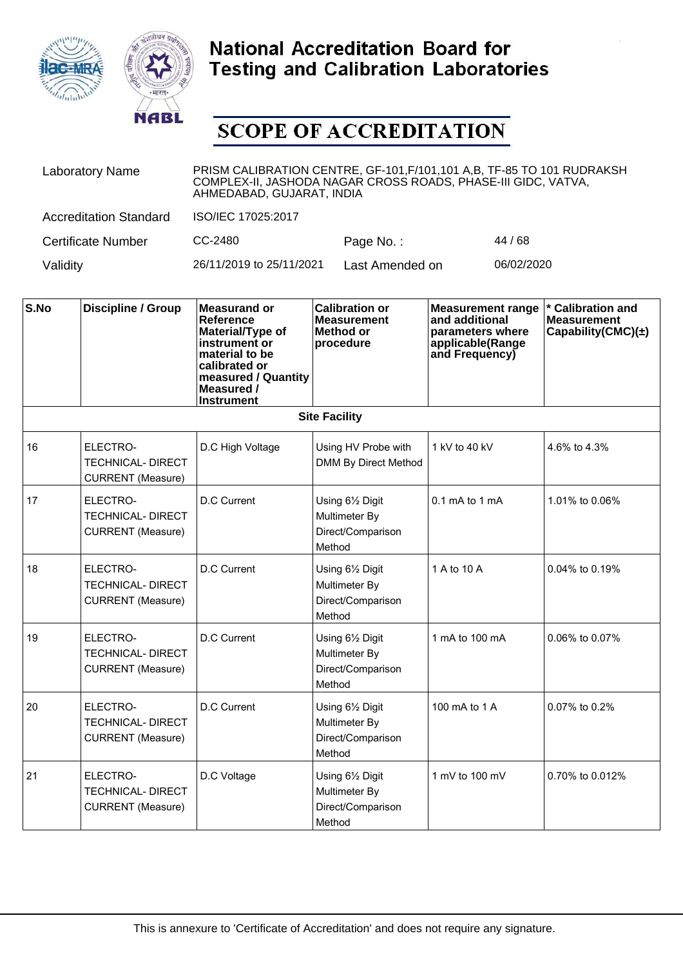



| <b>Laboratory Name</b>        | PRISM CALIBRATION CENTRE, GF-101, F/101, 101 A, B, TF-85 TO 101 RUDRAKSH<br>COMPLEX-II, JASHODA NAGAR CROSS ROADS, PHASE-III GIDC, VATVA,<br>AHMEDABAD, GUJARAT, INDIA |                 |            |  |
|-------------------------------|------------------------------------------------------------------------------------------------------------------------------------------------------------------------|-----------------|------------|--|
| <b>Accreditation Standard</b> | ISO/IEC 17025:2017                                                                                                                                                     |                 |            |  |
| <b>Certificate Number</b>     | CC-2480                                                                                                                                                                | Page No.:       | 44 / 68    |  |
| Validity                      | 26/11/2019 to 25/11/2021                                                                                                                                               | Last Amended on | 06/02/2020 |  |

| S.No | <b>Discipline / Group</b>                                        | <b>Measurand or</b><br>Reference<br>Material/Type of<br>instrument or<br>material to be<br>calibrated or<br>measured / Quantity<br>Measured /<br><b>Instrument</b> | <b>Calibration or</b><br><b>Measurement</b><br><b>Method or</b><br>procedure | <b>Measurement range</b><br>and additional<br>parameters where<br>applicable(Range<br>and Frequency) | * Calibration and<br><b>Measurement</b><br>Capability(CMC) $(\pm)$ |
|------|------------------------------------------------------------------|--------------------------------------------------------------------------------------------------------------------------------------------------------------------|------------------------------------------------------------------------------|------------------------------------------------------------------------------------------------------|--------------------------------------------------------------------|
|      |                                                                  |                                                                                                                                                                    | <b>Site Facility</b>                                                         |                                                                                                      |                                                                    |
| 16   | ELECTRO-<br>TECHNICAL-DIRECT<br><b>CURRENT</b> (Measure)         | D.C High Voltage                                                                                                                                                   | Using HV Probe with<br>DMM By Direct Method                                  | 1 kV to 40 kV                                                                                        | 4.6% to 4.3%                                                       |
| 17   | ELECTRO-<br><b>TECHNICAL- DIRECT</b><br><b>CURRENT</b> (Measure) | D.C Current                                                                                                                                                        | Using 61/2 Digit<br>Multimeter By<br>Direct/Comparison<br>Method             | $0.1 \text{ mA}$ to $1 \text{ mA}$                                                                   | 1.01% to 0.06%                                                     |
| 18   | ELECTRO-<br><b>TECHNICAL- DIRECT</b><br><b>CURRENT</b> (Measure) | <b>D.C Current</b>                                                                                                                                                 | Using 61/2 Digit<br>Multimeter By<br>Direct/Comparison<br>Method             | 1 A to 10 A                                                                                          | 0.04% to 0.19%                                                     |
| 19   | ELECTRO-<br><b>TECHNICAL-DIRECT</b><br><b>CURRENT</b> (Measure)  | <b>D.C Current</b>                                                                                                                                                 | Using 61/2 Digit<br>Multimeter By<br>Direct/Comparison<br>Method             | 1 mA to 100 mA                                                                                       | 0.06% to 0.07%                                                     |
| 20   | ELECTRO-<br><b>TECHNICAL-DIRECT</b><br><b>CURRENT</b> (Measure)  | <b>D.C Current</b>                                                                                                                                                 | Using 61/2 Digit<br>Multimeter By<br>Direct/Comparison<br>Method             | 100 mA to 1 A                                                                                        | 0.07% to 0.2%                                                      |
| 21   | ELECTRO-<br><b>TECHNICAL-DIRECT</b><br><b>CURRENT</b> (Measure)  | D.C Voltage                                                                                                                                                        | Using 61/2 Digit<br>Multimeter By<br>Direct/Comparison<br>Method             | 1 mV to 100 mV                                                                                       | 0.70% to 0.012%                                                    |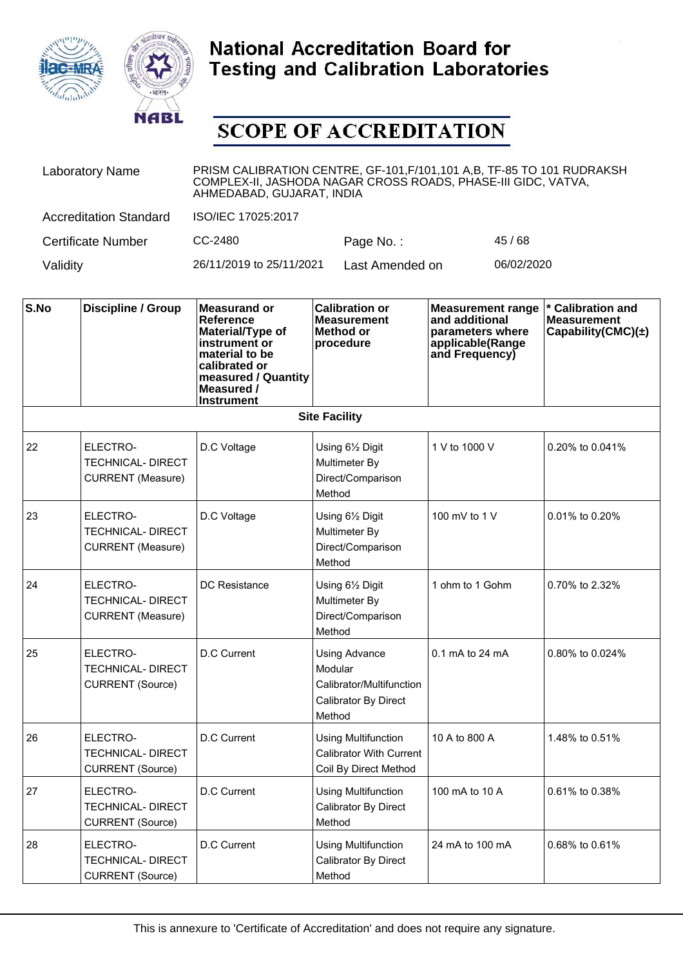



| <b>Laboratory Name</b>        | PRISM CALIBRATION CENTRE, GF-101, F/101, 101 A, B, TF-85 TO 101 RUDRAKSH<br>COMPLEX-II, JASHODA NAGAR CROSS ROADS, PHASE-III GIDC, VATVA,<br>AHMEDABAD, GUJARAT, INDIA |                 |            |  |
|-------------------------------|------------------------------------------------------------------------------------------------------------------------------------------------------------------------|-----------------|------------|--|
| <b>Accreditation Standard</b> | ISO/IEC 17025:2017                                                                                                                                                     |                 |            |  |
| <b>Certificate Number</b>     | CC-2480                                                                                                                                                                | Page No.:       | 45/68      |  |
| Validity                      | 26/11/2019 to 25/11/2021                                                                                                                                               | Last Amended on | 06/02/2020 |  |

| S.No | <b>Discipline / Group</b>                                        | <b>Measurand or</b><br>Reference<br>Material/Type of<br>instrument or<br>material to be<br>calibrated or<br>measured / Quantity<br>Measured /<br><b>Instrument</b> | <b>Calibration or</b><br><b>Measurement</b><br>Method or<br>procedure                         | <b>Measurement range</b><br>and additional<br>parameters where<br>applicable(Range<br>and Frequency) | * Calibration and<br><b>Measurement</b><br>Capability(CMC) $(\pm)$ |
|------|------------------------------------------------------------------|--------------------------------------------------------------------------------------------------------------------------------------------------------------------|-----------------------------------------------------------------------------------------------|------------------------------------------------------------------------------------------------------|--------------------------------------------------------------------|
|      |                                                                  |                                                                                                                                                                    | <b>Site Facility</b>                                                                          |                                                                                                      |                                                                    |
| 22   | ELECTRO-<br><b>TECHNICAL-DIRECT</b><br><b>CURRENT</b> (Measure)  | D.C Voltage                                                                                                                                                        | Using 61/2 Digit<br>Multimeter By<br>Direct/Comparison<br>Method                              | 1 V to 1000 V                                                                                        | 0.20% to 0.041%                                                    |
| 23   | ELECTRO-<br><b>TECHNICAL-DIRECT</b><br><b>CURRENT</b> (Measure)  | D.C Voltage                                                                                                                                                        | Using 61/2 Digit<br>Multimeter By<br>Direct/Comparison<br>Method                              | 100 mV to 1 V                                                                                        | 0.01% to 0.20%                                                     |
| 24   | ELECTRO-<br><b>TECHNICAL- DIRECT</b><br><b>CURRENT</b> (Measure) | <b>DC</b> Resistance                                                                                                                                               | Using 61/2 Digit<br>Multimeter By<br>Direct/Comparison<br>Method                              | 1 ohm to 1 Gohm                                                                                      | 0.70% to 2.32%                                                     |
| 25   | ELECTRO-<br>TECHNICAL-DIRECT<br><b>CURRENT</b> (Source)          | <b>D.C Current</b>                                                                                                                                                 | <b>Using Advance</b><br>Modular<br>Calibrator/Multifunction<br>Calibrator By Direct<br>Method | 0.1 mA to 24 mA                                                                                      | 0.80% to 0.024%                                                    |
| 26   | ELECTRO-<br><b>TECHNICAL-DIRECT</b><br><b>CURRENT</b> (Source)   | D.C Current                                                                                                                                                        | <b>Using Multifunction</b><br><b>Calibrator With Current</b><br>Coil By Direct Method         | 10 A to 800 A                                                                                        | 1.48% to 0.51%                                                     |
| 27   | ELECTRO-<br><b>TECHNICAL- DIRECT</b><br><b>CURRENT</b> (Source)  | D.C Current                                                                                                                                                        | <b>Using Multifunction</b><br>Calibrator By Direct<br>Method                                  | 100 mA to 10 A                                                                                       | 0.61% to 0.38%                                                     |
| 28   | ELECTRO-<br><b>TECHNICAL- DIRECT</b><br><b>CURRENT (Source)</b>  | <b>D.C Current</b>                                                                                                                                                 | <b>Using Multifunction</b><br>Calibrator By Direct<br>Method                                  | 24 mA to 100 mA                                                                                      | 0.68% to 0.61%                                                     |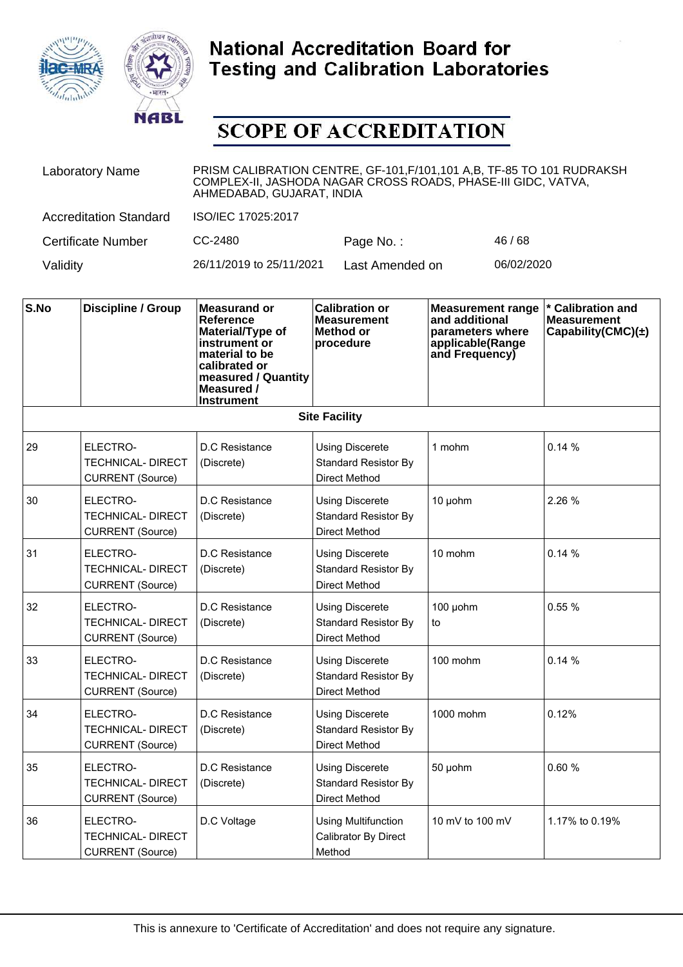



| <b>Laboratory Name</b>        | PRISM CALIBRATION CENTRE, GF-101, F/101, 101 A, B, TF-85 TO 101 RUDRAKSH<br>COMPLEX-II, JASHODA NAGAR CROSS ROADS, PHASE-III GIDC, VATVA,<br>AHMEDABAD, GUJARAT, INDIA |                 |            |  |
|-------------------------------|------------------------------------------------------------------------------------------------------------------------------------------------------------------------|-----------------|------------|--|
| <b>Accreditation Standard</b> | ISO/IEC 17025:2017                                                                                                                                                     |                 |            |  |
| <b>Certificate Number</b>     | CC-2480                                                                                                                                                                | Page No.:       | 46/68      |  |
| Validity                      | 26/11/2019 to 25/11/2021                                                                                                                                               | Last Amended on | 06/02/2020 |  |

| S.No | <b>Discipline / Group</b>                                       | <b>Measurand or</b><br><b>Reference</b><br>Material/Type of<br>instrument or<br>material to be<br>calibrated or<br>measured / Quantity<br>Measured /<br><b>Instrument</b> | <b>Calibration or</b><br><b>Measurement</b><br>Method or<br>procedure         | <b>Measurement range</b><br>and additional<br>parameters where<br>applicable(Range<br>and Frequency) | * Calibration and<br><b>Measurement</b><br>Capability(CMC) $(\pm)$ |
|------|-----------------------------------------------------------------|---------------------------------------------------------------------------------------------------------------------------------------------------------------------------|-------------------------------------------------------------------------------|------------------------------------------------------------------------------------------------------|--------------------------------------------------------------------|
|      |                                                                 |                                                                                                                                                                           | <b>Site Facility</b>                                                          |                                                                                                      |                                                                    |
| 29   | ELECTRO-<br><b>TECHNICAL- DIRECT</b><br><b>CURRENT</b> (Source) | D.C Resistance<br>(Discrete)                                                                                                                                              | <b>Using Discerete</b><br><b>Standard Resistor By</b><br>Direct Method        | 1 mohm                                                                                               | 0.14%                                                              |
| 30   | ELECTRO-<br><b>TECHNICAL- DIRECT</b><br><b>CURRENT</b> (Source) | D.C Resistance<br>(Discrete)                                                                                                                                              | <b>Using Discerete</b><br><b>Standard Resistor By</b><br><b>Direct Method</b> | 10 µohm                                                                                              | 2.26 %                                                             |
| 31   | ELECTRO-<br><b>TECHNICAL- DIRECT</b><br><b>CURRENT</b> (Source) | D.C Resistance<br>(Discrete)                                                                                                                                              | <b>Using Discerete</b><br><b>Standard Resistor By</b><br><b>Direct Method</b> | 10 mohm                                                                                              | 0.14%                                                              |
| 32   | ELECTRO-<br><b>TECHNICAL- DIRECT</b><br><b>CURRENT</b> (Source) | D.C Resistance<br>(Discrete)                                                                                                                                              | <b>Using Discerete</b><br><b>Standard Resistor By</b><br><b>Direct Method</b> | 100 µohm<br>to                                                                                       | 0.55%                                                              |
| 33   | ELECTRO-<br><b>TECHNICAL- DIRECT</b><br><b>CURRENT</b> (Source) | D.C Resistance<br>(Discrete)                                                                                                                                              | <b>Using Discerete</b><br><b>Standard Resistor By</b><br><b>Direct Method</b> | 100 mohm                                                                                             | 0.14%                                                              |
| 34   | ELECTRO-<br><b>TECHNICAL- DIRECT</b><br><b>CURRENT</b> (Source) | D.C Resistance<br>(Discrete)                                                                                                                                              | <b>Using Discerete</b><br><b>Standard Resistor By</b><br>Direct Method        | 1000 mohm                                                                                            | 0.12%                                                              |
| 35   | ELECTRO-<br><b>TECHNICAL- DIRECT</b><br><b>CURRENT (Source)</b> | D.C Resistance<br>(Discrete)                                                                                                                                              | <b>Using Discerete</b><br><b>Standard Resistor By</b><br>Direct Method        | 50 µohm                                                                                              | 0.60%                                                              |
| 36   | ELECTRO-<br><b>TECHNICAL-DIRECT</b><br><b>CURRENT</b> (Source)  | D.C Voltage                                                                                                                                                               | <b>Using Multifunction</b><br>Calibrator By Direct<br>Method                  | 10 mV to 100 mV                                                                                      | 1.17% to 0.19%                                                     |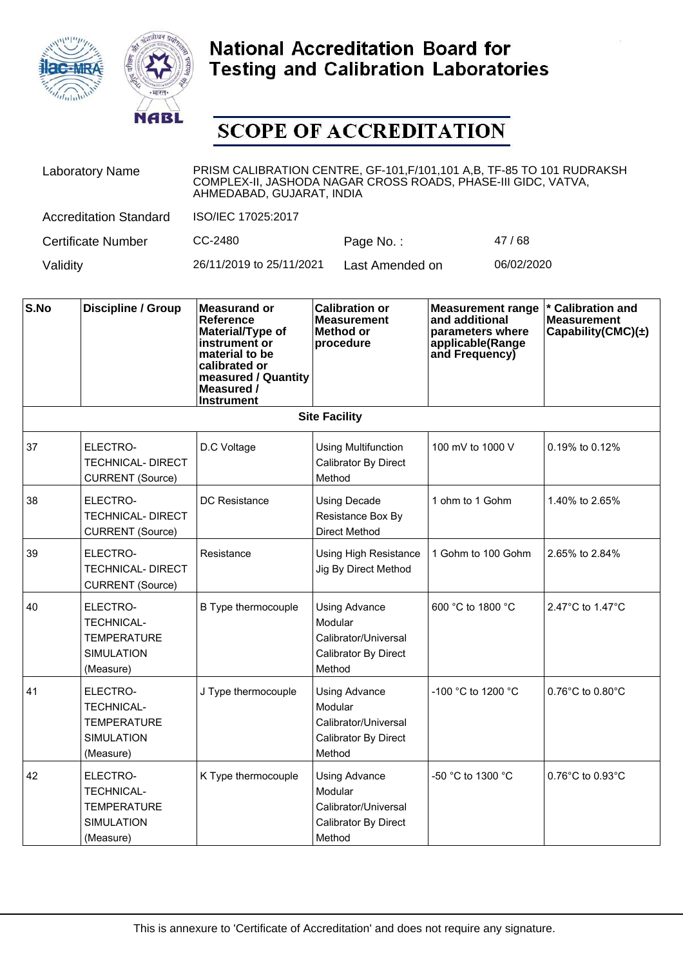



| <b>Laboratory Name</b>        | PRISM CALIBRATION CENTRE, GF-101, F/101, 101 A, B, TF-85 TO 101 RUDRAKSH<br>COMPLEX-II, JASHODA NAGAR CROSS ROADS, PHASE-III GIDC, VATVA,<br>AHMEDABAD, GUJARAT, INDIA |                 |            |  |
|-------------------------------|------------------------------------------------------------------------------------------------------------------------------------------------------------------------|-----------------|------------|--|
| <b>Accreditation Standard</b> | ISO/IEC 17025:2017                                                                                                                                                     |                 |            |  |
| <b>Certificate Number</b>     | CC-2480                                                                                                                                                                | Page No.:       | 47/68      |  |
| Validity                      | 26/11/2019 to 25/11/2021                                                                                                                                               | Last Amended on | 06/02/2020 |  |

| S.No | <b>Discipline / Group</b>                                                             | <b>Measurand or</b><br><b>Reference</b><br>Material/Type of<br>instrument or<br>material to be<br>calibrated or<br>measured / Quantity<br>Measured /<br><b>Instrument</b> | <b>Calibration or</b><br><b>Measurement</b><br>Method or<br>procedure                     | <b>Measurement range</b><br>and additional<br>parameters where<br>applicable(Range<br>and Frequency) | * Calibration and<br><b>Measurement</b><br>Capability(CMC) $(\pm)$ |
|------|---------------------------------------------------------------------------------------|---------------------------------------------------------------------------------------------------------------------------------------------------------------------------|-------------------------------------------------------------------------------------------|------------------------------------------------------------------------------------------------------|--------------------------------------------------------------------|
|      |                                                                                       |                                                                                                                                                                           | <b>Site Facility</b>                                                                      |                                                                                                      |                                                                    |
| 37   | ELECTRO-<br><b>TECHNICAL- DIRECT</b><br><b>CURRENT</b> (Source)                       | D.C Voltage                                                                                                                                                               | <b>Using Multifunction</b><br>Calibrator By Direct<br>Method                              | 100 mV to 1000 V                                                                                     | $0.19\%$ to $0.12\%$                                               |
| 38   | ELECTRO-<br><b>TECHNICAL- DIRECT</b><br><b>CURRENT (Source)</b>                       | DC Resistance                                                                                                                                                             | <b>Using Decade</b><br>Resistance Box By<br><b>Direct Method</b>                          | 1 ohm to 1 Gohm                                                                                      | 1.40% to 2.65%                                                     |
| 39   | ELECTRO-<br><b>TECHNICAL- DIRECT</b><br><b>CURRENT (Source)</b>                       | Resistance                                                                                                                                                                | <b>Using High Resistance</b><br>Jig By Direct Method                                      | 1 Gohm to 100 Gohm                                                                                   | 2.65% to 2.84%                                                     |
| 40   | ELECTRO-<br>TECHNICAL-<br>TEMPERATURE<br><b>SIMULATION</b><br>(Measure)               | B Type thermocouple                                                                                                                                                       | <b>Using Advance</b><br>Modular<br>Calibrator/Universal<br>Calibrator By Direct<br>Method | 600 °C to 1800 °C                                                                                    | 2.47°C to 1.47°C                                                   |
| 41   | ELECTRO-<br><b>TECHNICAL-</b><br><b>TEMPERATURE</b><br><b>SIMULATION</b><br>(Measure) | J Type thermocouple                                                                                                                                                       | <b>Using Advance</b><br>Modular<br>Calibrator/Universal<br>Calibrator By Direct<br>Method | $-100$ °C to 1200 °C                                                                                 | $0.76^{\circ}$ C to $0.80^{\circ}$ C                               |
| 42   | ELECTRO-<br><b>TECHNICAL-</b><br><b>TEMPERATURE</b><br><b>SIMULATION</b><br>(Measure) | K Type thermocouple                                                                                                                                                       | <b>Using Advance</b><br>Modular<br>Calibrator/Universal<br>Calibrator By Direct<br>Method | -50 °C to 1300 °C                                                                                    | 0.76°C to 0.93°C                                                   |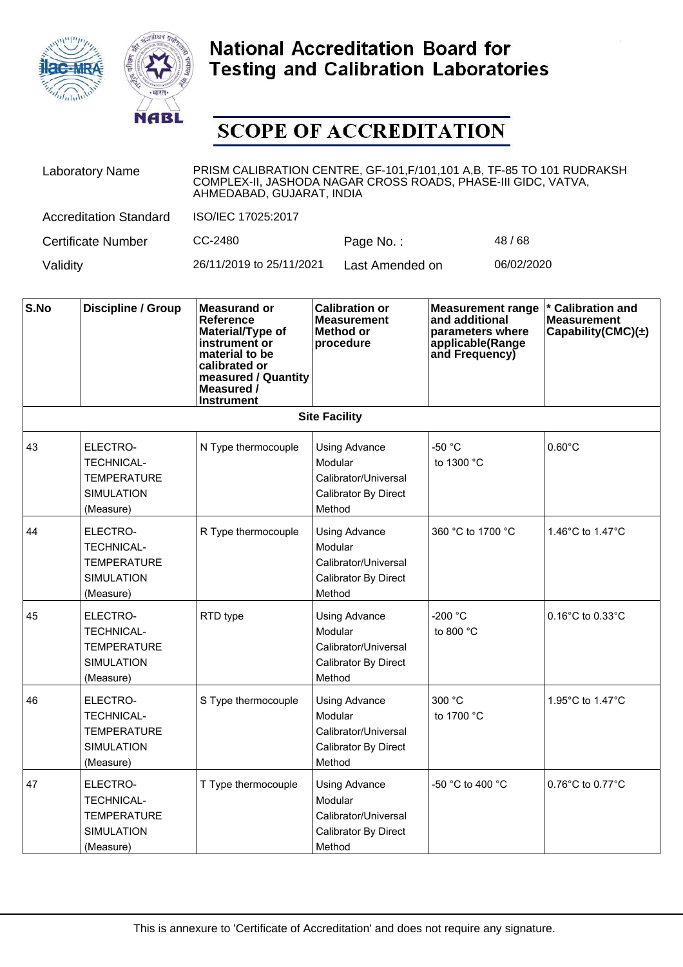



| <b>Laboratory Name</b>        | PRISM CALIBRATION CENTRE, GF-101, F/101, 101 A, B, TF-85 TO 101 RUDRAKSH<br>COMPLEX-II, JASHODA NAGAR CROSS ROADS, PHASE-III GIDC, VATVA,<br>AHMEDABAD, GUJARAT, INDIA |                 |            |  |
|-------------------------------|------------------------------------------------------------------------------------------------------------------------------------------------------------------------|-----------------|------------|--|
| <b>Accreditation Standard</b> | ISO/IEC 17025:2017                                                                                                                                                     |                 |            |  |
| <b>Certificate Number</b>     | CC-2480                                                                                                                                                                | Page No.:       | 48/68      |  |
| Validity                      | 26/11/2019 to 25/11/2021                                                                                                                                               | Last Amended on | 06/02/2020 |  |

| S.No | <b>Discipline / Group</b>                                                             | <b>Measurand or</b><br><b>Reference</b><br>Material/Type of<br>instrument or<br>material to be<br>calibrated or<br>measured / Quantity<br>Measured /<br><b>Instrument</b> | <b>Calibration or</b><br><b>Measurement</b><br><b>Method or</b><br>procedure              | <b>Measurement range</b><br>and additional<br>parameters where<br>applicable(Range<br>and Frequency) | * Calibration and<br><b>Measurement</b><br>Capability(CMC) $(\pm)$ |
|------|---------------------------------------------------------------------------------------|---------------------------------------------------------------------------------------------------------------------------------------------------------------------------|-------------------------------------------------------------------------------------------|------------------------------------------------------------------------------------------------------|--------------------------------------------------------------------|
|      |                                                                                       |                                                                                                                                                                           | <b>Site Facility</b>                                                                      |                                                                                                      |                                                                    |
| 43   | ELECTRO-<br><b>TECHNICAL-</b><br><b>TEMPERATURE</b><br><b>SIMULATION</b><br>(Measure) | N Type thermocouple                                                                                                                                                       | <b>Using Advance</b><br>Modular<br>Calibrator/Universal<br>Calibrator By Direct<br>Method | -50 °C<br>to 1300 °C                                                                                 | $0.60^{\circ}$ C                                                   |
| 44   | ELECTRO-<br><b>TECHNICAL-</b><br><b>TEMPERATURE</b><br><b>SIMULATION</b><br>(Measure) | R Type thermocouple                                                                                                                                                       | <b>Using Advance</b><br>Modular<br>Calibrator/Universal<br>Calibrator By Direct<br>Method | 360 °C to 1700 °C                                                                                    | 1.46°C to 1.47°C                                                   |
| 45   | ELECTRO-<br><b>TECHNICAL-</b><br><b>TEMPERATURE</b><br><b>SIMULATION</b><br>(Measure) | RTD type                                                                                                                                                                  | Using Advance<br>Modular<br>Calibrator/Universal<br>Calibrator By Direct<br>Method        | -200 $^{\circ}$ C<br>to 800 $^{\circ}$ C                                                             | 0.16°C to 0.33°C                                                   |
| 46   | ELECTRO-<br><b>TECHNICAL-</b><br><b>TEMPERATURE</b><br><b>SIMULATION</b><br>(Measure) | S Type thermocouple                                                                                                                                                       | <b>Using Advance</b><br>Modular<br>Calibrator/Universal<br>Calibrator By Direct<br>Method | 300 °C<br>to 1700 °C                                                                                 | 1.95°C to 1.47°C                                                   |
| 47   | ELECTRO-<br><b>TECHNICAL-</b><br><b>TEMPERATURE</b><br><b>SIMULATION</b><br>(Measure) | T Type thermocouple                                                                                                                                                       | Using Advance<br>Modular<br>Calibrator/Universal<br>Calibrator By Direct<br>Method        | -50 °C to 400 °C                                                                                     | $0.76^{\circ}$ C to $0.77^{\circ}$ C                               |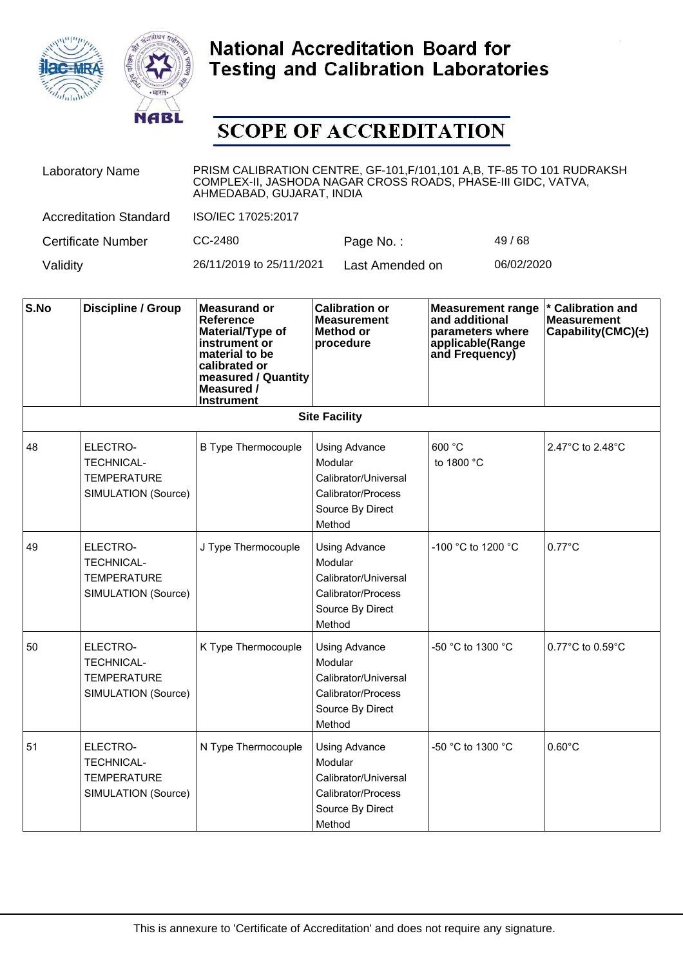



| <b>Laboratory Name</b>        | PRISM CALIBRATION CENTRE, GF-101, F/101, 101 A, B, TF-85 TO 101 RUDRAKSH<br>COMPLEX-II, JASHODA NAGAR CROSS ROADS, PHASE-III GIDC, VATVA,<br>AHMEDABAD, GUJARAT, INDIA |                 |            |  |
|-------------------------------|------------------------------------------------------------------------------------------------------------------------------------------------------------------------|-----------------|------------|--|
| <b>Accreditation Standard</b> | ISO/IEC 17025:2017                                                                                                                                                     |                 |            |  |
| <b>Certificate Number</b>     | CC-2480                                                                                                                                                                | Page No.:       | 49/68      |  |
| Validity                      | 26/11/2019 to 25/11/2021                                                                                                                                               | Last Amended on | 06/02/2020 |  |

| S.No | <b>Discipline / Group</b>                                                  | <b>Measurand or</b><br><b>Reference</b><br>Material/Type of<br>instrument or<br>material to be<br>calibrated or<br>measured / Quantity<br>Measured /<br><b>Instrument</b> | <b>Calibration or</b><br><b>Measurement</b><br>Method or<br>procedure                                       | <b>Measurement range</b><br>and additional<br>parameters where<br>applicable(Range<br>and Frequency) | * Calibration and<br><b>Measurement</b><br>Capability(CMC) $(\pm)$ |
|------|----------------------------------------------------------------------------|---------------------------------------------------------------------------------------------------------------------------------------------------------------------------|-------------------------------------------------------------------------------------------------------------|------------------------------------------------------------------------------------------------------|--------------------------------------------------------------------|
|      |                                                                            |                                                                                                                                                                           | <b>Site Facility</b>                                                                                        |                                                                                                      |                                                                    |
| 48   | ELECTRO-<br><b>TECHNICAL-</b><br><b>TEMPERATURE</b><br>SIMULATION (Source) | <b>B Type Thermocouple</b>                                                                                                                                                | <b>Using Advance</b><br>Modular<br>Calibrator/Universal<br>Calibrator/Process<br>Source By Direct<br>Method | 600 °C<br>to 1800 °C                                                                                 | 2.47°C to 2.48°C                                                   |
| 49   | ELECTRO-<br><b>TECHNICAL-</b><br><b>TEMPERATURE</b><br>SIMULATION (Source) | J Type Thermocouple                                                                                                                                                       | <b>Using Advance</b><br>Modular<br>Calibrator/Universal<br>Calibrator/Process<br>Source By Direct<br>Method | -100 °C to 1200 °C                                                                                   | $0.77^{\circ}$ C                                                   |
| 50   | ELECTRO-<br><b>TECHNICAL-</b><br><b>TEMPERATURE</b><br>SIMULATION (Source) | K Type Thermocouple                                                                                                                                                       | Using Advance<br>Modular<br>Calibrator/Universal<br>Calibrator/Process<br>Source By Direct<br>Method        | -50 °C to 1300 °C                                                                                    | 0.77°C to 0.59°C                                                   |
| 51   | ELECTRO-<br><b>TECHNICAL-</b><br><b>TEMPERATURE</b><br>SIMULATION (Source) | N Type Thermocouple                                                                                                                                                       | <b>Using Advance</b><br>Modular<br>Calibrator/Universal<br>Calibrator/Process<br>Source By Direct<br>Method | -50 °C to 1300 °C                                                                                    | $0.60^{\circ}$ C                                                   |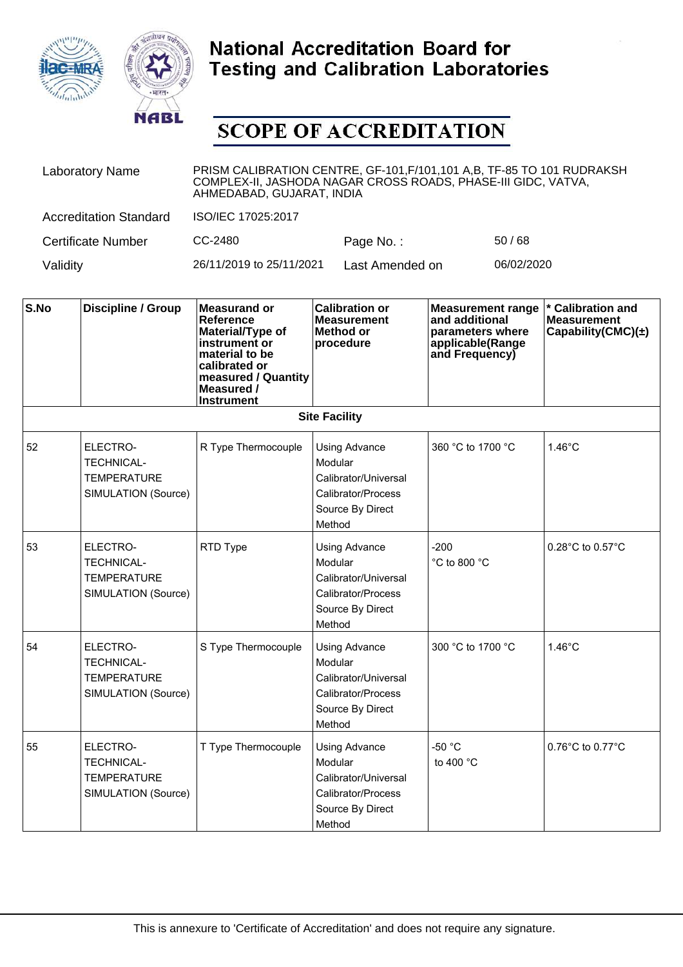



| <b>Laboratory Name</b>        | PRISM CALIBRATION CENTRE, GF-101, F/101, 101 A,B, TF-85 TO 101 RUDRAKSH<br>COMPLEX-II, JASHODA NAGAR CROSS ROADS, PHASE-III GIDC, VATVA,<br>AHMEDABAD, GUJARAT, INDIA |                 |            |  |
|-------------------------------|-----------------------------------------------------------------------------------------------------------------------------------------------------------------------|-----------------|------------|--|
| <b>Accreditation Standard</b> | ISO/IEC 17025:2017                                                                                                                                                    |                 |            |  |
| Certificate Number            | CC-2480                                                                                                                                                               | Page No.:       | 50/68      |  |
| Validity                      | 26/11/2019 to 25/11/2021                                                                                                                                              | Last Amended on | 06/02/2020 |  |

| S.No | <b>Discipline / Group</b>                                                  | <b>Measurand or</b><br><b>Reference</b><br>Material/Type of<br>instrument or<br>material to be<br>calibrated or<br>measured / Quantity<br>Measured /<br><b>Instrument</b> | <b>Calibration or</b><br><b>Measurement</b><br><b>Method or</b><br>procedure                                | <b>Measurement range</b><br>and additional<br>parameters where<br>applicable(Range<br>and Frequency) | * Calibration and<br><b>Measurement</b><br>Capability(CMC) $(\pm)$ |
|------|----------------------------------------------------------------------------|---------------------------------------------------------------------------------------------------------------------------------------------------------------------------|-------------------------------------------------------------------------------------------------------------|------------------------------------------------------------------------------------------------------|--------------------------------------------------------------------|
|      |                                                                            |                                                                                                                                                                           | <b>Site Facility</b>                                                                                        |                                                                                                      |                                                                    |
| 52   | ELECTRO-<br><b>TECHNICAL-</b><br><b>TEMPERATURE</b><br>SIMULATION (Source) | R Type Thermocouple                                                                                                                                                       | <b>Using Advance</b><br>Modular<br>Calibrator/Universal<br>Calibrator/Process<br>Source By Direct<br>Method | 360 °C to 1700 °C                                                                                    | $1.46^{\circ}$ C                                                   |
| 53   | ELECTRO-<br><b>TECHNICAL-</b><br><b>TEMPERATURE</b><br>SIMULATION (Source) | RTD Type                                                                                                                                                                  | <b>Using Advance</b><br>Modular<br>Calibrator/Universal<br>Calibrator/Process<br>Source By Direct<br>Method | $-200$<br>°C to 800 °C                                                                               | 0.28°C to 0.57°C                                                   |
| 54   | ELECTRO-<br><b>TECHNICAL-</b><br><b>TEMPERATURE</b><br>SIMULATION (Source) | S Type Thermocouple                                                                                                                                                       | <b>Using Advance</b><br>Modular<br>Calibrator/Universal<br>Calibrator/Process<br>Source By Direct<br>Method | 300 °C to 1700 °C                                                                                    | $1.46^{\circ}$ C                                                   |
| 55   | ELECTRO-<br><b>TECHNICAL-</b><br><b>TEMPERATURE</b><br>SIMULATION (Source) | T Type Thermocouple                                                                                                                                                       | Using Advance<br>Modular<br>Calibrator/Universal<br>Calibrator/Process<br>Source By Direct<br>Method        | $-50$ °C<br>to 400 °C                                                                                | $0.76^{\circ}$ C to $0.77^{\circ}$ C                               |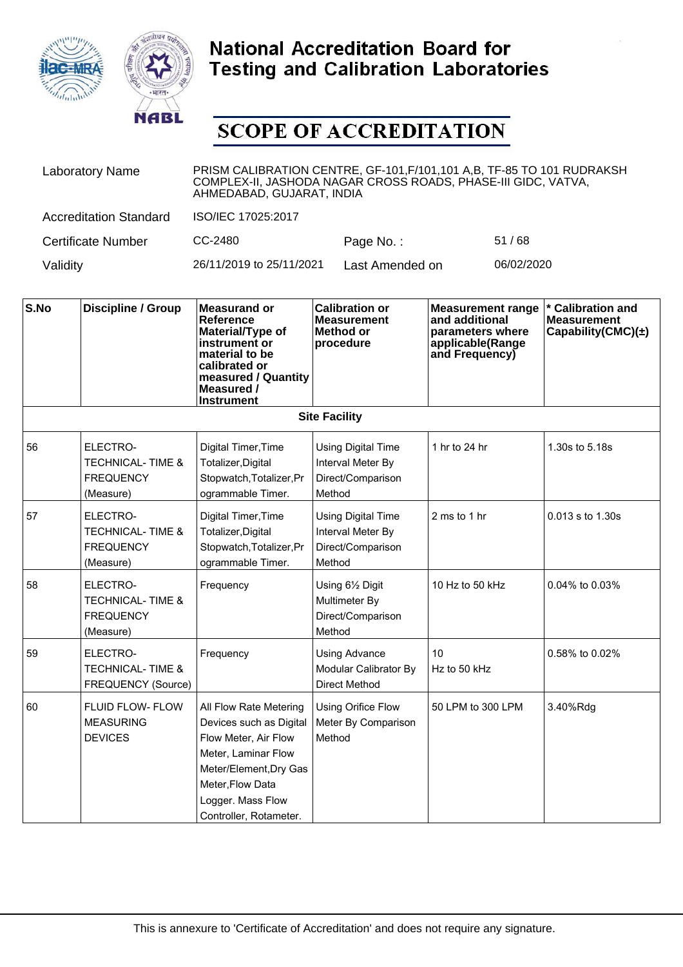



| <b>Laboratory Name</b>        | PRISM CALIBRATION CENTRE, GF-101, F/101, 101 A,B, TF-85 TO 101 RUDRAKSH<br>COMPLEX-II, JASHODA NAGAR CROSS ROADS, PHASE-III GIDC, VATVA,<br>AHMEDABAD, GUJARAT, INDIA |                 |            |  |
|-------------------------------|-----------------------------------------------------------------------------------------------------------------------------------------------------------------------|-----------------|------------|--|
| <b>Accreditation Standard</b> | ISO/IEC 17025:2017                                                                                                                                                    |                 |            |  |
| Certificate Number            | CC-2480                                                                                                                                                               | Page No.:       | 51/68      |  |
| Validity                      | 26/11/2019 to 25/11/2021                                                                                                                                              | Last Amended on | 06/02/2020 |  |

| S.No | <b>Discipline / Group</b>                                                | <b>Measurand or</b><br><b>Reference</b><br>Material/Type of<br>instrument or<br>material to be<br>calibrated or<br>measured / Quantity<br>Measured /<br><b>Instrument</b>                     | <b>Calibration or</b><br><b>Measurement</b><br><b>Method or</b><br>procedure  | <b>Measurement range</b><br>and additional<br>parameters where<br>applicable(Range<br>and Frequency) | * Calibration and<br><b>Measurement</b><br>Capability(CMC) $(\pm)$ |
|------|--------------------------------------------------------------------------|-----------------------------------------------------------------------------------------------------------------------------------------------------------------------------------------------|-------------------------------------------------------------------------------|------------------------------------------------------------------------------------------------------|--------------------------------------------------------------------|
|      |                                                                          |                                                                                                                                                                                               | <b>Site Facility</b>                                                          |                                                                                                      |                                                                    |
| 56   | ELECTRO-<br><b>TECHNICAL-TIME &amp;</b><br><b>FREQUENCY</b><br>(Measure) | Digital Timer, Time<br>Totalizer, Digital<br>Stopwatch, Totalizer, Pr<br>ogrammable Timer.                                                                                                    | <b>Using Digital Time</b><br>Interval Meter By<br>Direct/Comparison<br>Method | 1 hr to 24 hr                                                                                        | 1.30s to 5.18s                                                     |
| 57   | ELECTRO-<br><b>TECHNICAL-TIME &amp;</b><br><b>FREQUENCY</b><br>(Measure) | Digital Timer, Time<br>Totalizer, Digital<br>Stopwatch, Totalizer, Pr<br>ogrammable Timer.                                                                                                    | <b>Using Digital Time</b><br>Interval Meter By<br>Direct/Comparison<br>Method | 2 ms to 1 hr                                                                                         | 0.013 s to 1.30s                                                   |
| 58   | ELECTRO-<br><b>TECHNICAL-TIME &amp;</b><br><b>FREQUENCY</b><br>(Measure) | Frequency                                                                                                                                                                                     | Using 61/2 Digit<br>Multimeter By<br>Direct/Comparison<br>Method              | 10 Hz to 50 kHz                                                                                      | 0.04% to 0.03%                                                     |
| 59   | ELECTRO-<br><b>TECHNICAL-TIME &amp;</b><br>FREQUENCY (Source)            | Frequency                                                                                                                                                                                     | Using Advance<br>Modular Calibrator By<br><b>Direct Method</b>                | 10<br>Hz to 50 kHz                                                                                   | 0.58% to 0.02%                                                     |
| 60   | FLUID FLOW- FLOW<br><b>MEASURING</b><br><b>DEVICES</b>                   | All Flow Rate Metering<br>Devices such as Digital<br>Flow Meter, Air Flow<br>Meter, Laminar Flow<br>Meter/Element, Dry Gas<br>Meter, Flow Data<br>Logger. Mass Flow<br>Controller, Rotameter. | Using Orifice Flow<br>Meter By Comparison<br>Method                           | 50 LPM to 300 LPM                                                                                    | 3.40%Rdg                                                           |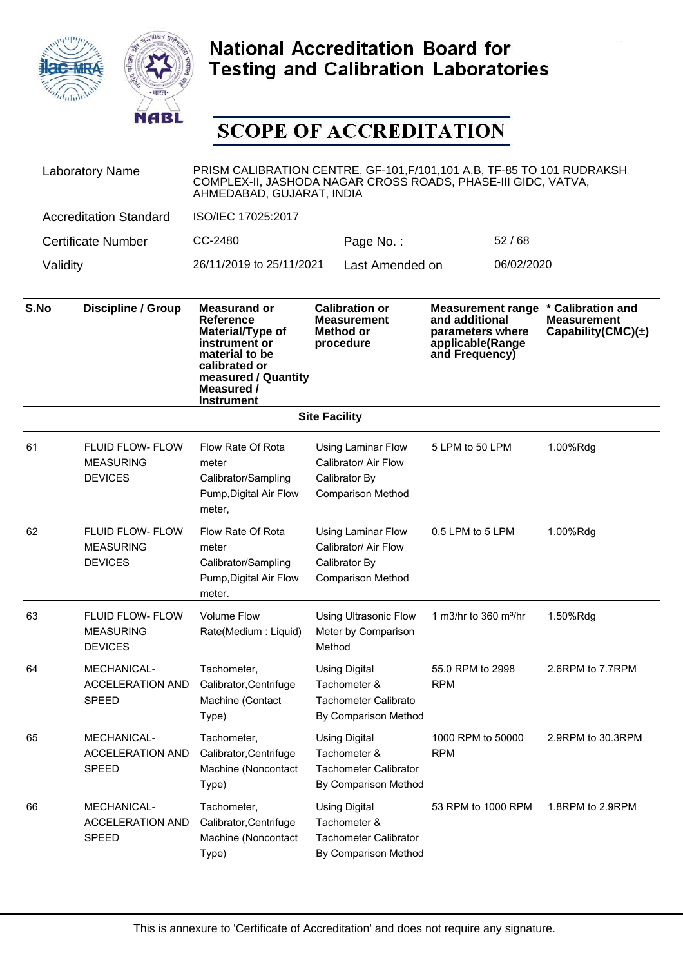



| <b>Laboratory Name</b>        | PRISM CALIBRATION CENTRE, GF-101, F/101, 101 A,B, TF-85 TO 101 RUDRAKSH<br>COMPLEX-II, JASHODA NAGAR CROSS ROADS, PHASE-III GIDC, VATVA,<br>AHMEDABAD, GUJARAT, INDIA |                 |            |  |
|-------------------------------|-----------------------------------------------------------------------------------------------------------------------------------------------------------------------|-----------------|------------|--|
| <b>Accreditation Standard</b> | ISO/IEC 17025:2017                                                                                                                                                    |                 |            |  |
| Certificate Number            | CC-2480                                                                                                                                                               | Page No.:       | 52/68      |  |
| Validity                      | 26/11/2019 to 25/11/2021                                                                                                                                              | Last Amended on | 06/02/2020 |  |

| S.No | <b>Discipline / Group</b>                                     | <b>Measurand or</b><br><b>Reference</b><br>Material/Type of<br>instrument or<br>material to be<br>calibrated or<br>measured / Quantity<br>Measured /<br><b>Instrument</b> | <b>Calibration or</b><br><b>Measurement</b><br>Method or<br>procedure                          | <b>Measurement range</b><br>and additional<br>parameters where<br>applicable(Range<br>and Frequency) | * Calibration and<br><b>Measurement</b><br>Capability(CMC) $(\pm)$ |
|------|---------------------------------------------------------------|---------------------------------------------------------------------------------------------------------------------------------------------------------------------------|------------------------------------------------------------------------------------------------|------------------------------------------------------------------------------------------------------|--------------------------------------------------------------------|
|      |                                                               |                                                                                                                                                                           | <b>Site Facility</b>                                                                           |                                                                                                      |                                                                    |
| 61   | <b>FLUID FLOW- FLOW</b><br><b>MEASURING</b><br><b>DEVICES</b> | Flow Rate Of Rota<br>meter<br>Calibrator/Sampling<br>Pump, Digital Air Flow<br>meter,                                                                                     | <b>Using Laminar Flow</b><br>Calibrator/ Air Flow<br>Calibrator By<br><b>Comparison Method</b> | 5 LPM to 50 LPM                                                                                      | 1.00%Rdg                                                           |
| 62   | <b>FLUID FLOW- FLOW</b><br><b>MEASURING</b><br><b>DEVICES</b> | Flow Rate Of Rota<br>meter<br>Calibrator/Sampling<br>Pump, Digital Air Flow<br>meter.                                                                                     | <b>Using Laminar Flow</b><br>Calibrator/ Air Flow<br>Calibrator By<br><b>Comparison Method</b> | 0.5 LPM to 5 LPM                                                                                     | 1.00%Rdg                                                           |
| 63   | <b>FLUID FLOW- FLOW</b><br><b>MEASURING</b><br><b>DEVICES</b> | <b>Volume Flow</b><br>Rate(Medium: Liquid)                                                                                                                                | <b>Using Ultrasonic Flow</b><br>Meter by Comparison<br>Method                                  | 1 m3/hr to 360 m <sup>3</sup> /hr                                                                    | 1.50%Rdg                                                           |
| 64   | MECHANICAL-<br><b>ACCELERATION AND</b><br><b>SPEED</b>        | Tachometer,<br>Calibrator, Centrifuge<br>Machine (Contact<br>Type)                                                                                                        | <b>Using Digital</b><br>Tachometer &<br>Tachometer Calibrato<br>By Comparison Method           | 55.0 RPM to 2998<br><b>RPM</b>                                                                       | 2.6RPM to 7.7RPM                                                   |
| 65   | MECHANICAL-<br><b>ACCELERATION AND</b><br><b>SPEED</b>        | Tachometer,<br>Calibrator, Centrifuge<br>Machine (Noncontact<br>Type)                                                                                                     | <b>Using Digital</b><br>Tachometer &<br>Tachometer Calibrator<br>By Comparison Method          | 1000 RPM to 50000<br><b>RPM</b>                                                                      | 2.9RPM to 30.3RPM                                                  |
| 66   | MECHANICAL-<br><b>ACCELERATION AND</b><br><b>SPEED</b>        | Tachometer,<br>Calibrator, Centrifuge<br>Machine (Noncontact<br>Type)                                                                                                     | <b>Using Digital</b><br>Tachometer &<br><b>Tachometer Calibrator</b><br>By Comparison Method   | 53 RPM to 1000 RPM                                                                                   | 1.8RPM to 2.9RPM                                                   |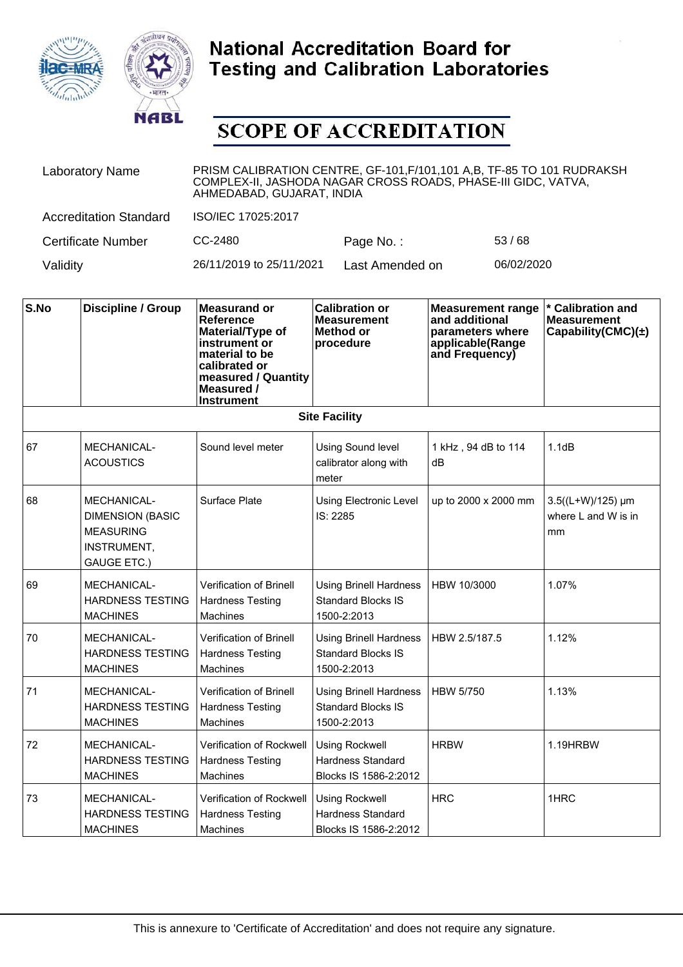



| <b>Laboratory Name</b>        | PRISM CALIBRATION CENTRE, GF-101, F/101, 101 A, B, TF-85 TO 101 RUDRAKSH<br>COMPLEX-II, JASHODA NAGAR CROSS ROADS, PHASE-III GIDC, VATVA,<br>AHMEDABAD, GUJARAT, INDIA |                 |            |  |
|-------------------------------|------------------------------------------------------------------------------------------------------------------------------------------------------------------------|-----------------|------------|--|
| <b>Accreditation Standard</b> | ISO/IEC 17025:2017                                                                                                                                                     |                 |            |  |
| <b>Certificate Number</b>     | CC-2480                                                                                                                                                                | Page No.:       | 53/68      |  |
| Validity                      | 26/11/2019 to 25/11/2021                                                                                                                                               | Last Amended on | 06/02/2020 |  |

| S.No | <b>Discipline / Group</b>                                                                       | <b>Measurand or</b><br>Reference<br>Material/Type of<br>instrument or<br>material to be<br>calibrated or<br>measured / Quantity<br>Measured /<br><b>Instrument</b> | <b>Calibration or</b><br><b>Measurement</b><br><b>Method or</b><br>procedure | <b>Measurement range</b><br>and additional<br>parameters where<br>applicable(Range<br>and Frequency) | * Calibration and<br><b>Measurement</b><br>Capability(CMC)(±) |
|------|-------------------------------------------------------------------------------------------------|--------------------------------------------------------------------------------------------------------------------------------------------------------------------|------------------------------------------------------------------------------|------------------------------------------------------------------------------------------------------|---------------------------------------------------------------|
|      |                                                                                                 |                                                                                                                                                                    | <b>Site Facility</b>                                                         |                                                                                                      |                                                               |
| 67   | MECHANICAL-<br><b>ACOUSTICS</b>                                                                 | Sound level meter                                                                                                                                                  | <b>Using Sound level</b><br>calibrator along with<br>meter                   | 1 kHz, 94 dB to 114<br>dB                                                                            | 1.1dB                                                         |
| 68   | MECHANICAL-<br><b>DIMENSION (BASIC</b><br><b>MEASURING</b><br>INSTRUMENT,<br><b>GAUGE ETC.)</b> | Surface Plate                                                                                                                                                      | Using Electronic Level<br>IS: 2285                                           | up to 2000 x 2000 mm                                                                                 | 3.5((L+W)/125) µm<br>where L and W is in<br>mm                |
| 69   | MECHANICAL-<br><b>HARDNESS TESTING</b><br><b>MACHINES</b>                                       | <b>Verification of Brinell</b><br><b>Hardness Testing</b><br><b>Machines</b>                                                                                       | <b>Using Brinell Hardness</b><br><b>Standard Blocks IS</b><br>1500-2:2013    | HBW 10/3000                                                                                          | 1.07%                                                         |
| 70   | <b>MECHANICAL-</b><br>HARDNESS TESTING<br><b>MACHINES</b>                                       | <b>Verification of Brinell</b><br><b>Hardness Testing</b><br>Machines                                                                                              | <b>Using Brinell Hardness</b><br><b>Standard Blocks IS</b><br>1500-2:2013    | HBW 2.5/187.5                                                                                        | 1.12%                                                         |
| 71   | MECHANICAL-<br><b>HARDNESS TESTING</b><br><b>MACHINES</b>                                       | Verification of Brinell<br><b>Hardness Testing</b><br><b>Machines</b>                                                                                              | <b>Using Brinell Hardness</b><br><b>Standard Blocks IS</b><br>1500-2:2013    | <b>HBW 5/750</b>                                                                                     | 1.13%                                                         |
| 72   | MECHANICAL-<br><b>HARDNESS TESTING</b><br><b>MACHINES</b>                                       | Verification of Rockwell<br><b>Hardness Testing</b><br>Machines                                                                                                    | <b>Using Rockwell</b><br><b>Hardness Standard</b><br>Blocks IS 1586-2:2012   | <b>HRBW</b>                                                                                          | 1.19HRBW                                                      |
| 73   | <b>MECHANICAL-</b><br><b>HARDNESS TESTING</b><br><b>MACHINES</b>                                | Verification of Rockwell<br><b>Hardness Testing</b><br><b>Machines</b>                                                                                             | <b>Using Rockwell</b><br><b>Hardness Standard</b><br>Blocks IS 1586-2:2012   | <b>HRC</b>                                                                                           | 1HRC                                                          |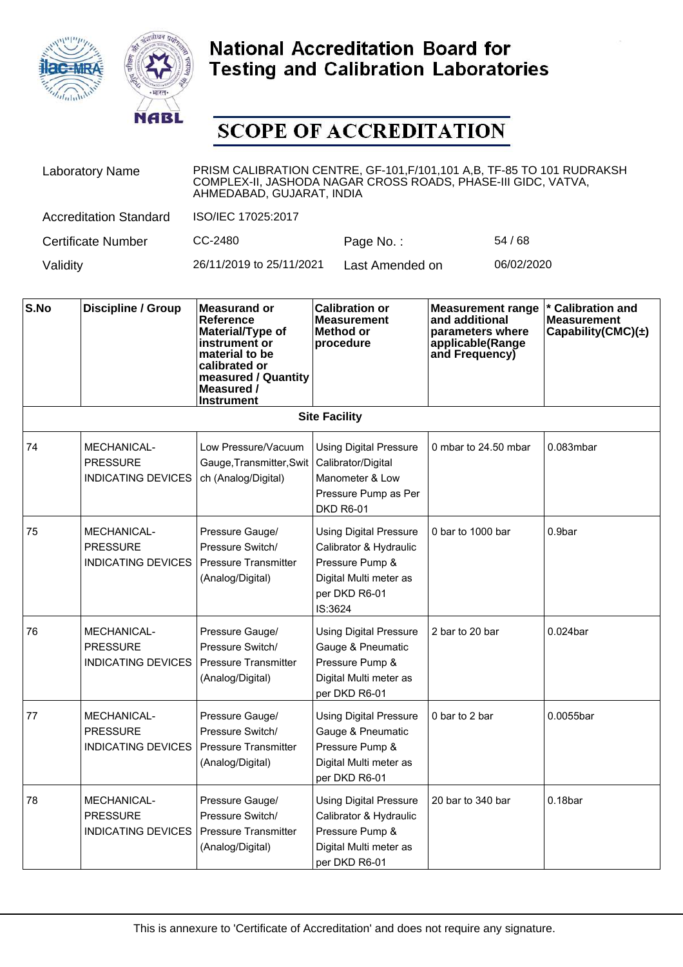



| <b>Laboratory Name</b>        | PRISM CALIBRATION CENTRE, GF-101, F/101, 101 A, B, TF-85 TO 101 RUDRAKSH<br>COMPLEX-II, JASHODA NAGAR CROSS ROADS, PHASE-III GIDC, VATVA,<br>AHMEDABAD, GUJARAT, INDIA |                 |            |  |
|-------------------------------|------------------------------------------------------------------------------------------------------------------------------------------------------------------------|-----------------|------------|--|
| <b>Accreditation Standard</b> | ISO/IEC 17025:2017                                                                                                                                                     |                 |            |  |
| <b>Certificate Number</b>     | CC-2480                                                                                                                                                                | Page No.:       | 54/68      |  |
| Validity                      | 26/11/2019 to 25/11/2021                                                                                                                                               | Last Amended on | 06/02/2020 |  |

| S.No | <b>Discipline / Group</b>                                          | <b>Measurand or</b><br>Reference<br>Material/Type of<br>instrument or<br>material to be<br>calibrated or<br>measured / Quantity<br>Measured /<br><b>Instrument</b> | <b>Calibration or</b><br><b>Measurement</b><br>Method or<br>procedure                                                            | <b>Measurement range</b><br>and additional<br>parameters where<br>applicable(Range<br>and Frequency) | * Calibration and<br><b>Measurement</b><br>Capability(CMC) $(\pm)$ |
|------|--------------------------------------------------------------------|--------------------------------------------------------------------------------------------------------------------------------------------------------------------|----------------------------------------------------------------------------------------------------------------------------------|------------------------------------------------------------------------------------------------------|--------------------------------------------------------------------|
|      |                                                                    |                                                                                                                                                                    | <b>Site Facility</b>                                                                                                             |                                                                                                      |                                                                    |
| 74   | <b>MECHANICAL-</b><br><b>PRESSURE</b><br><b>INDICATING DEVICES</b> | Low Pressure/Vacuum<br>Gauge, Transmitter, Swit<br>ch (Analog/Digital)                                                                                             | <b>Using Digital Pressure</b><br>Calibrator/Digital<br>Manometer & Low<br>Pressure Pump as Per<br><b>DKD R6-01</b>               | 0 mbar to 24.50 mbar                                                                                 | 0.083mbar                                                          |
| 75   | <b>MECHANICAL-</b><br><b>PRESSURE</b><br><b>INDICATING DEVICES</b> | Pressure Gauge/<br>Pressure Switch/<br><b>Pressure Transmitter</b><br>(Analog/Digital)                                                                             | <b>Using Digital Pressure</b><br>Calibrator & Hydraulic<br>Pressure Pump &<br>Digital Multi meter as<br>per DKD R6-01<br>IS:3624 | 0 bar to 1000 bar                                                                                    | 0.9bar                                                             |
| 76   | <b>MECHANICAL-</b><br><b>PRESSURE</b><br><b>INDICATING DEVICES</b> | Pressure Gauge/<br>Pressure Switch/<br><b>Pressure Transmitter</b><br>(Analog/Digital)                                                                             | <b>Using Digital Pressure</b><br>Gauge & Pneumatic<br>Pressure Pump &<br>Digital Multi meter as<br>per DKD R6-01                 | 2 bar to 20 bar                                                                                      | $0.024$ bar                                                        |
| 77   | <b>MECHANICAL-</b><br><b>PRESSURE</b><br><b>INDICATING DEVICES</b> | Pressure Gauge/<br>Pressure Switch/<br><b>Pressure Transmitter</b><br>(Analog/Digital)                                                                             | <b>Using Digital Pressure</b><br>Gauge & Pneumatic<br>Pressure Pump &<br>Digital Multi meter as<br>per DKD R6-01                 | 0 bar to 2 bar                                                                                       | 0.0055bar                                                          |
| 78   | <b>MECHANICAL-</b><br><b>PRESSURE</b><br><b>INDICATING DEVICES</b> | Pressure Gauge/<br>Pressure Switch/<br><b>Pressure Transmitter</b><br>(Analog/Digital)                                                                             | <b>Using Digital Pressure</b><br>Calibrator & Hydraulic<br>Pressure Pump &<br>Digital Multi meter as<br>per DKD R6-01            | 20 bar to 340 bar                                                                                    | 0.18 <sub>bar</sub>                                                |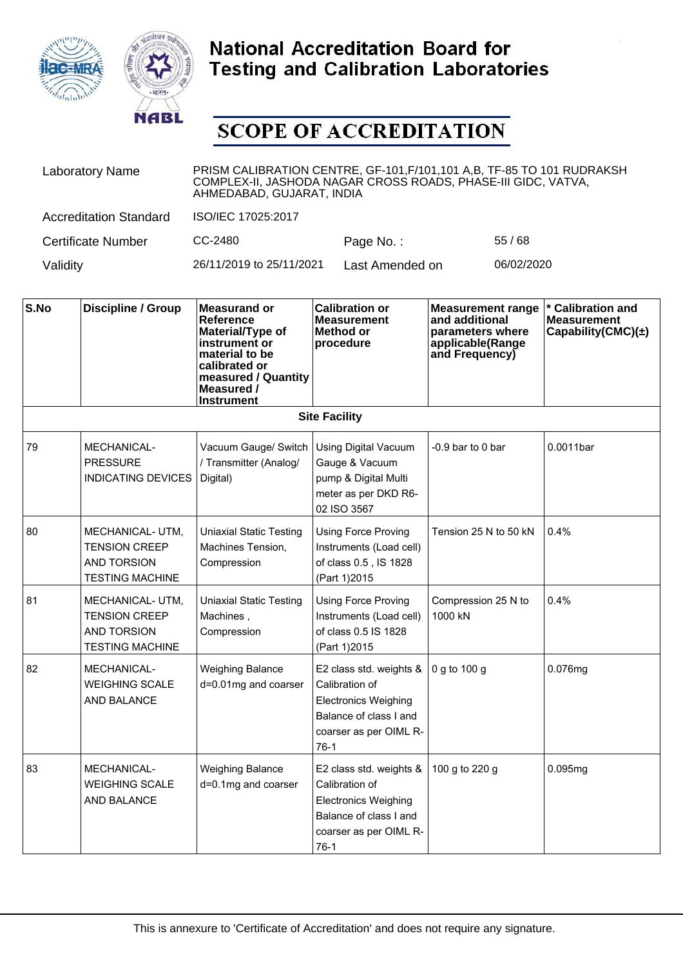



| <b>Laboratory Name</b>        | PRISM CALIBRATION CENTRE, GF-101, F/101, 101 A, B, TF-85 TO 101 RUDRAKSH<br>COMPLEX-II, JASHODA NAGAR CROSS ROADS, PHASE-III GIDC, VATVA,<br>AHMEDABAD, GUJARAT, INDIA |                 |            |  |
|-------------------------------|------------------------------------------------------------------------------------------------------------------------------------------------------------------------|-----------------|------------|--|
| <b>Accreditation Standard</b> | ISO/IEC 17025:2017                                                                                                                                                     |                 |            |  |
| <b>Certificate Number</b>     | CC-2480                                                                                                                                                                | Page No.:       | 55/68      |  |
| Validity                      | 26/11/2019 to 25/11/2021                                                                                                                                               | Last Amended on | 06/02/2020 |  |

| S.No | <b>Discipline / Group</b>                                                                | <b>Measurand or</b><br>Reference<br>Material/Type of<br>instrument or<br>material to be<br>calibrated or<br>measured / Quantity<br>Measured /<br><b>Instrument</b> | <b>Calibration or</b><br><b>Measurement</b><br>Method or<br>procedure                                                                  | <b>Measurement range</b><br>and additional<br>parameters where<br>applicable(Range<br>and Frequency) | * Calibration and<br><b>Measurement</b><br>Capability(CMC) $(\pm)$ |
|------|------------------------------------------------------------------------------------------|--------------------------------------------------------------------------------------------------------------------------------------------------------------------|----------------------------------------------------------------------------------------------------------------------------------------|------------------------------------------------------------------------------------------------------|--------------------------------------------------------------------|
|      |                                                                                          |                                                                                                                                                                    | <b>Site Facility</b>                                                                                                                   |                                                                                                      |                                                                    |
| 79   | <b>MECHANICAL-</b><br><b>PRESSURE</b><br><b>INDICATING DEVICES</b>                       | Vacuum Gauge/ Switch<br>/ Transmitter (Analog/<br>Digital)                                                                                                         | <b>Using Digital Vacuum</b><br>Gauge & Vacuum<br>pump & Digital Multi<br>meter as per DKD R6-<br>02 ISO 3567                           | $-0.9$ bar to 0 bar                                                                                  | 0.0011bar                                                          |
| 80   | MECHANICAL- UTM,<br><b>TENSION CREEP</b><br><b>AND TORSION</b><br><b>TESTING MACHINE</b> | <b>Uniaxial Static Testing</b><br>Machines Tension,<br>Compression                                                                                                 | <b>Using Force Proving</b><br>Instruments (Load cell)<br>of class 0.5, IS 1828<br>(Part 1) 2015                                        | Tension 25 N to 50 kN                                                                                | 0.4%                                                               |
| 81   | MECHANICAL- UTM,<br><b>TENSION CREEP</b><br><b>AND TORSION</b><br><b>TESTING MACHINE</b> | <b>Uniaxial Static Testing</b><br>Machines,<br>Compression                                                                                                         | <b>Using Force Proving</b><br>Instruments (Load cell)<br>of class 0.5 IS 1828<br>(Part 1)2015                                          | Compression 25 N to<br>1000 kN                                                                       | 0.4%                                                               |
| 82   | <b>MECHANICAL-</b><br><b>WEIGHING SCALE</b><br><b>AND BALANCE</b>                        | <b>Weighing Balance</b><br>d=0.01mg and coarser                                                                                                                    | E2 class std. weights &<br>Calibration of<br><b>Electronics Weighing</b><br>Balance of class I and<br>coarser as per OIML R-<br>$76-1$ | 0 g to 100 g                                                                                         | 0.076mg                                                            |
| 83   | <b>MECHANICAL-</b><br><b>WEIGHING SCALE</b><br>AND BALANCE                               | <b>Weighing Balance</b><br>d=0.1mg and coarser                                                                                                                     | E2 class std. weights &<br>Calibration of<br><b>Electronics Weighing</b><br>Balance of class I and<br>coarser as per OIML R-<br>$76-1$ | 100 g to 220 g                                                                                       | 0.095mg                                                            |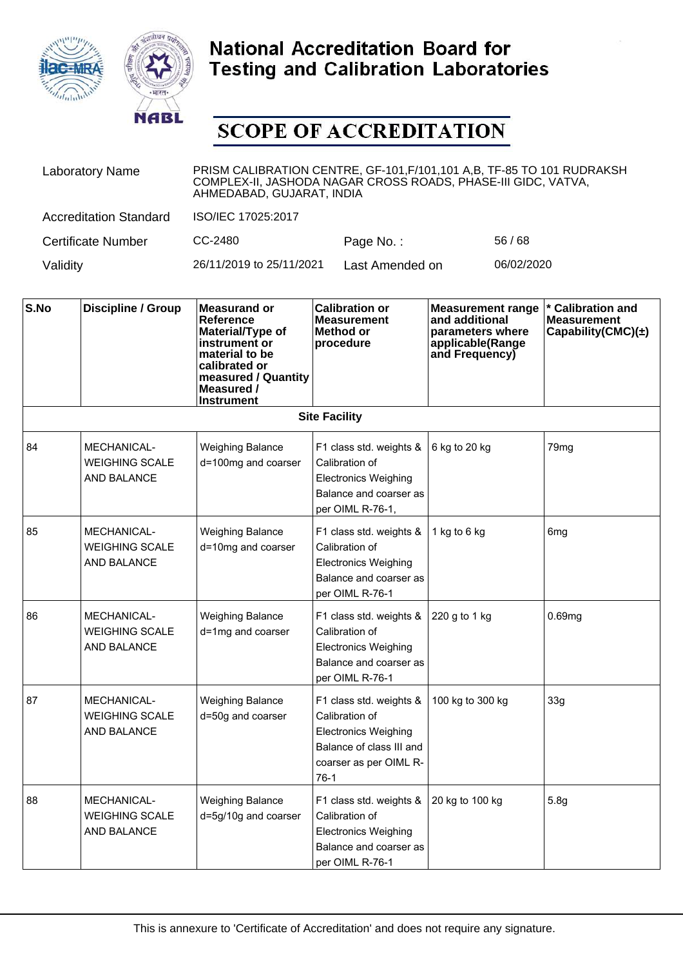



| <b>Laboratory Name</b>        | PRISM CALIBRATION CENTRE, GF-101, F/101, 101 A,B, TF-85 TO 101 RUDRAKSH<br>COMPLEX-II, JASHODA NAGAR CROSS ROADS, PHASE-III GIDC, VATVA,<br>AHMEDABAD, GUJARAT, INDIA |                 |            |  |
|-------------------------------|-----------------------------------------------------------------------------------------------------------------------------------------------------------------------|-----------------|------------|--|
| <b>Accreditation Standard</b> | ISO/IEC 17025:2017                                                                                                                                                    |                 |            |  |
| Certificate Number            | CC-2480                                                                                                                                                               | Page No.:       | 56/68      |  |
| Validity                      | 26/11/2019 to 25/11/2021                                                                                                                                              | Last Amended on | 06/02/2020 |  |

| S.No | <b>Discipline / Group</b>                                         | <b>Measurand or</b><br>Reference<br>Material/Type of<br>instrument or<br>material to be<br>calibrated or<br>measured / Quantity<br>Measured /<br><b>Instrument</b> | <b>Calibration or</b><br><b>Measurement</b><br>Method or<br>procedure                                                             | <b>Measurement range</b><br>and additional<br>parameters where<br>applicable(Range<br>and Frequency) | * Calibration and<br><b>Measurement</b><br>Capability(CMC) $(\pm)$ |
|------|-------------------------------------------------------------------|--------------------------------------------------------------------------------------------------------------------------------------------------------------------|-----------------------------------------------------------------------------------------------------------------------------------|------------------------------------------------------------------------------------------------------|--------------------------------------------------------------------|
|      |                                                                   |                                                                                                                                                                    | <b>Site Facility</b>                                                                                                              |                                                                                                      |                                                                    |
| 84   | <b>MECHANICAL-</b><br><b>WEIGHING SCALE</b><br><b>AND BALANCE</b> | <b>Weighing Balance</b><br>d=100mg and coarser                                                                                                                     | F1 class std. weights &<br>Calibration of<br><b>Electronics Weighing</b><br>Balance and coarser as<br>per OIML R-76-1,            | 6 kg to 20 kg                                                                                        | 79mg                                                               |
| 85   | <b>MECHANICAL-</b><br><b>WEIGHING SCALE</b><br><b>AND BALANCE</b> | <b>Weighing Balance</b><br>d=10mg and coarser                                                                                                                      | F1 class std. weights &<br>Calibration of<br><b>Electronics Weighing</b><br>Balance and coarser as<br>per OIML R-76-1             | 1 kg to 6 kg                                                                                         | 6 <sub>mg</sub>                                                    |
| 86   | <b>MECHANICAL-</b><br><b>WEIGHING SCALE</b><br><b>AND BALANCE</b> | <b>Weighing Balance</b><br>d=1mg and coarser                                                                                                                       | F1 class std. weights &<br>Calibration of<br><b>Electronics Weighing</b><br>Balance and coarser as<br>per OIML R-76-1             | 220 g to 1 kg                                                                                        | 0.69mg                                                             |
| 87   | <b>MECHANICAL-</b><br><b>WEIGHING SCALE</b><br><b>AND BALANCE</b> | <b>Weighing Balance</b><br>d=50g and coarser                                                                                                                       | F1 class std. weights &<br>Calibration of<br>Electronics Weighing<br>Balance of class III and<br>coarser as per OIML R-<br>$76-1$ | 100 kg to 300 kg                                                                                     | 33g                                                                |
| 88   | <b>MECHANICAL-</b><br><b>WEIGHING SCALE</b><br><b>AND BALANCE</b> | <b>Weighing Balance</b><br>d=5g/10g and coarser                                                                                                                    | F1 class std. weights &<br>Calibration of<br><b>Electronics Weighing</b><br>Balance and coarser as<br>per OIML R-76-1             | 20 kg to 100 kg                                                                                      | 5.8g                                                               |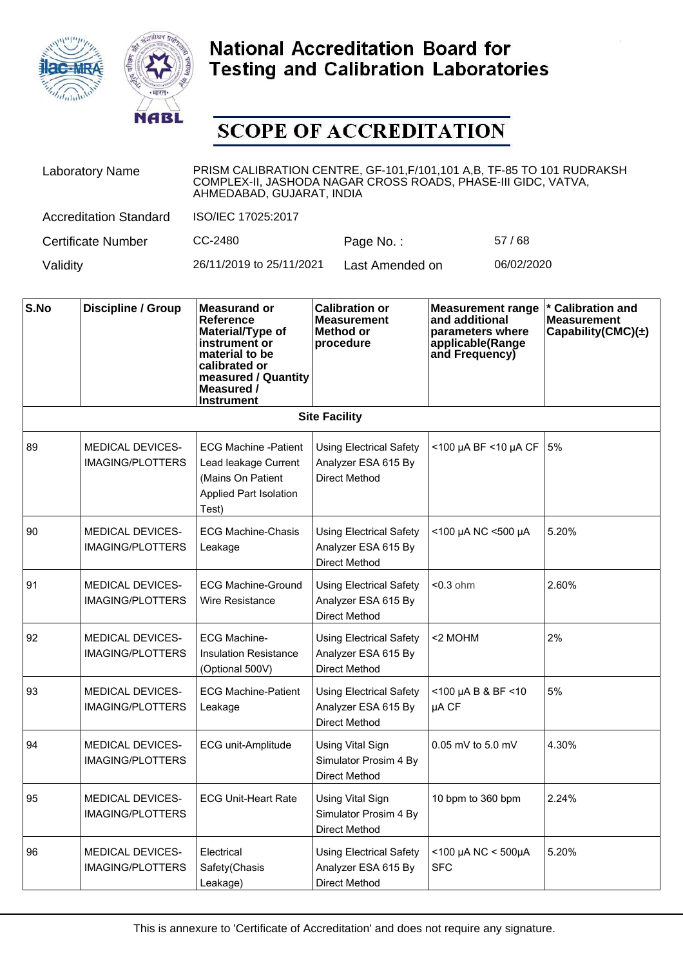



| <b>Laboratory Name</b>        | PRISM CALIBRATION CENTRE, GF-101, F/101, 101 A, B, TF-85 TO 101 RUDRAKSH<br>COMPLEX-II, JASHODA NAGAR CROSS ROADS, PHASE-III GIDC, VATVA,<br>AHMEDABAD, GUJARAT, INDIA |                 |            |  |
|-------------------------------|------------------------------------------------------------------------------------------------------------------------------------------------------------------------|-----------------|------------|--|
| <b>Accreditation Standard</b> | ISO/IEC 17025:2017                                                                                                                                                     |                 |            |  |
| Certificate Number            | CC-2480                                                                                                                                                                | Page No.:       | 57/68      |  |
| Validity                      | 26/11/2019 to 25/11/2021                                                                                                                                               | Last Amended on | 06/02/2020 |  |

| S.No | <b>Discipline / Group</b>                          | <b>Measurand or</b><br>Reference<br>Material/Type of<br>instrument or<br>material to be<br>calibrated or<br>measured / Quantity<br>Measured /<br><b>Instrument</b> | <b>Calibration or</b><br><b>Measurement</b><br>Method or<br>procedure         | <b>Measurement range</b><br>and additional<br>parameters where<br>applicable(Range<br>and Frequency) | <b>Calibration and</b><br><b>Measurement</b><br>Capability(CMC) $(\pm)$ |  |  |
|------|----------------------------------------------------|--------------------------------------------------------------------------------------------------------------------------------------------------------------------|-------------------------------------------------------------------------------|------------------------------------------------------------------------------------------------------|-------------------------------------------------------------------------|--|--|
|      | <b>Site Facility</b>                               |                                                                                                                                                                    |                                                                               |                                                                                                      |                                                                         |  |  |
| 89   | <b>MEDICAL DEVICES-</b><br><b>IMAGING/PLOTTERS</b> | <b>ECG Machine -Patient</b><br>Lead leakage Current<br>(Mains On Patient<br>Applied Part Isolation<br>Test)                                                        | <b>Using Electrical Safety</b><br>Analyzer ESA 615 By<br>Direct Method        | <100 µA BF <10 µA CF                                                                                 | 5%                                                                      |  |  |
| 90   | <b>MEDICAL DEVICES-</b><br><b>IMAGING/PLOTTERS</b> | <b>ECG Machine-Chasis</b><br>Leakage                                                                                                                               | <b>Using Electrical Safety</b><br>Analyzer ESA 615 By<br><b>Direct Method</b> | <100 µA NC <500 µA                                                                                   | 5.20%                                                                   |  |  |
| 91   | <b>MEDICAL DEVICES-</b><br><b>IMAGING/PLOTTERS</b> | <b>ECG Machine-Ground</b><br><b>Wire Resistance</b>                                                                                                                | <b>Using Electrical Safety</b><br>Analyzer ESA 615 By<br><b>Direct Method</b> | $0.3$ ohm                                                                                            | 2.60%                                                                   |  |  |
| 92   | <b>MEDICAL DEVICES-</b><br><b>IMAGING/PLOTTERS</b> | <b>ECG Machine-</b><br><b>Insulation Resistance</b><br>(Optional 500V)                                                                                             | <b>Using Electrical Safety</b><br>Analyzer ESA 615 By<br><b>Direct Method</b> | <2 MOHM                                                                                              | 2%                                                                      |  |  |
| 93   | <b>MEDICAL DEVICES-</b><br><b>IMAGING/PLOTTERS</b> | <b>ECG Machine-Patient</b><br>Leakage                                                                                                                              | <b>Using Electrical Safety</b><br>Analyzer ESA 615 By<br>Direct Method        | $<$ 100 µA B & BF $<$ 10<br>µA CF                                                                    | 5%                                                                      |  |  |
| 94   | <b>MEDICAL DEVICES-</b><br><b>IMAGING/PLOTTERS</b> | ECG unit-Amplitude                                                                                                                                                 | Using Vital Sign<br>Simulator Prosim 4 By<br>Direct Method                    | $0.05$ mV to 5.0 mV                                                                                  | 4.30%                                                                   |  |  |
| 95   | <b>MEDICAL DEVICES-</b><br><b>IMAGING/PLOTTERS</b> | <b>ECG Unit-Heart Rate</b>                                                                                                                                         | <b>Using Vital Sign</b><br>Simulator Prosim 4 By<br><b>Direct Method</b>      | 10 bpm to 360 bpm                                                                                    | 2.24%                                                                   |  |  |
| 96   | <b>MEDICAL DEVICES-</b><br><b>IMAGING/PLOTTERS</b> | Electrical<br>Safety(Chasis<br>Leakage)                                                                                                                            | <b>Using Electrical Safety</b><br>Analyzer ESA 615 By<br>Direct Method        | $<$ 100 µA NC $<$ 500µA<br><b>SFC</b>                                                                | 5.20%                                                                   |  |  |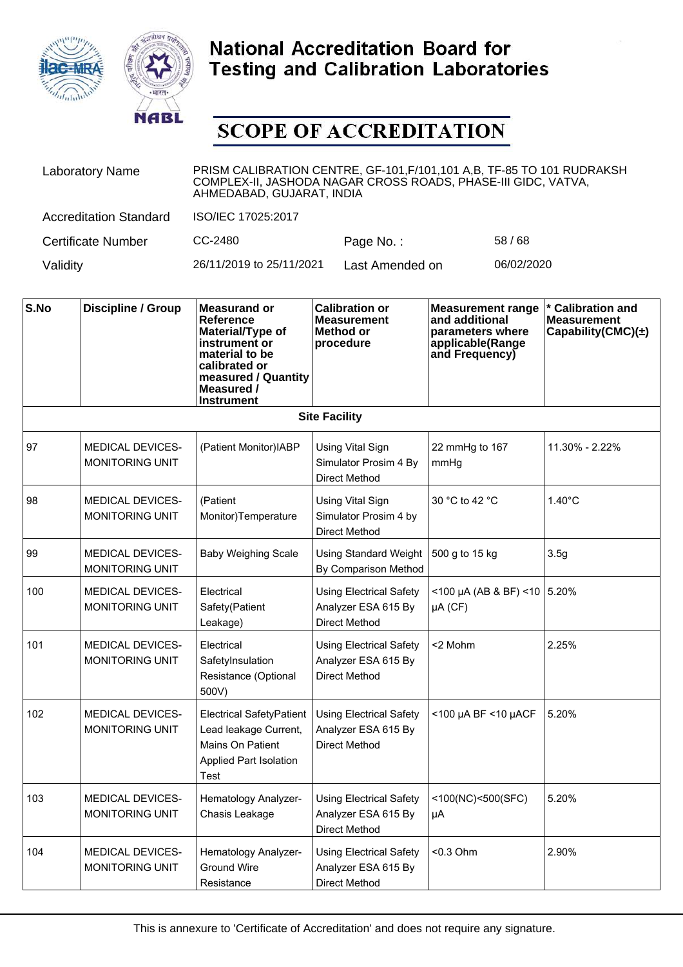



| <b>Laboratory Name</b>        | PRISM CALIBRATION CENTRE, GF-101, F/101, 101 A, B, TF-85 TO 101 RUDRAKSH<br>COMPLEX-II, JASHODA NAGAR CROSS ROADS, PHASE-III GIDC, VATVA,<br>AHMEDABAD, GUJARAT, INDIA |                 |            |  |
|-------------------------------|------------------------------------------------------------------------------------------------------------------------------------------------------------------------|-----------------|------------|--|
| <b>Accreditation Standard</b> | ISO/IEC 17025:2017                                                                                                                                                     |                 |            |  |
| <b>Certificate Number</b>     | CC-2480                                                                                                                                                                | Page No.:       | 58/68      |  |
| Validity                      | 26/11/2019 to 25/11/2021                                                                                                                                               | Last Amended on | 06/02/2020 |  |

| S.No | <b>Discipline / Group</b>                         | <b>Measurand or</b><br>Reference<br>Material/Type of<br>instrument or<br>material to be<br>calibrated or<br>measured / Quantity<br>Measured /<br><b>Instrument</b> | <b>Calibration or</b><br><b>Measurement</b><br>Method or<br>procedure         | <b>Measurement range</b><br>and additional<br>parameters where<br>applicable(Range<br>and Frequency) | * Calibration and<br><b>Measurement</b><br>Capability(CMC) $(\pm)$ |
|------|---------------------------------------------------|--------------------------------------------------------------------------------------------------------------------------------------------------------------------|-------------------------------------------------------------------------------|------------------------------------------------------------------------------------------------------|--------------------------------------------------------------------|
|      |                                                   |                                                                                                                                                                    | <b>Site Facility</b>                                                          |                                                                                                      |                                                                    |
| 97   | <b>MEDICAL DEVICES-</b><br><b>MONITORING UNIT</b> | (Patient Monitor)IABP                                                                                                                                              | Using Vital Sign<br>Simulator Prosim 4 By<br><b>Direct Method</b>             | 22 mmHg to 167<br>mmHg                                                                               | 11.30% - 2.22%                                                     |
| 98   | <b>MEDICAL DEVICES-</b><br><b>MONITORING UNIT</b> | (Patient<br>Monitor)Temperature                                                                                                                                    | Using Vital Sign<br>Simulator Prosim 4 by<br><b>Direct Method</b>             | 30 °C to 42 °C                                                                                       | $1.40^{\circ}$ C                                                   |
| 99   | MEDICAL DEVICES-<br><b>MONITORING UNIT</b>        | <b>Baby Weighing Scale</b>                                                                                                                                         | <b>Using Standard Weight</b><br>By Comparison Method                          | 500 g to 15 kg                                                                                       | 3.5g                                                               |
| 100  | <b>MEDICAL DEVICES-</b><br><b>MONITORING UNIT</b> | Electrical<br>Safety(Patient<br>Leakage)                                                                                                                           | <b>Using Electrical Safety</b><br>Analyzer ESA 615 By<br><b>Direct Method</b> | $<$ 100 µA (AB & BF) <10 5.20%<br>µA (CF)                                                            |                                                                    |
| 101  | <b>MEDICAL DEVICES-</b><br><b>MONITORING UNIT</b> | Electrical<br>SafetyInsulation<br>Resistance (Optional<br>500V)                                                                                                    | <b>Using Electrical Safety</b><br>Analyzer ESA 615 By<br><b>Direct Method</b> | <2 Mohm                                                                                              | 2.25%                                                              |
| 102  | <b>MEDICAL DEVICES-</b><br><b>MONITORING UNIT</b> | Electrical SafetyPatient<br>Lead leakage Current,<br>Mains On Patient<br><b>Applied Part Isolation</b><br>Test                                                     | <b>Using Electrical Safety</b><br>Analyzer ESA 615 By<br><b>Direct Method</b> | <100 µA BF <10 µACF                                                                                  | 5.20%                                                              |
| 103  | <b>MEDICAL DEVICES-</b><br><b>MONITORING UNIT</b> | Hematology Analyzer-<br>Chasis Leakage                                                                                                                             | <b>Using Electrical Safety</b><br>Analyzer ESA 615 By<br><b>Direct Method</b> | <100(NC)<500(SFC)<br>μA                                                                              | 5.20%                                                              |
| 104  | <b>MEDICAL DEVICES-</b><br>MONITORING UNIT        | Hematology Analyzer-<br><b>Ground Wire</b><br>Resistance                                                                                                           | <b>Using Electrical Safety</b><br>Analyzer ESA 615 By<br>Direct Method        | $< 0.3$ Ohm                                                                                          | 2.90%                                                              |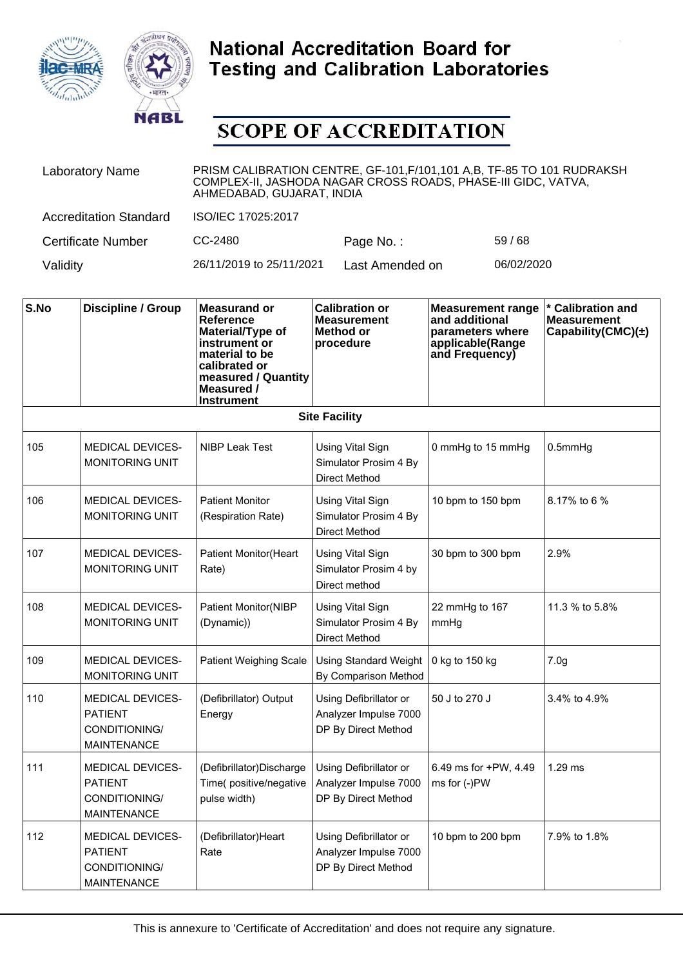



| <b>Laboratory Name</b>        | PRISM CALIBRATION CENTRE, GF-101, F/101, 101 A,B, TF-85 TO 101 RUDRAKSH<br>COMPLEX-II, JASHODA NAGAR CROSS ROADS, PHASE-III GIDC, VATVA,<br>AHMEDABAD, GUJARAT, INDIA |                 |            |  |
|-------------------------------|-----------------------------------------------------------------------------------------------------------------------------------------------------------------------|-----------------|------------|--|
| <b>Accreditation Standard</b> | ISO/IEC 17025:2017                                                                                                                                                    |                 |            |  |
| Certificate Number            | CC-2480                                                                                                                                                               | Page No.:       | 59/68      |  |
| Validity                      | 26/11/2019 to 25/11/2021                                                                                                                                              | Last Amended on | 06/02/2020 |  |

| S.No | <b>Discipline / Group</b>                                                        | <b>Measurand or</b><br>Reference<br>Material/Type of<br>instrument or<br>material to be<br>calibrated or<br>measured / Quantity<br>Measured /<br><b>Instrument</b> | <b>Calibration or</b><br><b>Measurement</b><br>Method or<br>procedure    | <b>Measurement range</b><br>and additional<br>parameters where<br>applicable(Range<br>and Frequency) | * Calibration and<br><b>Measurement</b><br>Capability(CMC)(±) |
|------|----------------------------------------------------------------------------------|--------------------------------------------------------------------------------------------------------------------------------------------------------------------|--------------------------------------------------------------------------|------------------------------------------------------------------------------------------------------|---------------------------------------------------------------|
|      |                                                                                  |                                                                                                                                                                    | <b>Site Facility</b>                                                     |                                                                                                      |                                                               |
| 105  | <b>MEDICAL DEVICES-</b><br><b>MONITORING UNIT</b>                                | NIBP Leak Test                                                                                                                                                     | <b>Using Vital Sign</b><br>Simulator Prosim 4 By<br><b>Direct Method</b> | 0 mmHg to 15 mmHg                                                                                    | $0.5$ mm $Hg$                                                 |
| 106  | <b>MEDICAL DEVICES-</b><br><b>MONITORING UNIT</b>                                | <b>Patient Monitor</b><br>(Respiration Rate)                                                                                                                       | <b>Using Vital Sign</b><br>Simulator Prosim 4 By<br><b>Direct Method</b> | 10 bpm to 150 bpm                                                                                    | 8.17% to 6 %                                                  |
| 107  | <b>MEDICAL DEVICES-</b><br><b>MONITORING UNIT</b>                                | <b>Patient Monitor(Heart</b><br>Rate)                                                                                                                              | <b>Using Vital Sign</b><br>Simulator Prosim 4 by<br>Direct method        | 30 bpm to 300 bpm                                                                                    | 2.9%                                                          |
| 108  | <b>MEDICAL DEVICES-</b><br><b>MONITORING UNIT</b>                                | <b>Patient Monitor(NIBP</b><br>(Dynamic))                                                                                                                          | <b>Using Vital Sign</b><br>Simulator Prosim 4 By<br><b>Direct Method</b> | 22 mmHg to 167<br>mmHg                                                                               | 11.3 % to 5.8%                                                |
| 109  | <b>MEDICAL DEVICES-</b><br>MONITORING UNIT                                       | <b>Patient Weighing Scale</b>                                                                                                                                      | <b>Using Standard Weight</b><br>By Comparison Method                     | 0 kg to 150 kg                                                                                       | 7.0 <sub>g</sub>                                              |
| 110  | <b>MEDICAL DEVICES-</b><br><b>PATIENT</b><br>CONDITIONING/<br><b>MAINTENANCE</b> | (Defibrillator) Output<br>Energy                                                                                                                                   | Using Defibrillator or<br>Analyzer Impulse 7000<br>DP By Direct Method   | 50 J to 270 J                                                                                        | 3.4% to 4.9%                                                  |
| 111  | <b>MEDICAL DEVICES-</b><br><b>PATIENT</b><br>CONDITIONING/<br><b>MAINTENANCE</b> | (Defibrillator)Discharge<br>Time(positive/negative<br>pulse width)                                                                                                 | Using Defibrillator or<br>Analyzer Impulse 7000<br>DP By Direct Method   | 6.49 ms for +PW, 4.49<br>ms for (-)PW                                                                | $1.29$ ms                                                     |
| 112  | MEDICAL DEVICES-<br><b>PATIENT</b><br>CONDITIONING/<br><b>MAINTENANCE</b>        | (Defibrillator)Heart<br>Rate                                                                                                                                       | Using Defibrillator or<br>Analyzer Impulse 7000<br>DP By Direct Method   | 10 bpm to 200 bpm                                                                                    | 7.9% to 1.8%                                                  |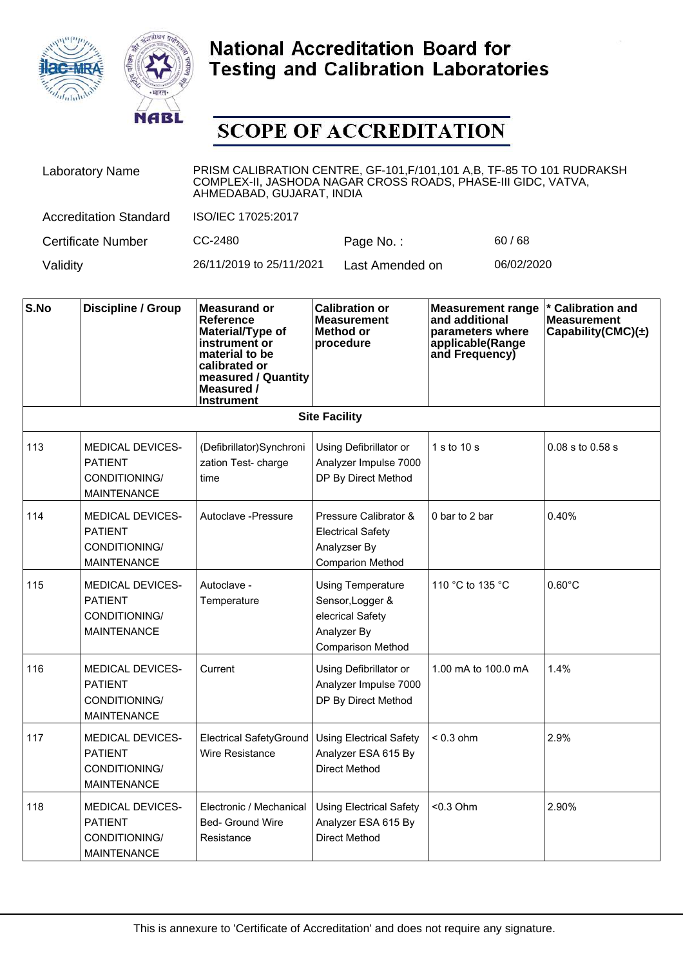



| <b>Laboratory Name</b>        | PRISM CALIBRATION CENTRE, GF-101, F/101, 101 A, B, TF-85 TO 101 RUDRAKSH<br>COMPLEX-II, JASHODA NAGAR CROSS ROADS, PHASE-III GIDC, VATVA,<br>AHMEDABAD, GUJARAT, INDIA |                 |            |  |
|-------------------------------|------------------------------------------------------------------------------------------------------------------------------------------------------------------------|-----------------|------------|--|
| <b>Accreditation Standard</b> | ISO/IEC 17025:2017                                                                                                                                                     |                 |            |  |
| <b>Certificate Number</b>     | CC-2480                                                                                                                                                                | Page No.:       | 60/68      |  |
| Validity                      | 26/11/2019 to 25/11/2021                                                                                                                                               | Last Amended on | 06/02/2020 |  |

| S.No | <b>Discipline / Group</b>                                                        | <b>Measurand or</b><br>Reference<br>Material/Type of<br>instrument or<br>material to be<br>calibrated or<br>measured / Quantity<br>Measured /<br><b>Instrument</b> | <b>Calibration or</b><br><b>Measurement</b><br>Method or<br>procedure                                       | <b>Measurement range</b><br>and additional<br>parameters where<br>applicable(Range<br>and Frequency) | * Calibration and<br><b>Measurement</b><br>Capability(CMC) $(\pm)$ |
|------|----------------------------------------------------------------------------------|--------------------------------------------------------------------------------------------------------------------------------------------------------------------|-------------------------------------------------------------------------------------------------------------|------------------------------------------------------------------------------------------------------|--------------------------------------------------------------------|
|      |                                                                                  |                                                                                                                                                                    | <b>Site Facility</b>                                                                                        |                                                                                                      |                                                                    |
| 113  | <b>MEDICAL DEVICES-</b><br><b>PATIENT</b><br>CONDITIONING/<br><b>MAINTENANCE</b> | (Defibrillator)Synchroni<br>zation Test- charge<br>time                                                                                                            | Using Defibrillator or<br>Analyzer Impulse 7000<br>DP By Direct Method                                      | 1 s to $10 s$                                                                                        | 0.08 s to 0.58 s                                                   |
| 114  | MEDICAL DEVICES-<br><b>PATIENT</b><br>CONDITIONING/<br><b>MAINTENANCE</b>        | Autoclave -Pressure                                                                                                                                                | Pressure Calibrator &<br><b>Electrical Safety</b><br>Analyzser By<br><b>Comparion Method</b>                | 0 bar to 2 bar                                                                                       | 0.40%                                                              |
| 115  | <b>MEDICAL DEVICES-</b><br><b>PATIENT</b><br>CONDITIONING/<br><b>MAINTENANCE</b> | Autoclave -<br>Temperature                                                                                                                                         | <b>Using Temperature</b><br>Sensor, Logger &<br>elecrical Safety<br>Analyzer By<br><b>Comparison Method</b> | 110 °C to 135 °C                                                                                     | $0.60^{\circ}$ C                                                   |
| 116  | <b>MEDICAL DEVICES-</b><br><b>PATIENT</b><br>CONDITIONING/<br><b>MAINTENANCE</b> | Current                                                                                                                                                            | Using Defibrillator or<br>Analyzer Impulse 7000<br>DP By Direct Method                                      | 1.00 mA to 100.0 mA                                                                                  | 1.4%                                                               |
| 117  | <b>MEDICAL DEVICES-</b><br><b>PATIENT</b><br>CONDITIONING/<br><b>MAINTENANCE</b> | <b>Electrical SafetyGround</b><br>Wire Resistance                                                                                                                  | <b>Using Electrical Safety</b><br>Analyzer ESA 615 By<br>Direct Method                                      | $< 0.3$ ohm                                                                                          | 2.9%                                                               |
| 118  | <b>MEDICAL DEVICES-</b><br><b>PATIENT</b><br>CONDITIONING/<br><b>MAINTENANCE</b> | Electronic / Mechanical<br>Bed- Ground Wire<br>Resistance                                                                                                          | <b>Using Electrical Safety</b><br>Analyzer ESA 615 By<br><b>Direct Method</b>                               | $< 0.3$ Ohm                                                                                          | 2.90%                                                              |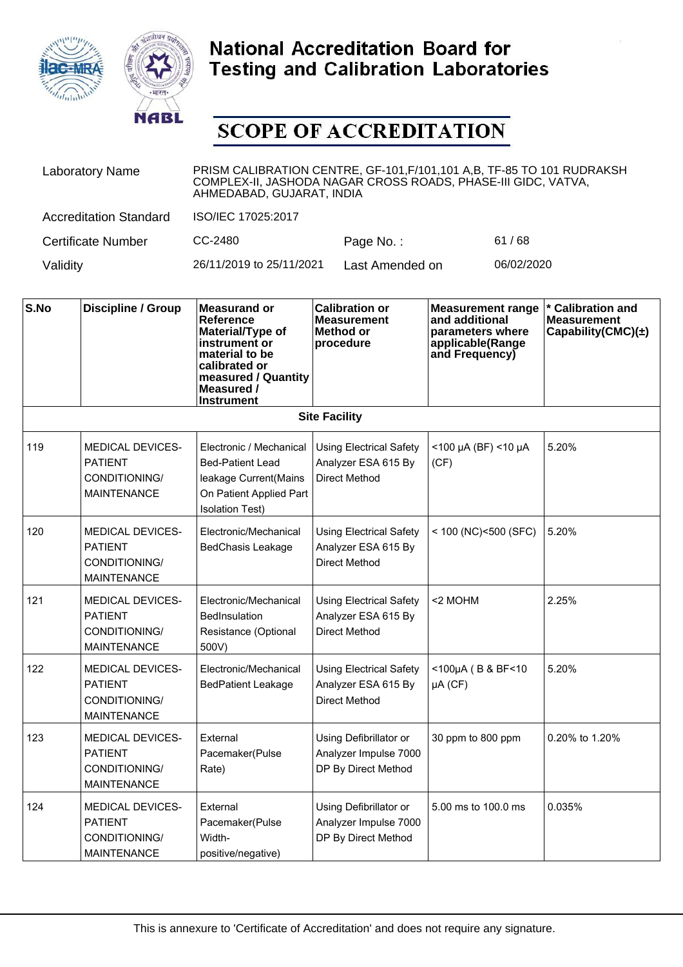



| <b>Laboratory Name</b>        | PRISM CALIBRATION CENTRE, GF-101, F/101, 101 A,B, TF-85 TO 101 RUDRAKSH<br>COMPLEX-II, JASHODA NAGAR CROSS ROADS, PHASE-III GIDC, VATVA,<br>AHMEDABAD, GUJARAT, INDIA |                 |            |  |  |
|-------------------------------|-----------------------------------------------------------------------------------------------------------------------------------------------------------------------|-----------------|------------|--|--|
| <b>Accreditation Standard</b> | ISO/IEC 17025:2017                                                                                                                                                    |                 |            |  |  |
| <b>Certificate Number</b>     | CC-2480                                                                                                                                                               | Page No.:       | 61/68      |  |  |
| Validity                      | 26/11/2019 to 25/11/2021                                                                                                                                              | Last Amended on | 06/02/2020 |  |  |

| S.No | <b>Discipline / Group</b>                                                        | <b>Measurand or</b><br>Reference<br>Material/Type of<br>instrument or<br>material to be<br>calibrated or<br>measured / Quantity<br>Measured /<br><b>Instrument</b> | <b>Calibration or</b><br><b>Measurement</b><br>Method or<br>procedure         | <b>Measurement range</b><br>and additional<br>parameters where<br>applicable(Range<br>and Frequency) | * Calibration and<br><b>Measurement</b><br>Capability(CMC) $(\pm)$ |
|------|----------------------------------------------------------------------------------|--------------------------------------------------------------------------------------------------------------------------------------------------------------------|-------------------------------------------------------------------------------|------------------------------------------------------------------------------------------------------|--------------------------------------------------------------------|
|      |                                                                                  |                                                                                                                                                                    | <b>Site Facility</b>                                                          |                                                                                                      |                                                                    |
| 119  | <b>MEDICAL DEVICES-</b><br><b>PATIENT</b><br>CONDITIONING/<br><b>MAINTENANCE</b> | Electronic / Mechanical<br><b>Bed-Patient Lead</b><br>leakage Current(Mains<br>On Patient Applied Part<br><b>Isolation Test)</b>                                   | <b>Using Electrical Safety</b><br>Analyzer ESA 615 By<br><b>Direct Method</b> | $<$ 100 µA (BF) <10 µA<br>(CF)                                                                       | 5.20%                                                              |
| 120  | <b>MEDICAL DEVICES-</b><br><b>PATIENT</b><br>CONDITIONING/<br><b>MAINTENANCE</b> | Electronic/Mechanical<br><b>BedChasis Leakage</b>                                                                                                                  | <b>Using Electrical Safety</b><br>Analyzer ESA 615 By<br><b>Direct Method</b> | $<$ 100 (NC) < 500 (SFC)                                                                             | 5.20%                                                              |
| 121  | <b>MEDICAL DEVICES-</b><br><b>PATIENT</b><br>CONDITIONING/<br><b>MAINTENANCE</b> | Electronic/Mechanical<br><b>BedInsulation</b><br>Resistance (Optional<br>500V)                                                                                     | <b>Using Electrical Safety</b><br>Analyzer ESA 615 By<br><b>Direct Method</b> | <2 MOHM                                                                                              | 2.25%                                                              |
| 122  | <b>MEDICAL DEVICES-</b><br><b>PATIENT</b><br>CONDITIONING/<br><b>MAINTENANCE</b> | Electronic/Mechanical<br><b>BedPatient Leakage</b>                                                                                                                 | <b>Using Electrical Safety</b><br>Analyzer ESA 615 By<br>Direct Method        | <100µA (B & BF<10<br>$\mu A$ (CF)                                                                    | 5.20%                                                              |
| 123  | <b>MEDICAL DEVICES-</b><br><b>PATIENT</b><br>CONDITIONING/<br><b>MAINTENANCE</b> | External<br>Pacemaker(Pulse<br>Rate)                                                                                                                               | Using Defibrillator or<br>Analyzer Impulse 7000<br>DP By Direct Method        | 30 ppm to 800 ppm                                                                                    | 0.20% to 1.20%                                                     |
| 124  | <b>MEDICAL DEVICES-</b><br><b>PATIENT</b><br>CONDITIONING/<br><b>MAINTENANCE</b> | External<br>Pacemaker(Pulse<br>Width-<br>positive/negative)                                                                                                        | Using Defibrillator or<br>Analyzer Impulse 7000<br>DP By Direct Method        | 5.00 ms to 100.0 ms                                                                                  | 0.035%                                                             |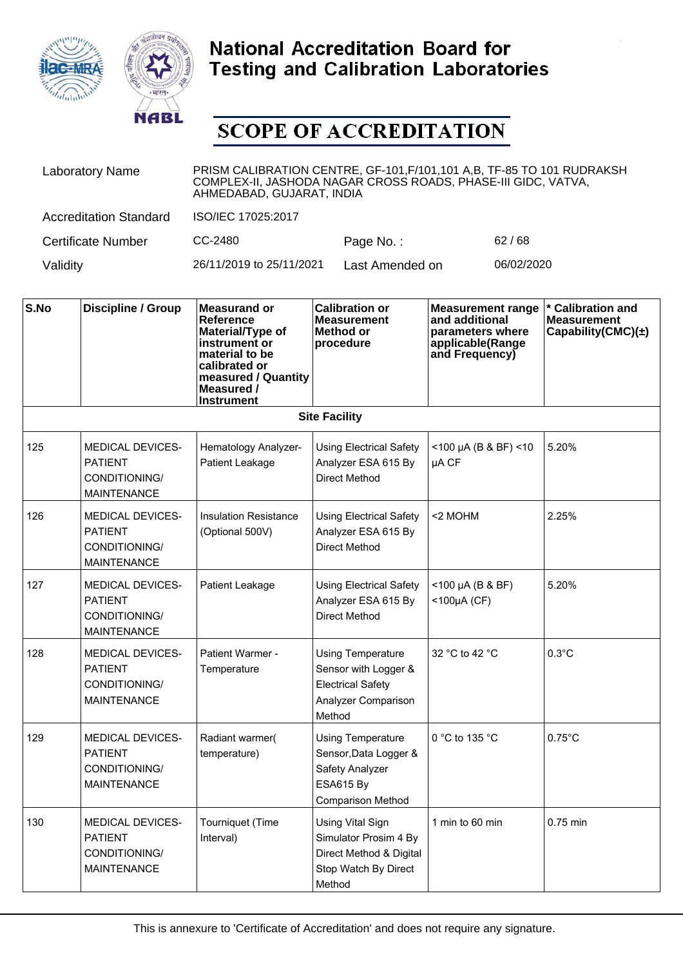



| <b>Laboratory Name</b>        | PRISM CALIBRATION CENTRE, GF-101, F/101, 101 A, B, TF-85 TO 101 RUDRAKSH<br>COMPLEX-II, JASHODA NAGAR CROSS ROADS, PHASE-III GIDC, VATVA,<br>AHMEDABAD, GUJARAT, INDIA |                 |            |  |
|-------------------------------|------------------------------------------------------------------------------------------------------------------------------------------------------------------------|-----------------|------------|--|
| <b>Accreditation Standard</b> | ISO/IEC 17025:2017                                                                                                                                                     |                 |            |  |
| <b>Certificate Number</b>     | CC-2480                                                                                                                                                                | Page No.:       | 62/68      |  |
| Validity                      | 26/11/2019 to 25/11/2021                                                                                                                                               | Last Amended on | 06/02/2020 |  |

| S.No | <b>Discipline / Group</b>                                                        | <b>Measurand or</b><br>Reference<br>Material/Type of<br>instrument or<br>material to be<br>calibrated or<br>measured / Quantity<br>Measured /<br><b>Instrument</b> | <b>Calibration or</b><br><b>Measurement</b><br>Method or<br>procedure                                                | <b>Measurement range</b><br>and additional<br>parameters where<br>applicable(Range<br>and Frequency) | <b>Calibration and</b><br><b>Measurement</b><br>Capability(CMC) $(\pm)$ |
|------|----------------------------------------------------------------------------------|--------------------------------------------------------------------------------------------------------------------------------------------------------------------|----------------------------------------------------------------------------------------------------------------------|------------------------------------------------------------------------------------------------------|-------------------------------------------------------------------------|
|      |                                                                                  |                                                                                                                                                                    | <b>Site Facility</b>                                                                                                 |                                                                                                      |                                                                         |
| 125  | <b>MEDICAL DEVICES-</b><br><b>PATIENT</b><br>CONDITIONING/<br><b>MAINTENANCE</b> | Hematology Analyzer-<br>Patient Leakage                                                                                                                            | <b>Using Electrical Safety</b><br>Analyzer ESA 615 By<br>Direct Method                                               | $<$ 100 µA (B & BF) $<$ 10<br>µA CF                                                                  | 5.20%                                                                   |
| 126  | <b>MEDICAL DEVICES-</b><br><b>PATIENT</b><br>CONDITIONING/<br><b>MAINTENANCE</b> | <b>Insulation Resistance</b><br>(Optional 500V)                                                                                                                    | <b>Using Electrical Safety</b><br>Analyzer ESA 615 By<br><b>Direct Method</b>                                        | <2 MOHM                                                                                              | 2.25%                                                                   |
| 127  | <b>MEDICAL DEVICES-</b><br><b>PATIENT</b><br>CONDITIONING/<br><b>MAINTENANCE</b> | Patient Leakage                                                                                                                                                    | <b>Using Electrical Safety</b><br>Analyzer ESA 615 By<br><b>Direct Method</b>                                        | $<$ 100 µA (B & BF)<br><100µA (CF)                                                                   | 5.20%                                                                   |
| 128  | <b>MEDICAL DEVICES-</b><br><b>PATIENT</b><br>CONDITIONING/<br><b>MAINTENANCE</b> | Patient Warmer -<br>Temperature                                                                                                                                    | <b>Using Temperature</b><br>Sensor with Logger &<br><b>Electrical Safety</b><br>Analyzer Comparison<br>Method        | 32 °C to 42 °C                                                                                       | $0.3^{\circ}$ C                                                         |
| 129  | <b>MEDICAL DEVICES-</b><br><b>PATIENT</b><br>CONDITIONING/<br><b>MAINTENANCE</b> | Radiant warmer(<br>temperature)                                                                                                                                    | <b>Using Temperature</b><br>Sensor, Data Logger &<br>Safety Analyzer<br><b>ESA615 By</b><br><b>Comparison Method</b> | 0 °C to 135 °C                                                                                       | $0.75^{\circ}$ C                                                        |
| 130  | <b>MEDICAL DEVICES-</b><br><b>PATIENT</b><br>CONDITIONING/<br><b>MAINTENANCE</b> | Tourniquet (Time<br>Interval)                                                                                                                                      | <b>Using Vital Sign</b><br>Simulator Prosim 4 By<br>Direct Method & Digital<br>Stop Watch By Direct<br>Method        | 1 min to 60 min                                                                                      | 0.75 min                                                                |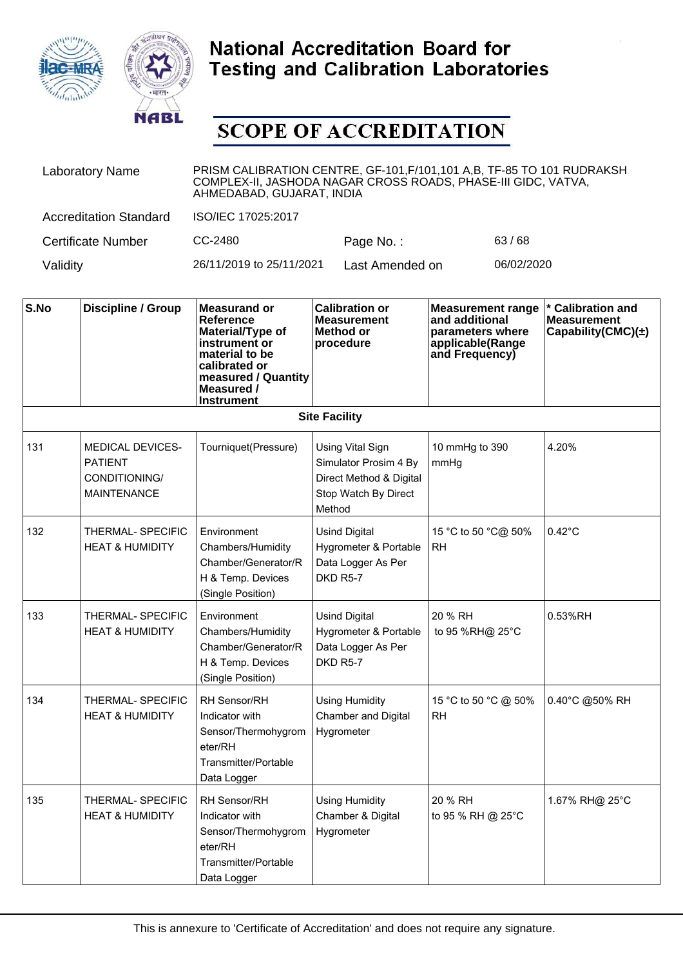



| <b>Laboratory Name</b>        | PRISM CALIBRATION CENTRE, GF-101, F/101, 101 A,B, TF-85 TO 101 RUDRAKSH<br>COMPLEX-II, JASHODA NAGAR CROSS ROADS, PHASE-III GIDC, VATVA,<br>AHMEDABAD, GUJARAT, INDIA |                 |            |  |
|-------------------------------|-----------------------------------------------------------------------------------------------------------------------------------------------------------------------|-----------------|------------|--|
| <b>Accreditation Standard</b> | ISO/IEC 17025:2017                                                                                                                                                    |                 |            |  |
| Certificate Number            | CC-2480                                                                                                                                                               | Page No.:       | 63/68      |  |
| Validity                      | 26/11/2019 to 25/11/2021                                                                                                                                              | Last Amended on | 06/02/2020 |  |

| S.No | <b>Discipline / Group</b>                                                        | <b>Measurand or</b><br>Reference<br>Material/Type of<br>instrument or<br>material to be<br>calibrated or<br>measured / Quantity<br>Measured /<br><b>Instrument</b> | <b>Calibration or</b><br><b>Measurement</b><br>Method or<br>procedure                                         | <b>Measurement range</b><br>and additional<br>parameters where<br>applicable(Range<br>and Frequency) | * Calibration and<br><b>Measurement</b><br>Capability(CMC) $(\pm)$ |  |  |
|------|----------------------------------------------------------------------------------|--------------------------------------------------------------------------------------------------------------------------------------------------------------------|---------------------------------------------------------------------------------------------------------------|------------------------------------------------------------------------------------------------------|--------------------------------------------------------------------|--|--|
|      | <b>Site Facility</b>                                                             |                                                                                                                                                                    |                                                                                                               |                                                                                                      |                                                                    |  |  |
| 131  | <b>MEDICAL DEVICES-</b><br><b>PATIENT</b><br>CONDITIONING/<br><b>MAINTENANCE</b> | Tourniquet(Pressure)                                                                                                                                               | <b>Using Vital Sign</b><br>Simulator Prosim 4 By<br>Direct Method & Digital<br>Stop Watch By Direct<br>Method | 10 mmHg to 390<br>mmHg                                                                               | 4.20%                                                              |  |  |
| 132  | THERMAL- SPECIFIC<br><b>HEAT &amp; HUMIDITY</b>                                  | Environment<br>Chambers/Humidity<br>Chamber/Generator/R<br>H & Temp. Devices<br>(Single Position)                                                                  | <b>Usind Digital</b><br>Hygrometer & Portable<br>Data Logger As Per<br>DKD R5-7                               | 15 °C to 50 °C@ 50%<br>RH                                                                            | $0.42^{\circ}$ C                                                   |  |  |
| 133  | THERMAL-SPECIFIC<br><b>HEAT &amp; HUMIDITY</b>                                   | Environment<br>Chambers/Humidity<br>Chamber/Generator/R<br>H & Temp. Devices<br>(Single Position)                                                                  | <b>Usind Digital</b><br>Hygrometer & Portable<br>Data Logger As Per<br><b>DKD R5-7</b>                        | 20 % RH<br>to 95 %RH@ 25°C                                                                           | 0.53%RH                                                            |  |  |
| 134  | THERMAL- SPECIFIC<br><b>HEAT &amp; HUMIDITY</b>                                  | <b>RH Sensor/RH</b><br>Indicator with<br>Sensor/Thermohygrom<br>eter/RH<br>Transmitter/Portable<br>Data Logger                                                     | <b>Using Humidity</b><br>Chamber and Digital<br>Hygrometer                                                    | 15 °C to 50 °C @ 50%<br><b>RH</b>                                                                    | 0.40°C @50% RH                                                     |  |  |
| 135  | THERMAL-SPECIFIC<br><b>HEAT &amp; HUMIDITY</b>                                   | <b>RH Sensor/RH</b><br>Indicator with<br>Sensor/Thermohygrom<br>eter/RH<br>Transmitter/Portable<br>Data Logger                                                     | <b>Using Humidity</b><br>Chamber & Digital<br>Hygrometer                                                      | 20 % RH<br>to 95 % RH @ 25°C                                                                         | 1.67% RH@ 25°C                                                     |  |  |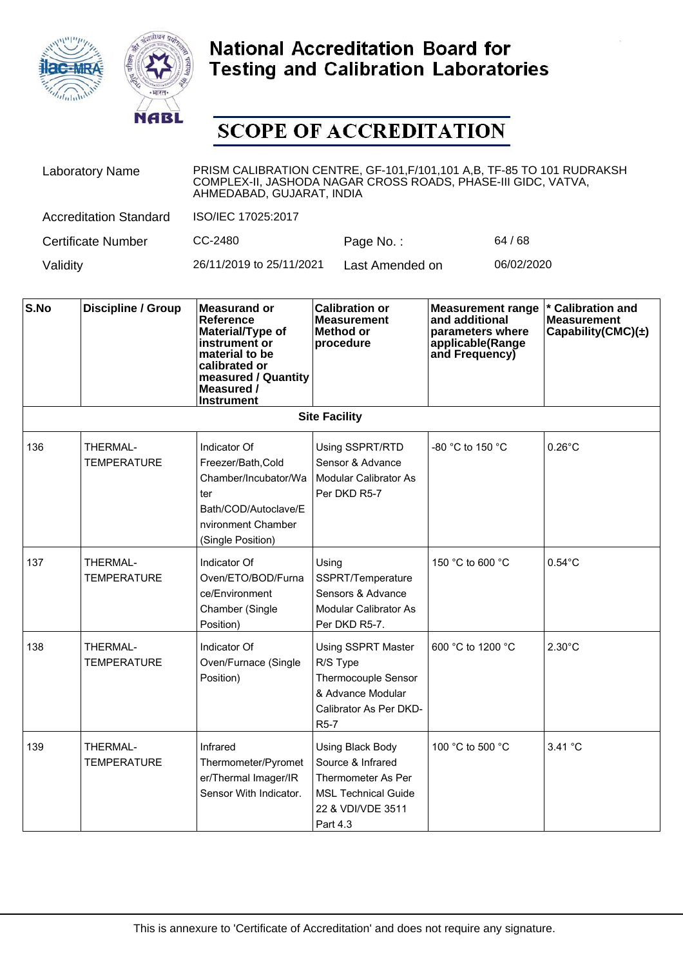



| <b>Laboratory Name</b>        | PRISM CALIBRATION CENTRE, GF-101, F/101, 101 A, B, TF-85 TO 101 RUDRAKSH<br>COMPLEX-II, JASHODA NAGAR CROSS ROADS, PHASE-III GIDC, VATVA,<br>AHMEDABAD, GUJARAT, INDIA |                 |            |  |
|-------------------------------|------------------------------------------------------------------------------------------------------------------------------------------------------------------------|-----------------|------------|--|
| <b>Accreditation Standard</b> | ISO/IEC 17025:2017                                                                                                                                                     |                 |            |  |
| Certificate Number            | CC-2480                                                                                                                                                                | Page No.:       | 64 / 68    |  |
| Validity                      | 26/11/2019 to 25/11/2021                                                                                                                                               | Last Amended on | 06/02/2020 |  |

| S.No | <b>Discipline / Group</b>      | <b>Measurand or</b><br>Reference<br>Material/Type of<br>instrument or<br>material to be<br>calibrated or<br>measured / Quantity<br>Measured /<br><b>Instrument</b> | <b>Calibration or</b><br><b>Measurement</b><br><b>Method or</b><br>procedure                                                     | <b>Measurement range</b><br>and additional<br>parameters where<br>applicable(Range<br>and Frequency) | * Calibration and<br><b>Measurement</b><br>Capability(CMC) $(\pm)$ |
|------|--------------------------------|--------------------------------------------------------------------------------------------------------------------------------------------------------------------|----------------------------------------------------------------------------------------------------------------------------------|------------------------------------------------------------------------------------------------------|--------------------------------------------------------------------|
|      |                                |                                                                                                                                                                    | <b>Site Facility</b>                                                                                                             |                                                                                                      |                                                                    |
| 136  | THERMAL-<br><b>TEMPERATURE</b> | Indicator Of<br>Freezer/Bath, Cold<br>Chamber/Incubator/Wa<br>ter<br>Bath/COD/Autoclave/E<br>nvironment Chamber<br>(Single Position)                               | Using SSPRT/RTD<br>Sensor & Advance<br>Modular Calibrator As<br>Per DKD R5-7                                                     | -80 °C to 150 °C                                                                                     | $0.26^{\circ}$ C                                                   |
| 137  | THERMAL-<br><b>TEMPERATURE</b> | Indicator Of<br>Oven/ETO/BOD/Furna<br>ce/Environment<br>Chamber (Single<br>Position)                                                                               | Using<br>SSPRT/Temperature<br>Sensors & Advance<br>Modular Calibrator As<br>Per DKD R5-7.                                        | 150 °C to 600 °C                                                                                     | $0.54^{\circ}$ C                                                   |
| 138  | THERMAL-<br><b>TEMPERATURE</b> | Indicator Of<br>Oven/Furnace (Single<br>Position)                                                                                                                  | <b>Using SSPRT Master</b><br>R/S Type<br>Thermocouple Sensor<br>& Advance Modular<br>Calibrator As Per DKD-<br>R <sub>5</sub> -7 | 600 °C to 1200 °C                                                                                    | $2.30^{\circ}$ C                                                   |
| 139  | THERMAL-<br>TEMPERATURE        | Infrared<br>Thermometer/Pyromet<br>er/Thermal Imager/IR<br>Sensor With Indicator.                                                                                  | Using Black Body<br>Source & Infrared<br>Thermometer As Per<br><b>MSL Technical Guide</b><br>22 & VDI/VDE 3511<br>Part 4.3       | 100 °C to 500 °C                                                                                     | 3.41 °C                                                            |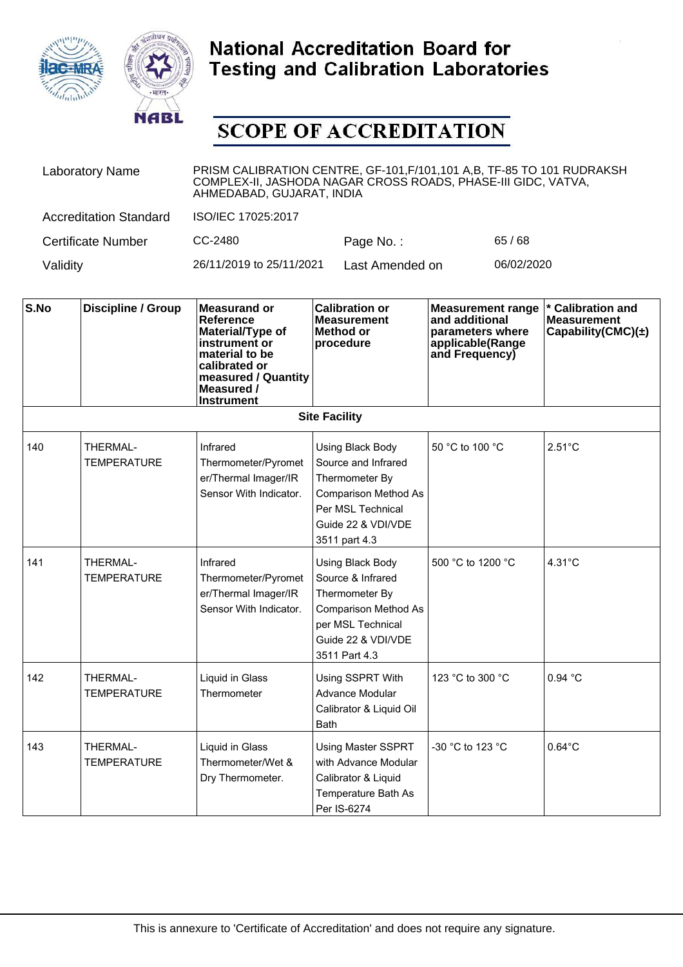



| <b>Laboratory Name</b>        | PRISM CALIBRATION CENTRE, GF-101, F/101, 101 A, B, TF-85 TO 101 RUDRAKSH<br>COMPLEX-II, JASHODA NAGAR CROSS ROADS, PHASE-III GIDC, VATVA,<br>AHMEDABAD, GUJARAT, INDIA |                 |            |  |  |
|-------------------------------|------------------------------------------------------------------------------------------------------------------------------------------------------------------------|-----------------|------------|--|--|
| <b>Accreditation Standard</b> | ISO/IEC 17025:2017                                                                                                                                                     |                 |            |  |  |
| Certificate Number            | CC-2480                                                                                                                                                                | Page No.:       | 65/68      |  |  |
| Validity                      | 26/11/2019 to 25/11/2021                                                                                                                                               | Last Amended on | 06/02/2020 |  |  |

| S.No | <b>Discipline / Group</b>      | <b>Measurand or</b><br><b>Reference</b><br>Material/Type of<br>instrument or<br>material to be<br>calibrated or<br>measured / Quantity<br>Measured /<br><b>Instrument</b> | <b>Calibration or</b><br><b>Measurement</b><br><b>Method or</b><br>procedure                                                                         | <b>Measurement range</b><br>and additional<br>parameters where<br>applicable(Range<br>and Frequency) | * Calibration and<br><b>Measurement</b><br>Capability(CMC) $(\pm)$ |
|------|--------------------------------|---------------------------------------------------------------------------------------------------------------------------------------------------------------------------|------------------------------------------------------------------------------------------------------------------------------------------------------|------------------------------------------------------------------------------------------------------|--------------------------------------------------------------------|
|      |                                |                                                                                                                                                                           | <b>Site Facility</b>                                                                                                                                 |                                                                                                      |                                                                    |
| 140  | THERMAL-<br><b>TEMPERATURE</b> | Infrared<br>Thermometer/Pyromet<br>er/Thermal Imager/IR<br>Sensor With Indicator.                                                                                         | Using Black Body<br>Source and Infrared<br>Thermometer By<br><b>Comparison Method As</b><br>Per MSL Technical<br>Guide 22 & VDI/VDE<br>3511 part 4.3 | 50 °C to 100 °C                                                                                      | $2.51^{\circ}$ C                                                   |
| 141  | THERMAL-<br><b>TEMPERATURE</b> | Infrared<br>Thermometer/Pyromet<br>er/Thermal Imager/IR<br>Sensor With Indicator.                                                                                         | Using Black Body<br>Source & Infrared<br>Thermometer By<br><b>Comparison Method As</b><br>per MSL Technical<br>Guide 22 & VDI/VDE<br>3511 Part 4.3   | 500 °C to 1200 °C                                                                                    | $4.31^{\circ}$ C                                                   |
| 142  | THERMAL-<br><b>TEMPERATURE</b> | Liquid in Glass<br>Thermometer                                                                                                                                            | Using SSPRT With<br>Advance Modular<br>Calibrator & Liquid Oil<br><b>Bath</b>                                                                        | 123 °C to 300 °C                                                                                     | 0.94 °C                                                            |
| 143  | THERMAL-<br><b>TEMPERATURE</b> | Liquid in Glass<br>Thermometer/Wet &<br>Dry Thermometer.                                                                                                                  | <b>Using Master SSPRT</b><br>with Advance Modular<br>Calibrator & Liquid<br>Temperature Bath As<br>Per IS-6274                                       | -30 °C to 123 °C                                                                                     | $0.64^{\circ}$ C                                                   |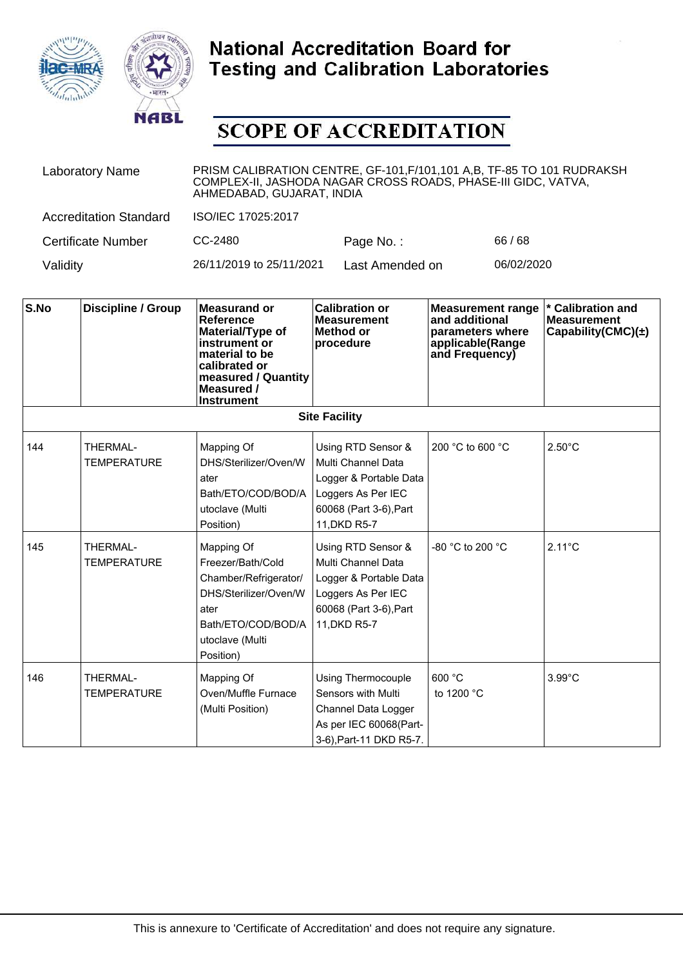



| <b>Laboratory Name</b>        | PRISM CALIBRATION CENTRE, GF-101, F/101, 101 A, B, TF-85 TO 101 RUDRAKSH<br>COMPLEX-II, JASHODA NAGAR CROSS ROADS, PHASE-III GIDC, VATVA,<br>AHMEDABAD, GUJARAT, INDIA |                 |            |  |
|-------------------------------|------------------------------------------------------------------------------------------------------------------------------------------------------------------------|-----------------|------------|--|
| <b>Accreditation Standard</b> | ISO/IEC 17025:2017                                                                                                                                                     |                 |            |  |
| <b>Certificate Number</b>     | CC-2480                                                                                                                                                                | Page No.:       | 66 / 68    |  |
| Validity                      | 26/11/2019 to 25/11/2021                                                                                                                                               | Last Amended on | 06/02/2020 |  |

| S.No | <b>Discipline / Group</b>             | <b>Measurand or</b><br><b>Reference</b><br>Material/Type of<br>instrument or<br>material to be<br>calibrated or<br>measured / Quantity<br>Measured /<br><b>Instrument</b> | <b>Calibration or</b><br><b>Measurement</b><br><b>Method or</b><br>procedure                                                       | <b>Measurement range</b><br>and additional<br>parameters where<br>applicable(Range<br>and Frequency) | <b>Calibration and</b><br><b>Measurement</b><br>Capability(CMC) $(\pm)$ |
|------|---------------------------------------|---------------------------------------------------------------------------------------------------------------------------------------------------------------------------|------------------------------------------------------------------------------------------------------------------------------------|------------------------------------------------------------------------------------------------------|-------------------------------------------------------------------------|
|      |                                       |                                                                                                                                                                           | <b>Site Facility</b>                                                                                                               |                                                                                                      |                                                                         |
| 144  | THERMAL-<br><b>TEMPERATURE</b>        | Mapping Of<br>DHS/Sterilizer/Oven/W<br>ater<br>Bath/ETO/COD/BOD/A<br>utoclave (Multi<br>Position)                                                                         | Using RTD Sensor &<br>Multi Channel Data<br>Logger & Portable Data<br>Loggers As Per IEC<br>60068 (Part 3-6), Part<br>11, DKD R5-7 | 200 °C to 600 °C                                                                                     | $2.50^{\circ}$ C                                                        |
| 145  | <b>THERMAL-</b><br><b>TEMPERATURE</b> | Mapping Of<br>Freezer/Bath/Cold<br>Chamber/Refrigerator/<br>DHS/Sterilizer/Oven/W<br>ater<br>Bath/ETO/COD/BOD/A<br>utoclave (Multi<br>Position)                           | Using RTD Sensor &<br>Multi Channel Data<br>Logger & Portable Data<br>Loggers As Per IEC<br>60068 (Part 3-6), Part<br>11, DKD R5-7 | -80 $^{\circ}$ C to 200 $^{\circ}$ C                                                                 | $2.11^{\circ}$ C                                                        |
| 146  | THERMAL-<br><b>TEMPERATURE</b>        | Mapping Of<br>Oven/Muffle Furnace<br>(Multi Position)                                                                                                                     | <b>Using Thermocouple</b><br>Sensors with Multi<br>Channel Data Logger<br>As per IEC 60068(Part-<br>3-6), Part-11 DKD R5-7.        | 600 °C<br>to 1200 °C                                                                                 | $3.99^{\circ}$ C                                                        |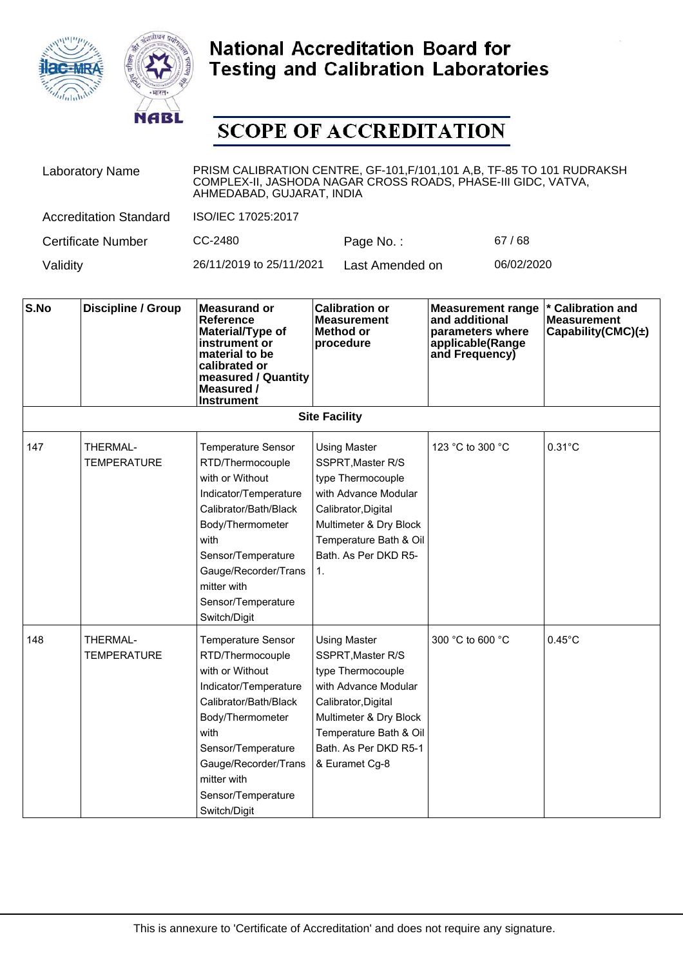



| <b>Laboratory Name</b>        | PRISM CALIBRATION CENTRE, GF-101, F/101, 101 A, B, TF-85 TO 101 RUDRAKSH<br>COMPLEX-II, JASHODA NAGAR CROSS ROADS, PHASE-III GIDC, VATVA,<br>AHMEDABAD, GUJARAT, INDIA |                 |            |  |
|-------------------------------|------------------------------------------------------------------------------------------------------------------------------------------------------------------------|-----------------|------------|--|
| <b>Accreditation Standard</b> | ISO/IEC 17025:2017                                                                                                                                                     |                 |            |  |
| <b>Certificate Number</b>     | CC-2480                                                                                                                                                                | Page No.:       | 67/68      |  |
| Validity                      | 26/11/2019 to 25/11/2021                                                                                                                                               | Last Amended on | 06/02/2020 |  |

| S.No                 | <b>Discipline / Group</b>      | <b>Measurand or</b><br><b>Reference</b><br>Material/Type of<br>instrument or<br>material to be<br>calibrated or<br>measured / Quantity<br>Measured /<br><b>Instrument</b>                                                                         | <b>Calibration or</b><br><b>Measurement</b><br>Method or<br>procedure                                                                                                                                       | <b>Measurement range</b><br>and additional<br>parameters where<br>applicable(Range<br>and Frequency) | <b>Calibration and</b><br><b>Measurement</b><br>Capability(CMC) $(\pm)$ |  |
|----------------------|--------------------------------|---------------------------------------------------------------------------------------------------------------------------------------------------------------------------------------------------------------------------------------------------|-------------------------------------------------------------------------------------------------------------------------------------------------------------------------------------------------------------|------------------------------------------------------------------------------------------------------|-------------------------------------------------------------------------|--|
| <b>Site Facility</b> |                                |                                                                                                                                                                                                                                                   |                                                                                                                                                                                                             |                                                                                                      |                                                                         |  |
| 147                  | THERMAL-<br><b>TEMPERATURE</b> | <b>Temperature Sensor</b><br>RTD/Thermocouple<br>with or Without<br>Indicator/Temperature<br>Calibrator/Bath/Black<br>Body/Thermometer<br>with<br>Sensor/Temperature<br>Gauge/Recorder/Trans<br>mitter with<br>Sensor/Temperature<br>Switch/Digit | <b>Using Master</b><br>SSPRT, Master R/S<br>type Thermocouple<br>with Advance Modular<br>Calibrator, Digital<br>Multimeter & Dry Block<br>Temperature Bath & Oil<br>Bath. As Per DKD R5-<br>1.              | 123 °C to 300 °C                                                                                     | $0.31^{\circ}$ C                                                        |  |
| 148                  | THERMAL-<br><b>TEMPERATURE</b> | <b>Temperature Sensor</b><br>RTD/Thermocouple<br>with or Without<br>Indicator/Temperature<br>Calibrator/Bath/Black<br>Body/Thermometer<br>with<br>Sensor/Temperature<br>Gauge/Recorder/Trans<br>mitter with<br>Sensor/Temperature<br>Switch/Digit | <b>Using Master</b><br>SSPRT, Master R/S<br>type Thermocouple<br>with Advance Modular<br>Calibrator, Digital<br>Multimeter & Dry Block<br>Temperature Bath & Oil<br>Bath. As Per DKD R5-1<br>& Euramet Cg-8 | 300 °C to 600 °C                                                                                     | $0.45^{\circ}$ C                                                        |  |